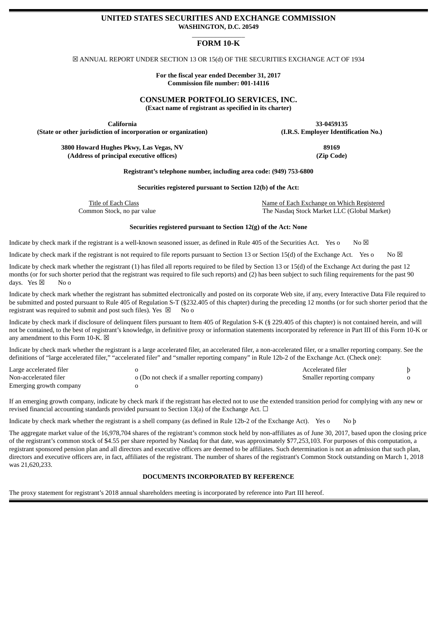# **UNITED STATES SECURITIES AND EXCHANGE COMMISSION WASHINGTON, D.C. 20549**

# $\overline{\phantom{a}}$  , where  $\overline{\phantom{a}}$ **FORM 10-K**

# ☒ ANNUAL REPORT UNDER SECTION 13 OR 15(d) OF THE SECURITIES EXCHANGE ACT OF 1934

**For the fiscal year ended December 31, 2017 Commission file number: 001-14116**

**CONSUMER PORTFOLIO SERVICES, INC.**

**(Exact name of registrant as specified in its charter)**

**California 33-0459135 (State or other jurisdiction of incorporation or organization) (I.R.S. Employer Identification No.)**

**3800 Howard Hughes Pkwy, Las Vegas, NV 89169 (Address of principal executive offices) (Zip Code)**

**Registrant's telephone number, including area code: (949) 753-6800**

**Securities registered pursuant to Section 12(b) of the Act:**

Title of Each Class Name of Each Exchange on Which Registered Common Stock, no par value The Nasdaq Stock Market LLC (Global Market)

# **Securities registered pursuant to Section 12(g) of the Act: None**

Indicate by check mark if the registrant is a well-known seasoned issuer, as defined in Rule 405 of the Securities Act. Yes o No  $\boxtimes$ 

Indicate by check mark if the registrant is not required to file reports pursuant to Section 13 or Section 15(d) of the Exchange Act. Yes o No  $\boxtimes$ 

Indicate by check mark whether the registrant (1) has filed all reports required to be filed by Section 13 or 15(d) of the Exchange Act during the past 12 months (or for such shorter period that the registrant was required to file such reports) and (2) has been subject to such filing requirements for the past 90 days. Yes  $\times$  No o

Indicate by check mark whether the registrant has submitted electronically and posted on its corporate Web site, if any, every Interactive Data File required to be submitted and posted pursuant to Rule 405 of Regulation S-T (§232.405 of this chapter) during the preceding 12 months (or for such shorter period that the registrant was required to submit and post such files). Yes  $\boxtimes$  No o

Indicate by check mark if disclosure of delinquent filers pursuant to Item 405 of Regulation S-K (§ 229.405 of this chapter) is not contained herein, and will not be contained, to the best of registrant's knowledge, in definitive proxy or information statements incorporated by reference in Part III of this Form 10-K or any amendment to this Form 10-K.  $\boxtimes$ 

Indicate by check mark whether the registrant is a large accelerated filer, an accelerated filer, a non-accelerated filer, or a smaller reporting company. See the definitions of "large accelerated filer," "accelerated filer" and "smaller reporting company" in Rule 12b-2 of the Exchange Act. (Check one):

| Large accelerated filer |                                                 | Accelerated filer         |  |
|-------------------------|-------------------------------------------------|---------------------------|--|
| Non-accelerated filer   | o (Do not check if a smaller reporting company) | Smaller reporting company |  |
| Emerging growth company |                                                 |                           |  |

If an emerging growth company, indicate by check mark if the registrant has elected not to use the extended transition period for complying with any new or revised financial accounting standards provided pursuant to Section 13(a) of the Exchange Act.  $\Box$ 

Indicate by check mark whether the registrant is a shell company (as defined in Rule 12b-2 of the Exchange Act). Yes o No þ

The aggregate market value of the 16,978,704 shares of the registrant's common stock held by non-affiliates as of June 30, 2017, based upon the closing price of the registrant's common stock of \$4.55 per share reported by Nasdaq for that date, was approximately \$77,253,103. For purposes of this computation, a registrant sponsored pension plan and all directors and executive officers are deemed to be affiliates. Such determination is not an admission that such plan, directors and executive officers are, in fact, affiliates of the registrant. The number of shares of the registrant's Common Stock outstanding on March 1, 2018 was 21,620,233.

# **DOCUMENTS INCORPORATED BY REFERENCE**

The proxy statement for registrant's 2018 annual shareholders meeting is incorporated by reference into Part III hereof.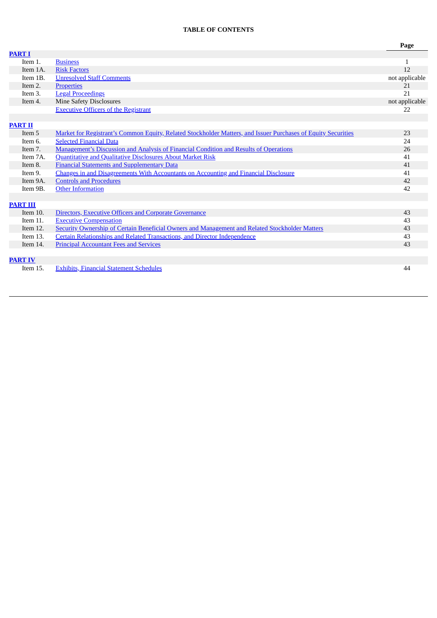# **TABLE OF CONTENTS**

|                 |                                                                                                               | Page           |
|-----------------|---------------------------------------------------------------------------------------------------------------|----------------|
| <b>PART I</b>   |                                                                                                               |                |
| Item 1.         | <b>Business</b>                                                                                               | 1              |
| Item 1A.        | <b>Risk Factors</b>                                                                                           | 12             |
| Item 1B.        | <b>Unresolved Staff Comments</b>                                                                              | not applicable |
| Item 2.         | <b>Properties</b>                                                                                             | 21             |
| Item 3.         | <b>Legal Proceedings</b>                                                                                      | 21             |
| Item 4.         | <b>Mine Safety Disclosures</b>                                                                                | not applicable |
|                 | <b>Executive Officers of the Registrant</b>                                                                   | 22             |
|                 |                                                                                                               |                |
| <b>PART II</b>  |                                                                                                               |                |
| Item 5          | Market for Registrant's Common Equity, Related Stockholder Matters, and Issuer Purchases of Equity Securities | 23             |
| Item 6.         | <b>Selected Financial Data</b>                                                                                | 24             |
| Item 7.         | <b>Management's Discussion and Analysis of Financial Condition and Results of Operations</b>                  | 26             |
| Item 7A.        | <b>Quantitative and Qualitative Disclosures About Market Risk</b>                                             | 41             |
| Item 8.         | <b>Financial Statements and Supplementary Data</b>                                                            | 41             |
| Item 9.         | Changes in and Disagreements With Accountants on Accounting and Financial Disclosure                          | 41             |
| Item 9A.        | <b>Controls and Procedures</b>                                                                                | 42             |
| Item 9B.        | <b>Other Information</b>                                                                                      | 42             |
|                 |                                                                                                               |                |
| <b>PART III</b> |                                                                                                               |                |
| Item 10.        | Directors, Executive Officers and Corporate Governance                                                        | 43             |
| Item 11.        | <b>Executive Compensation</b>                                                                                 | 43             |
| Item 12.        | <b>Security Ownership of Certain Beneficial Owners and Management and Related Stockholder Matters</b>         | 43             |
| Item 13.        | Certain Relationships and Related Transactions, and Director Independence                                     | 43             |
| Item 14.        | <b>Principal Accountant Fees and Services</b>                                                                 | 43             |
|                 |                                                                                                               |                |
| <b>PART IV</b>  |                                                                                                               |                |
| Item 15.        | <b>Exhibits, Financial Statement Schedules</b>                                                                | 44             |
|                 |                                                                                                               |                |
|                 |                                                                                                               |                |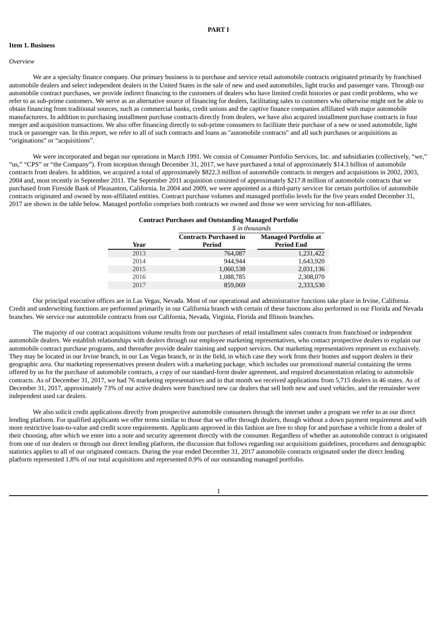# **PART I**

#### <span id="page-2-1"></span><span id="page-2-0"></span>**Item 1. Business**

# *Overview*

We are a specialty finance company. Our primary business is to purchase and service retail automobile contracts originated primarily by franchised automobile dealers and select independent dealers in the United States in the sale of new and used automobiles, light trucks and passenger vans. Through our automobile contract purchases, we provide indirect financing to the customers of dealers who have limited credit histories or past credit problems, who we refer to as sub-prime customers. We serve as an alternative source of financing for dealers, facilitating sales to customers who otherwise might not be able to obtain financing from traditional sources, such as commercial banks, credit unions and the captive finance companies affiliated with major automobile manufacturers. In addition to purchasing installment purchase contracts directly from dealers, we have also acquired installment purchase contracts in four merger and acquisition transactions. We also offer financing directly to sub-prime consumers to facilitate their purchase of a new or used automobile, light truck or passenger van. In this report, we refer to all of such contracts and loans as "automobile contracts" and all such purchases or acquisitions as "originations" or "acquisitions".

We were incorporated and began our operations in March 1991. We consist of Consumer Portfolio Services, Inc. and subsidiaries (collectively, "we," "us," "CPS" or "the Company"). From inception through December 31, 2017, we have purchased a total of approximately \$14.3 billion of automobile contracts from dealers. In addition, we acquired a total of approximately \$822.3 million of automobile contracts in mergers and acquisitions in 2002, 2003, 2004 and, most recently in September 2011. The September 2011 acquisition consisted of approximately \$217.8 million of automobile contracts that we purchased from Fireside Bank of Pleasanton, California. In 2004 and 2009, we were appointed as a third-party servicer for certain portfolios of automobile contracts originated and owned by non-affiliated entities. Contract purchase volumes and managed portfolio levels for the five years ended December 31, 2017 are shown in the table below. Managed portfolio comprises both contracts we owned and those we were servicing for non-affiliates.

# **Contract Purchases and Outstanding Managed Portfolio**

|      | \$ in thousands               |                             |  |  |  |  |  |
|------|-------------------------------|-----------------------------|--|--|--|--|--|
|      | <b>Contracts Purchased in</b> | <b>Managed Portfolio at</b> |  |  |  |  |  |
| Year | Period                        | <b>Period End</b>           |  |  |  |  |  |
| 2013 | 764,087                       | 1,231,422                   |  |  |  |  |  |
| 2014 | 944,944                       | 1,643,920                   |  |  |  |  |  |
| 2015 | 1,060,538                     | 2,031,136                   |  |  |  |  |  |
| 2016 | 1,088,785                     | 2,308,070                   |  |  |  |  |  |
| 2017 | 859,069                       | 2,333,530                   |  |  |  |  |  |

Our principal executive offices are in Las Vegas, Nevada. Most of our operational and administrative functions take place in Irvine, California. Credit and underwriting functions are performed primarily in our California branch with certain of these functions also performed in our Florida and Nevada branches. We service our automobile contracts from our California, Nevada, Virginia, Florida and Illinois branches.

The majority of our contract acquisitions volume results from our purchases of retail installment sales contracts from franchised or independent automobile dealers. We establish relationships with dealers through our employee marketing representatives, who contact prospective dealers to explain our automobile contract purchase programs, and thereafter provide dealer training and support services. Our marketing representatives represent us exclusively. They may be located in our Irvine branch, in our Las Vegas branch, or in the field, in which case they work from their homes and support dealers in their geographic area. Our marketing representatives present dealers with a marketing package, which includes our promotional material containing the terms offered by us for the purchase of automobile contracts, a copy of our standard-form dealer agreement, and required documentation relating to automobile contracts. As of December 31, 2017, we had 76 marketing representatives and in that month we received applications from 5,715 dealers in 46 states. As of December 31, 2017, approximately 73% of our active dealers were franchised new car dealers that sell both new and used vehicles, and the remainder were independent used car dealers.

We also solicit credit applications directly from prospective automobile consumers through the internet under a program we refer to as our direct lending platform. For qualified applicants we offer terms similar to those that we offer through dealers, though without a down payment requirement and with more restrictive loan-to-value and credit score requirements. Applicants approved in this fashion are free to shop for and purchase a vehicle from a dealer of their choosing, after which we enter into a note and security agreement directly with the consumer. Regardless of whether an automobile contract is originated from one of our dealers or through our direct lending platform, the discussion that follows regarding our acquisitions guidelines, procedures and demographic statistics applies to all of our originated contracts. During the year ended December 31, 2017 automobile contracts originated under the direct lending platform represented 1.8% of our total acquisitions and represented 0.9% of our outstanding managed portfolio.

1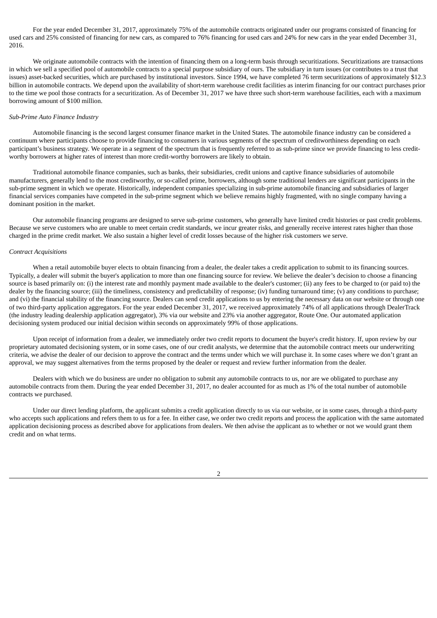For the year ended December 31, 2017, approximately 75% of the automobile contracts originated under our programs consisted of financing for used cars and 25% consisted of financing for new cars, as compared to 76% financing for used cars and 24% for new cars in the year ended December 31, 2016.

We originate automobile contracts with the intention of financing them on a long-term basis through securitizations. Securitizations are transactions in which we sell a specified pool of automobile contracts to a special purpose subsidiary of ours. The subsidiary in turn issues (or contributes to a trust that issues) asset-backed securities, which are purchased by institutional investors. Since 1994, we have completed 76 term securitizations of approximately \$12.3 billion in automobile contracts. We depend upon the availability of short-term warehouse credit facilities as interim financing for our contract purchases prior to the time we pool those contracts for a securitization. As of December 31, 2017 we have three such short-term warehouse facilities, each with a maximum borrowing amount of \$100 million.

#### *Sub-Prime Auto Finance Industry*

Automobile financing is the second largest consumer finance market in the United States. The automobile finance industry can be considered a continuum where participants choose to provide financing to consumers in various segments of the spectrum of creditworthiness depending on each participant's business strategy. We operate in a segment of the spectrum that is frequently referred to as sub-prime since we provide financing to less creditworthy borrowers at higher rates of interest than more credit-worthy borrowers are likely to obtain.

Traditional automobile finance companies, such as banks, their subsidiaries, credit unions and captive finance subsidiaries of automobile manufacturers, generally lend to the most creditworthy, or so-called prime, borrowers, although some traditional lenders are significant participants in the sub-prime segment in which we operate. Historically, independent companies specializing in sub-prime automobile financing and subsidiaries of larger financial services companies have competed in the sub-prime segment which we believe remains highly fragmented, with no single company having a dominant position in the market.

Our automobile financing programs are designed to serve sub-prime customers, who generally have limited credit histories or past credit problems. Because we serve customers who are unable to meet certain credit standards, we incur greater risks, and generally receive interest rates higher than those charged in the prime credit market. We also sustain a higher level of credit losses because of the higher risk customers we serve.

#### *Contract Acquisitions*

When a retail automobile buyer elects to obtain financing from a dealer, the dealer takes a credit application to submit to its financing sources. Typically, a dealer will submit the buyer's application to more than one financing source for review. We believe the dealer's decision to choose a financing source is based primarily on: (i) the interest rate and monthly payment made available to the dealer's customer; (ii) any fees to be charged to (or paid to) the dealer by the financing source; (iii) the timeliness, consistency and predictability of response; (iv) funding turnaround time; (v) any conditions to purchase; and (vi) the financial stability of the financing source. Dealers can send credit applications to us by entering the necessary data on our website or through one of two third-party application aggregators. For the year ended December 31, 2017, we received approximately 74% of all applications through DealerTrack (the industry leading dealership application aggregator), 3% via our website and 23% via another aggregator, Route One. Our automated application decisioning system produced our initial decision within seconds on approximately 99% of those applications.

Upon receipt of information from a dealer, we immediately order two credit reports to document the buyer's credit history. If, upon review by our proprietary automated decisioning system, or in some cases, one of our credit analysts, we determine that the automobile contract meets our underwriting criteria, we advise the dealer of our decision to approve the contract and the terms under which we will purchase it. In some cases where we don't grant an approval, we may suggest alternatives from the terms proposed by the dealer or request and review further information from the dealer.

Dealers with which we do business are under no obligation to submit any automobile contracts to us, nor are we obligated to purchase any automobile contracts from them. During the year ended December 31, 2017, no dealer accounted for as much as 1% of the total number of automobile contracts we purchased.

Under our direct lending platform, the applicant submits a credit application directly to us via our website, or in some cases, through a third-party who accepts such applications and refers them to us for a fee. In either case, we order two credit reports and process the application with the same automated application decisioning process as described above for applications from dealers. We then advise the applicant as to whether or not we would grant them credit and on what terms.

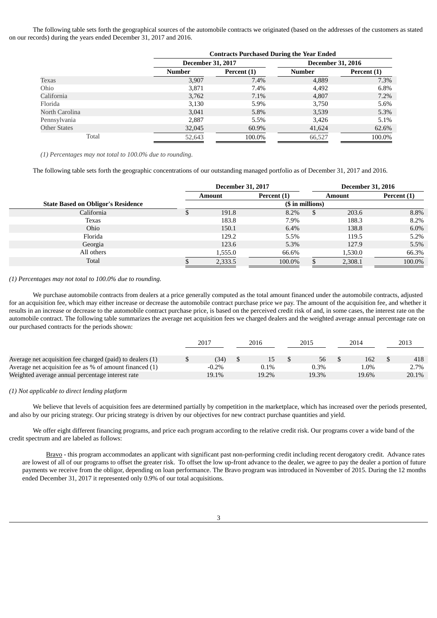The following table sets forth the geographical sources of the automobile contracts we originated (based on the addresses of the customers as stated on our records) during the years ended December 31, 2017 and 2016.

|                     | <b>Contracts Purchased During the Year Ended</b> |             |                          |             |  |  |  |  |  |
|---------------------|--------------------------------------------------|-------------|--------------------------|-------------|--|--|--|--|--|
|                     | <b>December 31, 2017</b>                         |             | <b>December 31, 2016</b> |             |  |  |  |  |  |
|                     | <b>Number</b>                                    | Percent (1) | Number                   | Percent (1) |  |  |  |  |  |
| Texas               | 3,907                                            | 7.4%        | 4,889                    | 7.3%        |  |  |  |  |  |
| Ohio                | 3,871                                            | 7.4%        | 4,492                    | $6.8\%$     |  |  |  |  |  |
| California          | 3,762                                            | 7.1%        | 4,807                    | 7.2%        |  |  |  |  |  |
| Florida             | 3,130                                            | 5.9%        | 3,750                    | 5.6%        |  |  |  |  |  |
| North Carolina      | 3,041                                            | 5.8%        | 3,539                    | 5.3%        |  |  |  |  |  |
| Pennsylvania        | 2,887                                            | 5.5%        | 3,426                    | 5.1%        |  |  |  |  |  |
| <b>Other States</b> | 32,045                                           | 60.9%       | 41,624                   | 62.6%       |  |  |  |  |  |
| Total               | 52,643                                           | 100.0%      | 66,527                   | 100.0%      |  |  |  |  |  |

*(1) Percentages may not total to 100.0% due to rounding.*

The following table sets forth the geographic concentrations of our outstanding managed portfolio as of December 31, 2017 and 2016.

|                                           |                       | <b>December 31, 2017</b> |                  |    | <b>December 31, 2016</b> |             |
|-------------------------------------------|-----------------------|--------------------------|------------------|----|--------------------------|-------------|
|                                           | Percent (1)<br>Amount |                          |                  |    | Amount                   | Percent (1) |
| <b>State Based on Obligor's Residence</b> |                       |                          | (\$ in millions) |    |                          |             |
| California                                | ╜                     | 191.8                    | 8.2%             | S. | 203.6                    | 8.8%        |
| Texas                                     |                       | 183.8                    | 7.9%             |    | 188.3                    | 8.2%        |
| Ohio                                      |                       | 150.1                    | 6.4%             |    | 138.8                    | $6.0\%$     |
| Florida                                   |                       | 129.2                    | 5.5%             |    | 119.5                    | 5.2%        |
| Georgia                                   |                       | 123.6                    | 5.3%             |    | 127.9                    | 5.5%        |
| All others                                |                       | 1,555.0                  | 66.6%            |    | 1,530.0                  | 66.3%       |
| Total                                     |                       | 2,333.5                  | 100.0%           |    | 2,308.1                  | 100.0%      |

# *(1) Percentages may not total to 100.0% due to rounding.*

We purchase automobile contracts from dealers at a price generally computed as the total amount financed under the automobile contracts, adjusted for an acquisition fee, which may either increase or decrease the automobile contract purchase price we pay. The amount of the acquisition fee, and whether it results in an increase or decrease to the automobile contract purchase price, is based on the perceived credit risk of and, in some cases, the interest rate on the automobile contract. The following table summarizes the average net acquisition fees we charged dealers and the weighted average annual percentage rate on our purchased contracts for the periods shown:

|                                                           | 2017     | 2016  | 2015    | 2014   | 2013  |
|-----------------------------------------------------------|----------|-------|---------|--------|-------|
| Average net acquisition fee charged (paid) to dealers (1) | (34)     |       | 56      | 162    | 418   |
| Average net acquisition fee as % of amount financed (1)   | $-0.2\%$ | 0.1%  | $0.3\%$ | $.0\%$ | 2.7%  |
| Weighted average annual percentage interest rate          | 19.1%    | 19.2% | 19.3%   | 19.6%  | 20.1% |

#### *(1) Not applicable to direct lending platform*

We believe that levels of acquisition fees are determined partially by competition in the marketplace, which has increased over the periods presented, and also by our pricing strategy. Our pricing strategy is driven by our objectives for new contract purchase quantities and yield.

We offer eight different financing programs, and price each program according to the relative credit risk. Our programs cover a wide band of the credit spectrum and are labeled as follows:

Bravo - this program accommodates an applicant with significant past non-performing credit including recent derogatory credit. Advance rates are lowest of all of our programs to offset the greater risk. To offset the low up-front advance to the dealer, we agree to pay the dealer a portion of future payments we receive from the obligor, depending on loan performance. The Bravo program was introduced in November of 2015. During the 12 months ended December 31, 2017 it represented only 0.9% of our total acquisitions.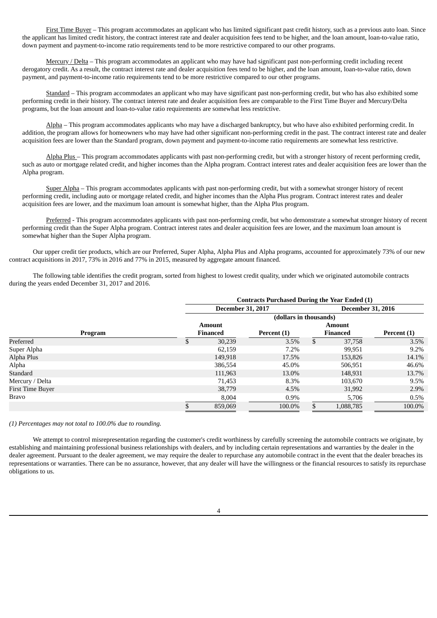First Time Buyer – This program accommodates an applicant who has limited significant past credit history, such as a previous auto loan. Since the applicant has limited credit history, the contract interest rate and dealer acquisition fees tend to be higher, and the loan amount, loan-to-value ratio, down payment and payment-to-income ratio requirements tend to be more restrictive compared to our other programs.

Mercury / Delta – This program accommodates an applicant who may have had significant past non-performing credit including recent derogatory credit. As a result, the contract interest rate and dealer acquisition fees tend to be higher, and the loan amount, loan-to-value ratio, down payment, and payment-to-income ratio requirements tend to be more restrictive compared to our other programs.

Standard – This program accommodates an applicant who may have significant past non-performing credit, but who has also exhibited some performing credit in their history. The contract interest rate and dealer acquisition fees are comparable to the First Time Buyer and Mercury/Delta programs, but the loan amount and loan-to-value ratio requirements are somewhat less restrictive.

Alpha – This program accommodates applicants who may have a discharged bankruptcy, but who have also exhibited performing credit. In addition, the program allows for homeowners who may have had other significant non-performing credit in the past. The contract interest rate and dealer acquisition fees are lower than the Standard program, down payment and payment-to-income ratio requirements are somewhat less restrictive.

Alpha Plus - This program accommodates applicants with past non-performing credit, but with a stronger history of recent performing credit, such as auto or mortgage related credit, and higher incomes than the Alpha program. Contract interest rates and dealer acquisition fees are lower than the Alpha program.

Super Alpha – This program accommodates applicants with past non-performing credit, but with a somewhat stronger history of recent performing credit, including auto or mortgage related credit, and higher incomes than the Alpha Plus program. Contract interest rates and dealer acquisition fees are lower, and the maximum loan amount is somewhat higher, than the Alpha Plus program.

Preferred - This program accommodates applicants with past non-performing credit, but who demonstrate a somewhat stronger history of recent performing credit than the Super Alpha program. Contract interest rates and dealer acquisition fees are lower, and the maximum loan amount is somewhat higher than the Super Alpha program.

Our upper credit tier products, which are our Preferred, Super Alpha, Alpha Plus and Alpha programs, accounted for approximately 73% of our new contract acquisitions in 2017, 73% in 2016 and 77% in 2015, measured by aggregate amount financed.

The following table identifies the credit program, sorted from highest to lowest credit quality, under which we originated automobile contracts during the years ended December 31, 2017 and 2016.

|                         | Contracts Purchased During the Year Ended (1)        |               |             |               |               |             |  |  |  |  |
|-------------------------|------------------------------------------------------|---------------|-------------|---------------|---------------|-------------|--|--|--|--|
|                         | <b>December 31, 2017</b><br><b>December 31, 2016</b> |               |             |               |               |             |  |  |  |  |
|                         | (dollars in thousands)                               |               |             |               |               |             |  |  |  |  |
|                         |                                                      | <b>Amount</b> |             |               | <b>Amount</b> |             |  |  |  |  |
| Program                 |                                                      | Financed      | Percent (1) |               | Financed      | Percent (1) |  |  |  |  |
| Preferred               |                                                      | 30,239        | 3.5%        | <sup>\$</sup> | 37,758        | 3.5%        |  |  |  |  |
| Super Alpha             |                                                      | 62.159        | 7.2%        |               | 99,951        | $9.2\%$     |  |  |  |  |
| Alpha Plus              |                                                      | 149,918       | 17.5%       |               | 153,826       | 14.1%       |  |  |  |  |
| Alpha                   |                                                      | 386,554       | 45.0%       |               | 506,951       | 46.6%       |  |  |  |  |
| Standard                |                                                      | 111,963       | 13.0%       |               | 148,931       | 13.7%       |  |  |  |  |
| Mercury / Delta         |                                                      | 71,453        | 8.3%        |               | 103,670       | 9.5%        |  |  |  |  |
| <b>First Time Buyer</b> |                                                      | 38,779        | 4.5%        |               | 31,992        | 2.9%        |  |  |  |  |
| <b>Bravo</b>            |                                                      | 8,004         | 0.9%        |               | 5,706         | 0.5%        |  |  |  |  |
|                         |                                                      | 859,069       | 100.0%      |               | 1,088,785     | 100.0%      |  |  |  |  |

#### *(1) Percentages may not total to 100.0% due to rounding.*

We attempt to control misrepresentation regarding the customer's credit worthiness by carefully screening the automobile contracts we originate, by establishing and maintaining professional business relationships with dealers, and by including certain representations and warranties by the dealer in the dealer agreement. Pursuant to the dealer agreement, we may require the dealer to repurchase any automobile contract in the event that the dealer breaches its representations or warranties. There can be no assurance, however, that any dealer will have the willingness or the financial resources to satisfy its repurchase obligations to us.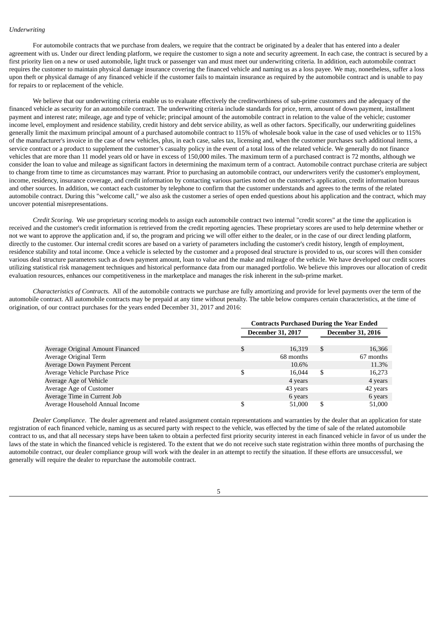# *Underwriting*

For automobile contracts that we purchase from dealers, we require that the contract be originated by a dealer that has entered into a dealer agreement with us. Under our direct lending platform, we require the customer to sign a note and security agreement. In each case, the contract is secured by a first priority lien on a new or used automobile, light truck or passenger van and must meet our underwriting criteria. In addition, each automobile contract requires the customer to maintain physical damage insurance covering the financed vehicle and naming us as a loss payee. We may, nonetheless, suffer a loss upon theft or physical damage of any financed vehicle if the customer fails to maintain insurance as required by the automobile contract and is unable to pay for repairs to or replacement of the vehicle.

We believe that our underwriting criteria enable us to evaluate effectively the creditworthiness of sub-prime customers and the adequacy of the financed vehicle as security for an automobile contract. The underwriting criteria include standards for price, term, amount of down payment, installment payment and interest rate; mileage, age and type of vehicle; principal amount of the automobile contract in relation to the value of the vehicle; customer income level, employment and residence stability, credit history and debt service ability, as well as other factors. Specifically, our underwriting guidelines generally limit the maximum principal amount of a purchased automobile contract to 115% of wholesale book value in the case of used vehicles or to 115% of the manufacturer's invoice in the case of new vehicles, plus, in each case, sales tax, licensing and, when the customer purchases such additional items, a service contract or a product to supplement the customer's casualty policy in the event of a total loss of the related vehicle. We generally do not finance vehicles that are more than 11 model years old or have in excess of 150,000 miles. The maximum term of a purchased contract is 72 months, although we consider the loan to value and mileage as significant factors in determining the maximum term of a contract. Automobile contract purchase criteria are subject to change from time to time as circumstances may warrant. Prior to purchasing an automobile contract, our underwriters verify the customer's employment, income, residency, insurance coverage, and credit information by contacting various parties noted on the customer's application, credit information bureaus and other sources. In addition, we contact each customer by telephone to confirm that the customer understands and agrees to the terms of the related automobile contract. During this "welcome call," we also ask the customer a series of open ended questions about his application and the contract, which may uncover potential misrepresentations.

*Credit Scoring*. We use proprietary scoring models to assign each automobile contract two internal "credit scores" at the time the application is received and the customer's credit information is retrieved from the credit reporting agencies. These proprietary scores are used to help determine whether or not we want to approve the application and, if so, the program and pricing we will offer either to the dealer, or in the case of our direct lending platform, directly to the customer. Our internal credit scores are based on a variety of parameters including the customer's credit history, length of employment, residence stability and total income. Once a vehicle is selected by the customer and a proposed deal structure is provided to us, our scores will then consider various deal structure parameters such as down payment amount, loan to value and the make and mileage of the vehicle. We have developed our credit scores utilizing statistical risk management techniques and historical performance data from our managed portfolio. We believe this improves our allocation of credit evaluation resources, enhances our competitiveness in the marketplace and manages the risk inherent in the sub-prime market.

*Characteristics of Contracts.* All of the automobile contracts we purchase are fully amortizing and provide for level payments over the term of the automobile contract. All automobile contracts may be prepaid at any time without penalty. The table below compares certain characteristics, at the time of origination, of our contract purchases for the years ended December 31, 2017 and 2016:

|                                  |    | <b>Contracts Purchased During the Year Ended</b> |    |                          |  |  |  |  |
|----------------------------------|----|--------------------------------------------------|----|--------------------------|--|--|--|--|
|                                  |    | <b>December 31, 2017</b>                         |    | <b>December 31, 2016</b> |  |  |  |  |
|                                  |    |                                                  |    |                          |  |  |  |  |
| Average Original Amount Financed | S  | 16,319                                           | \$ | 16,366                   |  |  |  |  |
| Average Original Term            |    | 68 months                                        |    | 67 months                |  |  |  |  |
| Average Down Payment Percent     |    | 10.6%                                            |    | 11.3%                    |  |  |  |  |
| Average Vehicle Purchase Price   | \$ | 16.044                                           | \$ | 16,273                   |  |  |  |  |
| Average Age of Vehicle           |    | 4 years                                          |    | 4 years                  |  |  |  |  |
| Average Age of Customer          |    | 43 years                                         |    | 42 years                 |  |  |  |  |
| Average Time in Current Job      |    | 6 years                                          |    | 6 years                  |  |  |  |  |
| Average Household Annual Income  |    | 51,000                                           | S  | 51,000                   |  |  |  |  |

*Dealer Compliance*. The dealer agreement and related assignment contain representations and warranties by the dealer that an application for state registration of each financed vehicle, naming us as secured party with respect to the vehicle, was effected by the time of sale of the related automobile contract to us, and that all necessary steps have been taken to obtain a perfected first priority security interest in each financed vehicle in favor of us under the laws of the state in which the financed vehicle is registered. To the extent that we do not receive such state registration within three months of purchasing the automobile contract, our dealer compliance group will work with the dealer in an attempt to rectify the situation. If these efforts are unsuccessful, we generally will require the dealer to repurchase the automobile contract.

5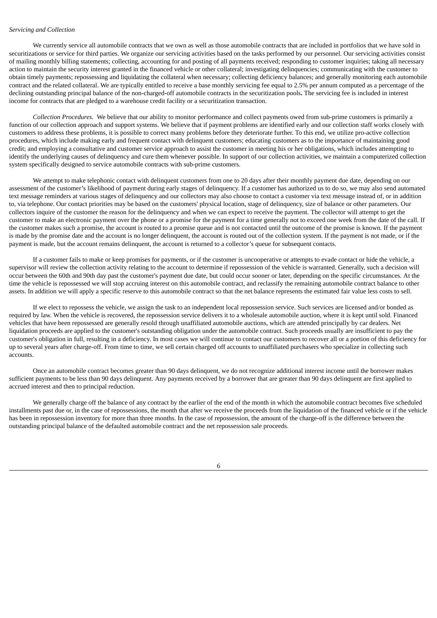# *Servicing and Collection*

We currently service all automobile contracts that we own as well as those automobile contracts that are included in portfolios that we have sold in securitizations or service for third parties. We organize our servicing activities based on the tasks performed by our personnel. Our servicing activities consist of mailing monthly billing statements; collecting, accounting for and posting of all payments received; responding to customer inquiries; taking all necessary action to maintain the security interest granted in the financed vehicle or other collateral; investigating delinquencies; communicating with the customer to obtain timely payments; repossessing and liquidating the collateral when necessary; collecting deficiency balances; and generally monitoring each automobile contract and the related collateral. We are typically entitled to receive a base monthly servicing fee equal to 2.5% per annum computed as a percentage of the declining outstanding principal balance of the non-charged-off automobile contracts in the securitization pools**.** The servicing fee is included in interest income for contracts that are pledged to a warehouse credit facility or a securitization transaction.

*Collection Procedures.* We believe that our ability to monitor performance and collect payments owed from sub-prime customers is primarily a function of our collection approach and support systems. We believe that if payment problems are identified early and our collection staff works closely with customers to address these problems, it is possible to correct many problems before they deteriorate further. To this end, we utilize pro-active collection procedures, which include making early and frequent contact with delinquent customers; educating customers as to the importance of maintaining good credit; and employing a consultative and customer service approach to assist the customer in meeting his or her obligations, which includes attempting to identify the underlying causes of delinquency and cure them whenever possible. In support of our collection activities, we maintain a computerized collection system specifically designed to service automobile contracts with sub-prime customers.

We attempt to make telephonic contact with delinquent customers from one to 20 days after their monthly payment due date, depending on our assessment of the customer's likelihood of payment during early stages of delinquency. If a customer has authorized us to do so, we may also send automated text message reminders at various stages of delinquency and our collectors may also choose to contact a customer via text message instead of, or in addition to, via telephone. Our contact priorities may be based on the customers' physical location, stage of delinquency, size of balance or other parameters. Our collectors inquire of the customer the reason for the delinquency and when we can expect to receive the payment. The collector will attempt to get the customer to make an electronic payment over the phone or a promise for the payment for a time generally not to exceed one week from the date of the call. If the customer makes such a promise, the account is routed to a promise queue and is not contacted until the outcome of the promise is known. If the payment is made by the promise date and the account is no longer delinquent, the account is routed out of the collection system. If the payment is not made, or if the payment is made, but the account remains delinquent, the account is returned to a collector's queue for subsequent contacts.

If a customer fails to make or keep promises for payments, or if the customer is uncooperative or attempts to evade contact or hide the vehicle, a supervisor will review the collection activity relating to the account to determine if repossession of the vehicle is warranted. Generally, such a decision will occur between the 60th and 90th day past the customer's payment due date, but could occur sooner or later, depending on the specific circumstances. At the time the vehicle is repossessed we will stop accruing interest on this automobile contract, and reclassify the remaining automobile contract balance to other assets. In addition we will apply a specific reserve to this automobile contract so that the net balance represents the estimated fair value less costs to sell.

If we elect to repossess the vehicle, we assign the task to an independent local repossession service. Such services are licensed and/or bonded as required by law. When the vehicle is recovered, the repossession service delivers it to a wholesale automobile auction, where it is kept until sold. Financed vehicles that have been repossessed are generally resold through unaffiliated automobile auctions, which are attended principally by car dealers. Net liquidation proceeds are applied to the customer's outstanding obligation under the automobile contract. Such proceeds usually are insufficient to pay the customer's obligation in full, resulting in a deficiency. In most cases we will continue to contact our customers to recover all or a portion of this deficiency for up to several years after charge-off. From time to time, we sell certain charged off accounts to unaffiliated purchasers who specialize in collecting such accounts.

Once an automobile contract becomes greater than 90 days delinquent, we do not recognize additional interest income until the borrower makes sufficient payments to be less than 90 days delinquent. Any payments received by a borrower that are greater than 90 days delinquent are first applied to accrued interest and then to principal reduction.

We generally charge off the balance of any contract by the earlier of the end of the month in which the automobile contract becomes five scheduled installments past due or, in the case of repossessions, the month that after we receive the proceeds from the liquidation of the financed vehicle or if the vehicle has been in repossession inventory for more than three months. In the case of repossession, the amount of the charge-off is the difference between the outstanding principal balance of the defaulted automobile contract and the net repossession sale proceeds.

6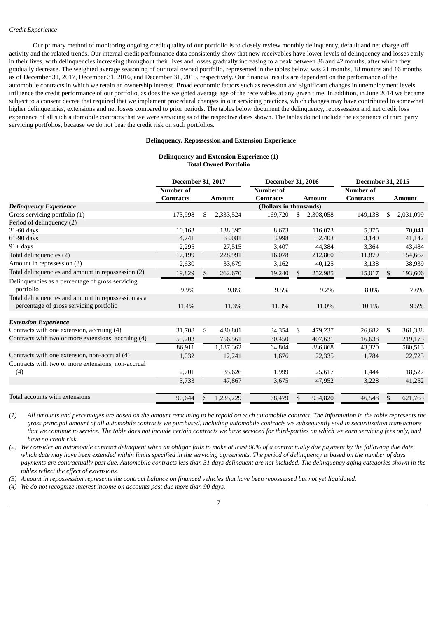# *Credit Experience*

Our primary method of monitoring ongoing credit quality of our portfolio is to closely review monthly delinquency, default and net charge off activity and the related trends. Our internal credit performance data consistently show that new receivables have lower levels of delinquency and losses early in their lives, with delinquencies increasing throughout their lives and losses gradually increasing to a peak between 36 and 42 months, after which they gradually decrease. The weighted average seasoning of our total owned portfolio, represented in the tables below, was 21 months, 18 months and 16 months as of December 31, 2017, December 31, 2016, and December 31, 2015, respectively. Our financial results are dependent on the performance of the automobile contracts in which we retain an ownership interest. Broad economic factors such as recession and significant changes in unemployment levels influence the credit performance of our portfolio, as does the weighted average age of the receivables at any given time. In addition, in June 2014 we became subject to a consent decree that required that we implement procedural changes in our servicing practices, which changes may have contributed to somewhat higher delinquencies, extensions and net losses compared to prior periods. The tables below document the delinquency, repossession and net credit loss experience of all such automobile contracts that we were servicing as of the respective dates shown. The tables do not include the experience of third party servicing portfolios, because we do not bear the credit risk on such portfolios.

# **Delinquency, Repossession and Extension Experience**

# **Delinquency and Extension Experience (1) Total Owned Portfolio**

|                                                                                                | <b>December 31, 2017</b>             |     | <b>December 31, 2016</b> |                                      |     | <b>December 31, 2015</b> |                                      |    |               |
|------------------------------------------------------------------------------------------------|--------------------------------------|-----|--------------------------|--------------------------------------|-----|--------------------------|--------------------------------------|----|---------------|
|                                                                                                | <b>Number of</b><br><b>Contracts</b> |     | <b>Amount</b>            | <b>Number of</b><br><b>Contracts</b> |     | <b>Amount</b>            | <b>Number of</b><br><b>Contracts</b> |    | <b>Amount</b> |
| <b>Delinquency Experience</b>                                                                  |                                      |     |                          | (Dollars in thousands)               |     |                          |                                      |    |               |
| Gross servicing portfolio (1)                                                                  | 173,998                              | \$  | 2,333,524                | 169,720                              | \$. | 2,308,058                | 149,138                              | \$ | 2,031,099     |
| Period of delinquency (2)                                                                      |                                      |     |                          |                                      |     |                          |                                      |    |               |
| 31-60 days                                                                                     | 10,163                               |     | 138,395                  | 8,673                                |     | 116,073                  | 5,375                                |    | 70,041        |
| 61-90 days                                                                                     | 4,741                                |     | 63,081                   | 3,998                                |     | 52,403                   | 3,140                                |    | 41,142        |
| $91 + days$                                                                                    | 2,295                                |     | 27,515                   | 3,407                                |     | 44,384                   | 3,364                                |    | 43,484        |
| Total delinquencies (2)                                                                        | 17,199                               |     | 228,991                  | 16,078                               |     | 212,860                  | 11,879                               |    | 154,667       |
| Amount in repossession (3)                                                                     | 2,630                                |     | 33,679                   | 3,162                                |     | 40,125                   | 3,138                                |    | 38,939        |
| Total delinquencies and amount in repossession (2)                                             | 19,829                               | \$. | 262,670                  | 19,240                               | \$. | 252,985                  | 15,017                               | \$ | 193,606       |
| Delinquencies as a percentage of gross servicing<br>portfolio                                  | 9.9%                                 |     | 9.8%                     | 9.5%                                 |     | 9.2%                     | 8.0%                                 |    | 7.6%          |
| Total delinquencies and amount in repossession as a<br>percentage of gross servicing portfolio | 11.4%                                |     | 11.3%                    | 11.3%                                |     | 11.0%                    | 10.1%                                |    | 9.5%          |
| <b>Extension Experience</b>                                                                    |                                      |     |                          |                                      |     |                          |                                      |    |               |
| Contracts with one extension, accruing (4)                                                     | 31,708                               | \$  | 430,801                  | 34,354                               | \$  | 479,237                  | 26,682                               | \$ | 361,338       |
| Contracts with two or more extensions, accruing (4)                                            | 55,203                               |     | 756,561                  | 30,450                               |     | 407,631                  | 16,638                               |    | 219,175       |
|                                                                                                | 86,911                               |     | 1,187,362                | 64,804                               |     | 886,868                  | 43,320                               |    | 580,513       |
| Contracts with one extension, non-accrual (4)                                                  | 1,032                                |     | 12,241                   | 1,676                                |     | 22,335                   | 1,784                                |    | 22,725        |
| Contracts with two or more extensions, non-accrual                                             |                                      |     |                          |                                      |     |                          |                                      |    |               |
| (4)                                                                                            | 2,701                                |     | 35,626                   | 1,999                                |     | 25,617                   | 1,444                                |    | 18,527        |
|                                                                                                | 3,733                                |     | 47,867                   | 3,675                                |     | 47,952                   | 3,228                                |    | 41,252        |
| Total accounts with extensions                                                                 | 90,644                               | \$  | 1,235,229                | 68,479                               |     | 934,820                  | 46,548                               | \$ | 621,765       |

(1) All amounts and percentages are based on the amount remaining to be repaid on each automobile contract. The information in the table represents the gross principal amount of all automobile contracts we purchased, including automobile contracts we subsequently sold in securitization transactions that we continue to service. The table does not include certain contracts we have serviced for third-parties on which we earn servicing fees only, and *have no credit risk.*

(2) We consider an automobile contract delinguent when an obligor fails to make at least 90% of a contractually due payment by the following due date. which date may have been extended within limits specified in the servicing agreements. The period of delinguency is based on the number of days payments are contractually past due. Automobile contracts less than 31 days delinguent are not included. The delinguency aging categories shown in the *tables reflect the effect of extensions.*

(3) Amount in repossession represents the contract balance on financed vehicles that have been repossessed but not vet liquidated.

*(4) We do not recognize interest income on accounts past due more than 90 days.*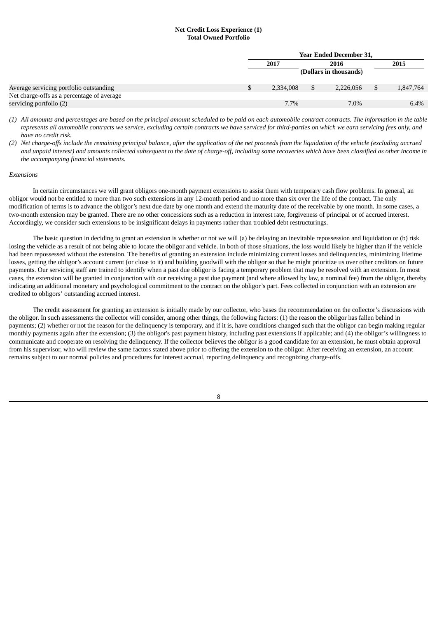#### **Net Credit Loss Experience (1) Total Owned Portfolio**

| 2017      |   | 2016      |                        | 2015                           |
|-----------|---|-----------|------------------------|--------------------------------|
|           |   |           |                        |                                |
| 2,334,008 | S | 2,226,056 | \$                     | 1,847,764                      |
|           |   |           |                        |                                |
| 7.7%      |   | 7.0%      |                        | $6.4\%$                        |
|           |   |           | (Dollars in thousands) | <b>Year Ended December 31,</b> |

(1) All amounts and percentages are based on the principal amount scheduled to be paid on each automobile contract contracts. The information in the table represents all automobile contracts we service, excludina certain contracts we have serviced for third-parties on which we earn servicina fees only, and *have no credit risk.*

(2) Net charge-offs include the remaining principal balance, after the application of the net proceeds from the liquidation of the vehicle (excluding accrued and unpaid interest) and amounts collected subsequent to the date of charge-off, including some recoveries which have been classified as other income in *the accompanying financial statements.*

#### *Extensions*

In certain circumstances we will grant obligors one-month payment extensions to assist them with temporary cash flow problems. In general, an obligor would not be entitled to more than two such extensions in any 12-month period and no more than six over the life of the contract. The only modification of terms is to advance the obligor's next due date by one month and extend the maturity date of the receivable by one month. In some cases, a two-month extension may be granted. There are no other concessions such as a reduction in interest rate, forgiveness of principal or of accrued interest. Accordingly, we consider such extensions to be insignificant delays in payments rather than troubled debt restructurings.

The basic question in deciding to grant an extension is whether or not we will (a) be delaying an inevitable repossession and liquidation or (b) risk losing the vehicle as a result of not being able to locate the obligor and vehicle. In both of those situations, the loss would likely be higher than if the vehicle had been repossessed without the extension. The benefits of granting an extension include minimizing current losses and delinquencies, minimizing lifetime losses, getting the obligor's account current (or close to it) and building goodwill with the obligor so that he might prioritize us over other creditors on future payments. Our servicing staff are trained to identify when a past due obligor is facing a temporary problem that may be resolved with an extension. In most cases, the extension will be granted in conjunction with our receiving a past due payment (and where allowed by law, a nominal fee) from the obligor, thereby indicating an additional monetary and psychological commitment to the contract on the obligor's part. Fees collected in conjunction with an extension are credited to obligors' outstanding accrued interest.

The credit assessment for granting an extension is initially made by our collector, who bases the recommendation on the collector's discussions with the obligor. In such assessments the collector will consider, among other things, the following factors: (1) the reason the obligor has fallen behind in payments; (2) whether or not the reason for the delinquency is temporary, and if it is, have conditions changed such that the obligor can begin making regular monthly payments again after the extension; (3) the obligor's past payment history, including past extensions if applicable; and (4) the obligor's willingness to communicate and cooperate on resolving the delinquency. If the collector believes the obligor is a good candidate for an extension, he must obtain approval from his supervisor, who will review the same factors stated above prior to offering the extension to the obligor. After receiving an extension, an account remains subject to our normal policies and procedures for interest accrual, reporting delinquency and recognizing charge-offs.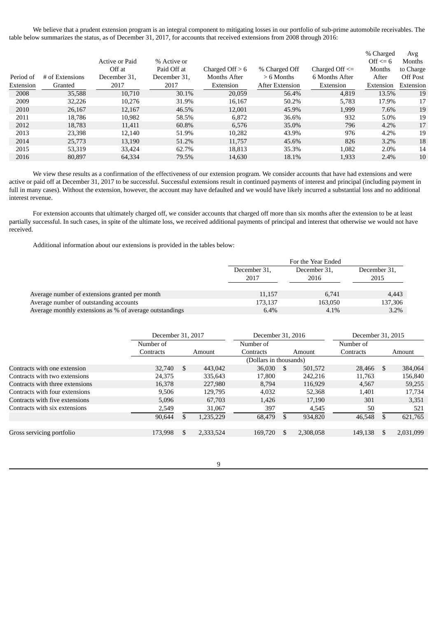We believe that a prudent extension program is an integral component to mitigating losses in our portfolio of sub-prime automobile receivables. The table below summarizes the status, as of December 31, 2017, for accounts that received extensions from 2008 through 2016:

|           |                 |                |              |                     |                        |                    | % Charged    | Avg             |
|-----------|-----------------|----------------|--------------|---------------------|------------------------|--------------------|--------------|-----------------|
|           |                 | Active or Paid | % Active or  |                     |                        |                    | $Off \leq 6$ | Months          |
|           |                 | Off at         | Paid Off at  | Charged Off $> 6$   | % Charged Off          | Charged Off $\leq$ | Months       | to Charge       |
| Period of | # of Extensions | December 31,   | December 31. | <b>Months After</b> | $> 6$ Months           | 6 Months After     | After        | <b>Off Post</b> |
| Extension | Granted         | 2017           | 2017         | Extension           | <b>After Extension</b> | Extension          | Extension    | Extension       |
| 2008      | 35,588          | 10,710         | 30.1%        | 20,059              | 56.4%                  | 4,819              | 13.5%        | 19              |
| 2009      | 32,226          | 10.276         | 31.9%        | 16,167              | 50.2%                  | 5,783              | 17.9%        | 17              |
| 2010      | 26,167          | 12,167         | 46.5%        | 12,001              | 45.9%                  | 1,999              | 7.6%         | 19              |
| 2011      | 18.786          | 10,982         | 58.5%        | 6,872               | 36.6%                  | 932                | 5.0%         | 19              |
| 2012      | 18.783          | 11.411         | 60.8%        | 6,576               | 35.0%                  | 796                | $4.2\%$      | 17              |
| 2013      | 23,398          | 12.140         | 51.9%        | 10,282              | 43.9%                  | 976                | 4.2%         | 19              |
| 2014      | 25,773          | 13,190         | 51.2%        | 11,757              | 45.6%                  | 826                | $3.2\%$      | 18              |
| 2015      | 53,319          | 33.424         | 62.7%        | 18,813              | 35.3%                  | 1,082              | 2.0%         | 14              |
| 2016      | 80.897          | 64.334         | 79.5%        | 14.630              | 18.1%                  | 1,933              | 2.4%         | 10              |

We view these results as a confirmation of the effectiveness of our extension program. We consider accounts that have had extensions and were active or paid off at December 31, 2017 to be successful. Successful extensions result in continued payments of interest and principal (including payment in full in many cases). Without the extension, however, the account may have defaulted and we would have likely incurred a substantial loss and no additional interest revenue.

For extension accounts that ultimately charged off, we consider accounts that charged off more than six months after the extension to be at least partially successful. In such cases, in spite of the ultimate loss, we received additional payments of principal and interest that otherwise we would not have received.

Additional information about our extensions is provided in the tables below:

|                                                         |                      | For the Year Ended   |                      |  |  |  |  |
|---------------------------------------------------------|----------------------|----------------------|----------------------|--|--|--|--|
|                                                         | December 31,<br>2017 | December 31,<br>2016 | December 31,<br>2015 |  |  |  |  |
| Average number of extensions granted per month          | 11,157               | 6.741                | 4,443                |  |  |  |  |
| Average number of outstanding accounts                  | 173,137              | 163,050              | 137,306              |  |  |  |  |
| Average monthly extensions as % of average outstandings | 6.4%                 | 4.1%                 | 3.2%                 |  |  |  |  |

|                                 | December 31, 2017 |    | December 31, 2016 |                        |     | December 31, 2015 |           |               |           |
|---------------------------------|-------------------|----|-------------------|------------------------|-----|-------------------|-----------|---------------|-----------|
|                                 | Number of         |    |                   | Number of              |     |                   | Number of |               |           |
|                                 | Contracts         |    | Amount            | Contracts              |     | Amount            | Contracts |               | Amount    |
|                                 |                   |    |                   | (Dollars in thousands) |     |                   |           |               |           |
| Contracts with one extension    | 32,740            | \$ | 443,042           | 36,030                 | -\$ | 501,572           | 28,466    | <sup>\$</sup> | 384,064   |
| Contracts with two extensions   | 24,375            |    | 335,643           | 17,800                 |     | 242,216           | 11,763    |               | 156,840   |
| Contracts with three extensions | 16.378            |    | 227,980           | 8.794                  |     | 116,929           | 4.567     |               | 59,255    |
| Contracts with four extensions  | 9.506             |    | 129.795           | 4.032                  |     | 52,368            | 1.401     |               | 17,734    |
| Contracts with five extensions  | 5,096             |    | 67,703            | 1,426                  |     | 17,190            | 301       |               | 3,351     |
| Contracts with six extensions   | 2,549             |    | 31,067            | 397                    |     | 4,545             | 50        |               | 521       |
|                                 | 90,644            | S  | 1,235,229         | 68,479                 | \$. | 934,820           | 46,548    | \$.           | 621,765   |
|                                 |                   |    |                   |                        |     |                   |           |               |           |
| Gross servicing portfolio       | 173.998           | \$ | 2,333,524         | 169,720                | \$. | 2,308,058         | 149,138   | \$.           | 2,031,099 |

9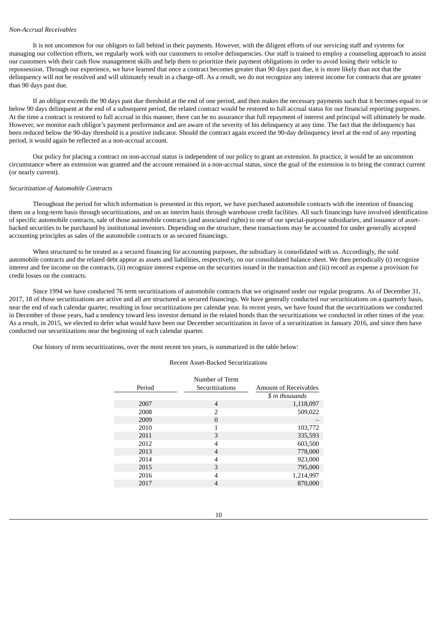# *Non-Accrual Receivables*

It is not uncommon for our obligors to fall behind in their payments. However, with the diligent efforts of our servicing staff and systems for managing our collection efforts, we regularly work with our customers to resolve delinquencies. Our staff is trained to employ a counseling approach to assist our customers with their cash flow management skills and help them to prioritize their payment obligations in order to avoid losing their vehicle to repossession. Through our experience, we have learned that once a contract becomes greater than 90 days past due, it is more likely than not that the delinquency will not be resolved and will ultimately result in a charge-off. As a result, we do not recognize any interest income for contracts that are greater than 90 days past due.

If an obligor exceeds the 90 days past due threshold at the end of one period, and then makes the necessary payments such that it becomes equal to or below 90 days delinquent at the end of a subsequent period, the related contract would be restored to full accrual status for our financial reporting purposes. At the time a contract is restored to full accrual in this manner, there can be no assurance that full repayment of interest and principal will ultimately be made. However, we monitor each obligor's payment performance and are aware of the severity of his delinquency at any time. The fact that the delinquency has been reduced below the 90-day threshold is a positive indicator. Should the contract again exceed the 90-day delinquency level at the end of any reporting period, it would again be reflected as a non-accrual account.

Our policy for placing a contract on non-accrual status is independent of our policy to grant an extension. In practice, it would be an uncommon circumstance where an extension was granted and the account remained in a non-accrual status, since the goal of the extension is to bring the contract current (or nearly current).

#### *Securitization of Automobile Contracts*

Throughout the period for which information is presented in this report, we have purchased automobile contracts with the intention of financing them on a long-term basis through securitizations, and on an interim basis through warehouse credit facilities. All such financings have involved identification of specific automobile contracts, sale of those automobile contracts (and associated rights) to one of our special-purpose subsidiaries, and issuance of assetbacked securities to be purchased by institutional investors. Depending on the structure, these transactions may be accounted for under generally accepted accounting principles as sales of the automobile contracts or as secured financings.

When structured to be treated as a secured financing for accounting purposes, the subsidiary is consolidated with us. Accordingly, the sold automobile contracts and the related debt appear as assets and liabilities, respectively, on our consolidated balance sheet. We then periodically (i) recognize interest and fee income on the contracts, (ii) recognize interest expense on the securities issued in the transaction and (iii) record as expense a provision for credit losses on the contracts.

Since 1994 we have conducted 76 term securitizations of automobile contracts that we originated under our regular programs. As of December 31, 2017, 18 of those securitizations are active and all are structured as secured financings. We have generally conducted our securitizations on a quarterly basis, near the end of each calendar quarter, resulting in four securitizations per calendar year. In recent years, we have found that the securitizations we conducted in December of those years, had a tendency toward less investor demand in the related bonds than the securitizations we conducted in other times of the year. As a result, in 2015, we elected to defer what would have been our December securitization in favor of a securitization in January 2016, and since then have conducted our securitizations near the beginning of each calendar quarter.

Our history of term securitizations, over the most recent ten years, is summarized in the table below:

# Recent Asset-Backed Securitizations

| Number of Term  |                              |
|-----------------|------------------------------|
| Securitizations | <b>Amount of Receivables</b> |
|                 | \$ in thousands              |
| $\overline{4}$  | 1,118,097                    |
| 2               | 509,022                      |
| 0               |                              |
| 1               | 103,772                      |
| 3               | 335,593                      |
| 4               | 603,500                      |
| $\overline{4}$  | 778,000                      |
| 4               | 923,000                      |
| 3               | 795,000                      |
| 4               | 1,214,997                    |
| 4               | 870,000                      |
|                 |                              |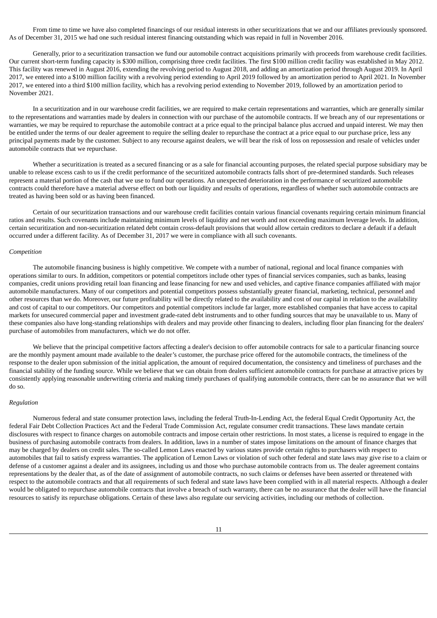From time to time we have also completed financings of our residual interests in other securitizations that we and our affiliates previously sponsored. As of December 31, 2015 we had one such residual interest financing outstanding which was repaid in full in November 2016.

Generally, prior to a securitization transaction we fund our automobile contract acquisitions primarily with proceeds from warehouse credit facilities. Our current short-term funding capacity is \$300 million, comprising three credit facilities. The first \$100 million credit facility was established in May 2012. This facility was renewed in August 2016, extending the revolving period to August 2018, and adding an amortization period through August 2019. In April 2017, we entered into a \$100 million facility with a revolving period extending to April 2019 followed by an amortization period to April 2021. In November 2017, we entered into a third \$100 million facility, which has a revolving period extending to November 2019, followed by an amortization period to November 2021.

In a securitization and in our warehouse credit facilities, we are required to make certain representations and warranties, which are generally similar to the representations and warranties made by dealers in connection with our purchase of the automobile contracts. If we breach any of our representations or warranties, we may be required to repurchase the automobile contract at a price equal to the principal balance plus accrued and unpaid interest. We may then be entitled under the terms of our dealer agreement to require the selling dealer to repurchase the contract at a price equal to our purchase price, less any principal payments made by the customer. Subject to any recourse against dealers, we will bear the risk of loss on repossession and resale of vehicles under automobile contracts that we repurchase.

Whether a securitization is treated as a secured financing or as a sale for financial accounting purposes, the related special purpose subsidiary may be unable to release excess cash to us if the credit performance of the securitized automobile contracts falls short of pre-determined standards. Such releases represent a material portion of the cash that we use to fund our operations. An unexpected deterioration in the performance of securitized automobile contracts could therefore have a material adverse effect on both our liquidity and results of operations, regardless of whether such automobile contracts are treated as having been sold or as having been financed.

Certain of our securitization transactions and our warehouse credit facilities contain various financial covenants requiring certain minimum financial ratios and results. Such covenants include maintaining minimum levels of liquidity and net worth and not exceeding maximum leverage levels. In addition, certain securitization and non-securitization related debt contain cross-default provisions that would allow certain creditors to declare a default if a default occurred under a different facility. As of December 31, 2017 we were in compliance with all such covenants.

#### *Competition*

The automobile financing business is highly competitive. We compete with a number of national, regional and local finance companies with operations similar to ours. In addition, competitors or potential competitors include other types of financial services companies, such as banks, leasing companies, credit unions providing retail loan financing and lease financing for new and used vehicles, and captive finance companies affiliated with major automobile manufacturers. Many of our competitors and potential competitors possess substantially greater financial, marketing, technical, personnel and other resources than we do. Moreover, our future profitability will be directly related to the availability and cost of our capital in relation to the availability and cost of capital to our competitors. Our competitors and potential competitors include far larger, more established companies that have access to capital markets for unsecured commercial paper and investment grade-rated debt instruments and to other funding sources that may be unavailable to us. Many of these companies also have long-standing relationships with dealers and may provide other financing to dealers, including floor plan financing for the dealers' purchase of automobiles from manufacturers, which we do not offer.

We believe that the principal competitive factors affecting a dealer's decision to offer automobile contracts for sale to a particular financing source are the monthly payment amount made available to the dealer's customer, the purchase price offered for the automobile contracts, the timeliness of the response to the dealer upon submission of the initial application, the amount of required documentation, the consistency and timeliness of purchases and the financial stability of the funding source. While we believe that we can obtain from dealers sufficient automobile contracts for purchase at attractive prices by consistently applying reasonable underwriting criteria and making timely purchases of qualifying automobile contracts, there can be no assurance that we will do so.

### *Regulation*

Numerous federal and state consumer protection laws, including the federal Truth-In-Lending Act, the federal Equal Credit Opportunity Act, the federal Fair Debt Collection Practices Act and the Federal Trade Commission Act, regulate consumer credit transactions. These laws mandate certain disclosures with respect to finance charges on automobile contracts and impose certain other restrictions. In most states, a license is required to engage in the business of purchasing automobile contracts from dealers. In addition, laws in a number of states impose limitations on the amount of finance charges that may be charged by dealers on credit sales. The so-called Lemon Laws enacted by various states provide certain rights to purchasers with respect to automobiles that fail to satisfy express warranties. The application of Lemon Laws or violation of such other federal and state laws may give rise to a claim or defense of a customer against a dealer and its assignees, including us and those who purchase automobile contracts from us. The dealer agreement contains representations by the dealer that, as of the date of assignment of automobile contracts, no such claims or defenses have been asserted or threatened with respect to the automobile contracts and that all requirements of such federal and state laws have been complied with in all material respects. Although a dealer would be obligated to repurchase automobile contracts that involve a breach of such warranty, there can be no assurance that the dealer will have the financial resources to satisfy its repurchase obligations. Certain of these laws also regulate our servicing activities, including our methods of collection.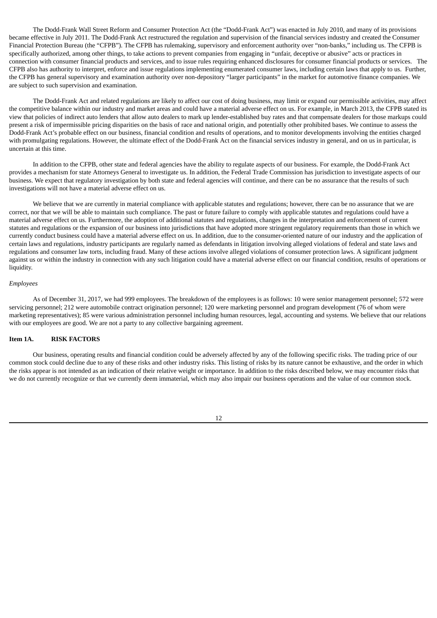The Dodd-Frank Wall Street Reform and Consumer Protection Act (the "Dodd-Frank Act") was enacted in July 2010, and many of its provisions became effective in July 2011. The Dodd-Frank Act restructured the regulation and supervision of the financial services industry and created the Consumer Financial Protection Bureau (the "CFPB"). The CFPB has rulemaking, supervisory and enforcement authority over "non-banks," including us. The CFPB is specifically authorized, among other things, to take actions to prevent companies from engaging in "unfair, deceptive or abusive" acts or practices in connection with consumer financial products and services, and to issue rules requiring enhanced disclosures for consumer financial products or services. The CFPB also has authority to interpret, enforce and issue regulations implementing enumerated consumer laws, including certain laws that apply to us. Further, the CFPB has general supervisory and examination authority over non-depository "larger participants" in the market for automotive finance companies. We are subject to such supervision and examination.

The Dodd-Frank Act and related regulations are likely to affect our cost of doing business, may limit or expand our permissible activities, may affect the competitive balance within our industry and market areas and could have a material adverse effect on us. For example, in March 2013, the CFPB stated its view that policies of indirect auto lenders that allow auto dealers to mark up lender-established buy rates and that compensate dealers for those markups could present a risk of impermissible pricing disparities on the basis of race and national origin, and potentially other prohibited bases. We continue to assess the Dodd-Frank Act's probable effect on our business, financial condition and results of operations, and to monitor developments involving the entities charged with promulgating regulations. However, the ultimate effect of the Dodd-Frank Act on the financial services industry in general, and on us in particular, is uncertain at this time.

In addition to the CFPB, other state and federal agencies have the ability to regulate aspects of our business. For example, the Dodd-Frank Act provides a mechanism for state Attorneys General to investigate us. In addition, the Federal Trade Commission has jurisdiction to investigate aspects of our business. We expect that regulatory investigation by both state and federal agencies will continue, and there can be no assurance that the results of such investigations will not have a material adverse effect on us.

We believe that we are currently in material compliance with applicable statutes and regulations; however, there can be no assurance that we are correct, nor that we will be able to maintain such compliance. The past or future failure to comply with applicable statutes and regulations could have a material adverse effect on us. Furthermore, the adoption of additional statutes and regulations, changes in the interpretation and enforcement of current statutes and regulations or the expansion of our business into jurisdictions that have adopted more stringent regulatory requirements than those in which we currently conduct business could have a material adverse effect on us. In addition, due to the consumer-oriented nature of our industry and the application of certain laws and regulations, industry participants are regularly named as defendants in litigation involving alleged violations of federal and state laws and regulations and consumer law torts, including fraud. Many of these actions involve alleged violations of consumer protection laws. A significant judgment against us or within the industry in connection with any such litigation could have a material adverse effect on our financial condition, results of operations or liquidity.

#### *Employees*

As of December 31, 2017, we had 999 employees. The breakdown of the employees is as follows: 10 were senior management personnel; 572 were servicing personnel; 212 were automobile contract origination personnel; 120 were marketing personnel and program development (76 of whom were marketing representatives); 85 were various administration personnel including human resources, legal, accounting and systems. We believe that our relations with our employees are good. We are not a party to any collective bargaining agreement.

#### <span id="page-13-0"></span>**Item 1A. RISK FACTORS**

Our business, operating results and financial condition could be adversely affected by any of the following specific risks. The trading price of our common stock could decline due to any of these risks and other industry risks. This listing of risks by its nature cannot be exhaustive, and the order in which the risks appear is not intended as an indication of their relative weight or importance. In addition to the risks described below, we may encounter risks that we do not currently recognize or that we currently deem immaterial, which may also impair our business operations and the value of our common stock.

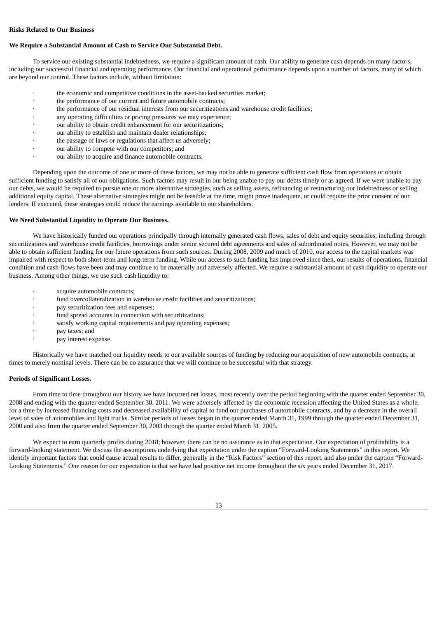# **Risks Related to Our Business**

# **We Require a Substantial Amount of Cash to Service Our Substantial Debt.**

To service our existing substantial indebtedness, we require a significant amount of cash. Our ability to generate cash depends on many factors, including our successful financial and operating performance. Our financial and operational performance depends upon a number of factors, many of which are beyond our control. These factors include, without limitation:

- · the economic and competitive conditions in the asset-backed securities market;
- the performance of our current and future automobile contracts;
- the performance of our residual interests from our securitizations and warehouse credit facilities;
- any operating difficulties or pricing pressures we may experience;
- our ability to obtain credit enhancement for our securitizations;
- our ability to establish and maintain dealer relationships;
- the passage of laws or regulations that affect us adversely;
- our ability to compete with our competitors; and
- our ability to acquire and finance automobile contracts.

Depending upon the outcome of one or more of these factors, we may not be able to generate sufficient cash flow from operations or obtain sufficient funding to satisfy all of our obligations. Such factors may result in our being unable to pay our debts timely or as agreed. If we were unable to pay our debts, we would be required to pursue one or more alternative strategies, such as selling assets, refinancing or restructuring our indebtedness or selling additional equity capital. These alternative strategies might not be feasible at the time, might prove inadequate, or could require the prior consent of our lenders. If executed, these strategies could reduce the earnings available to our shareholders.

# **We Need Substantial Liquidity to Operate Our Business.**

We have historically funded our operations principally through internally generated cash flows, sales of debt and equity securities, including through securitizations and warehouse credit facilities, borrowings under senior secured debt agreements and sales of subordinated notes. However, we may not be able to obtain sufficient funding for our future operations from such sources. During 2008, 2009 and much of 2010, our access to the capital markets was impaired with respect to both short-term and long-term funding. While our access to such funding has improved since then, our results of operations, financial condition and cash flows have been and may continue to be materially and adversely affected. We require a substantial amount of cash liquidity to operate our business. Among other things, we use such cash liquidity to:

- acquire automobile contracts;
- fund overcollateralization in warehouse credit facilities and securitizations;
- · pay securitization fees and expenses;
- fund spread accounts in connection with securitizations;
- satisfy working capital requirements and pay operating expenses;
- pay taxes; and
- pay interest expense.

Historically we have matched our liquidity needs to our available sources of funding by reducing our acquisition of new automobile contracts, at times to merely nominal levels. There can be no assurance that we will continue to be successful with that strategy.

#### **Periods of Significant Losses.**

From time to time throughout our history we have incurred net losses, most recently over the period beginning with the quarter ended September 30, 2008 and ending with the quarter ended September 30, 2011. We were adversely affected by the economic recession affecting the United States as a whole, for a time by increased financing costs and decreased availability of capital to fund our purchases of automobile contracts, and by a decrease in the overall level of sales of automobiles and light trucks. Similar periods of losses began in the quarter ended March 31, 1999 through the quarter ended December 31, 2000 and also from the quarter ended September 30, 2003 through the quarter ended March 31, 2005.

We expect to earn quarterly profits during 2018; however, there can be no assurance as to that expectation. Our expectation of profitability is a forward-looking statement. We discuss the assumptions underlying that expectation under the caption "Forward-Looking Statements" in this report. We identify important factors that could cause actual results to differ, generally in the "Risk Factors" section of this report, and also under the caption "Forward-Looking Statements." One reason for our expectation is that we have had positive net income throughout the six years ended December 31, 2017.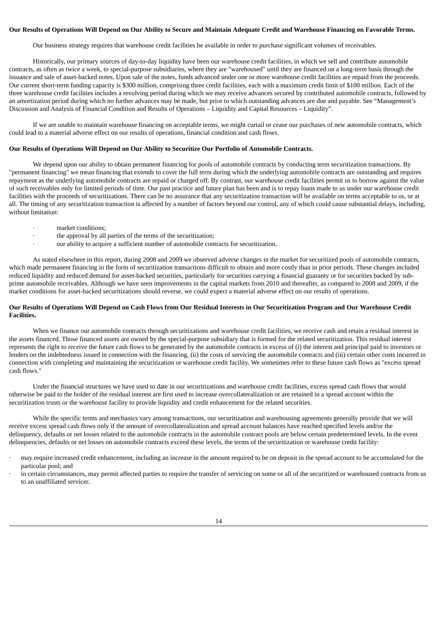# Our Results of Operations Will Depend on Our Ability to Secure and Maintain Adequate Credit and Warehouse Financing on Favorable Terms.

Our business strategy requires that warehouse credit facilities be available in order to purchase significant volumes of receivables.

Historically, our primary sources of day-to-day liquidity have been our warehouse credit facilities, in which we sell and contribute automobile contracts, as often as twice a week, to special-purpose subsidiaries, where they are "warehoused" until they are financed on a long-term basis through the issuance and sale of asset-backed notes. Upon sale of the notes, funds advanced under one or more warehouse credit facilities are repaid from the proceeds. Our current short-term funding capacity is \$300 million, comprising three credit facilities, each with a maximum credit limit of \$100 million. Each of the three warehouse credit facilities includes a revolving period during which we may receive advances secured by contributed automobile contracts, followed by an amortization period during which no further advances may be made, but prior to which outstanding advances are due and payable. See "Management's Discussion and Analysis of Financial Condition and Results of Operations – Liquidity and Capital Resources – Liquidity".

If we are unable to maintain warehouse financing on acceptable terms, we might curtail or cease our purchases of new automobile contracts, which could lead to a material adverse effect on our results of operations, financial condition and cash flows.

# **Our Results of Operations Will Depend on Our Ability to Securitize Our Portfolio of Automobile Contracts.**

We depend upon our ability to obtain permanent financing for pools of automobile contracts by conducting term securitization transactions. By "permanent financing" we mean financing that extends to cover the full term during which the underlying automobile contracts are outstanding and requires repayment as the underlying automobile contracts are repaid or charged off. By contrast, our warehouse credit facilities permit us to borrow against the value of such receivables only for limited periods of time. Our past practice and future plan has been and is to repay loans made to us under our warehouse credit facilities with the proceeds of securitizations. There can be no assurance that any securitization transaction will be available on terms acceptable to us, or at all. The timing of any securitization transaction is affected by a number of factors beyond our control, any of which could cause substantial delays, including, without limitation:

- market conditions;
- the approval by all parties of the terms of the securitization;
- our ability to acquire a sufficient number of automobile contracts for securitization.

As stated elsewhere in this report, during 2008 and 2009 we observed adverse changes in the market for securitized pools of automobile contracts, which made permanent financing in the form of securitization transactions difficult to obtain and more costly than in prior periods. These changes included reduced liquidity and reduced demand for asset-backed securities, particularly for securities carrying a financial guaranty or for securities backed by subprime automobile receivables. Although we have seen improvements in the capital markets from 2010 and thereafter, as compared to 2008 and 2009, if the market conditions for asset-backed securitizations should reverse, we could expect a material adverse effect on our results of operations.

# Our Results of Operations Will Depend on Cash Flows from Our Residual Interests in Our Securitization Program and Our Warehouse Credit **Facilities.**

When we finance our automobile contracts through securitizations and warehouse credit facilities, we receive cash and retain a residual interest in the assets financed. Those financed assets are owned by the special-purpose subsidiary that is formed for the related securitization. This residual interest represents the right to receive the future cash flows to be generated by the automobile contracts in excess of (i) the interest and principal paid to investors or lenders on the indebtedness issued in connection with the financing, (ii) the costs of servicing the automobile contracts and (iii) certain other costs incurred in connection with completing and maintaining the securitization or warehouse credit facility. We sometimes refer to these future cash flows as "excess spread cash flows."

Under the financial structures we have used to date in our securitizations and warehouse credit facilities, excess spread cash flows that would otherwise be paid to the holder of the residual interest are first used to increase overcollateralization or are retained in a spread account within the securitization trusts or the warehouse facility to provide liquidity and credit enhancement for the related securities.

While the specific terms and mechanics vary among transactions, our securitization and warehousing agreements generally provide that we will receive excess spread cash flows only if the amount of overcollateralization and spread account balances have reached specified levels and/or the delinquency, defaults or net losses related to the automobile contracts in the automobile contract pools are below certain predetermined levels. In the event delinquencies, defaults or net losses on automobile contracts exceed these levels, the terms of the securitization or warehouse credit facility:

- · may require increased credit enhancement, including an increase in the amount required to be on deposit in the spread account to be accumulated for the particular pool; and
- in certain circumstances, may permit affected parties to require the transfer of servicing on some or all of the securitized or warehoused contracts from us to an unaffiliated servicer.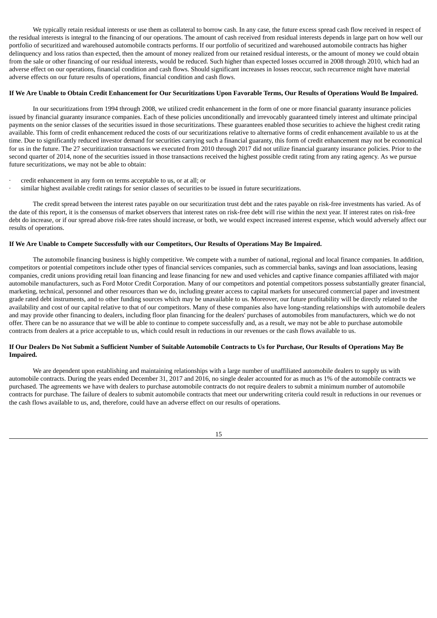We typically retain residual interests or use them as collateral to borrow cash. In any case, the future excess spread cash flow received in respect of the residual interests is integral to the financing of our operations. The amount of cash received from residual interests depends in large part on how well our portfolio of securitized and warehoused automobile contracts performs. If our portfolio of securitized and warehoused automobile contracts has higher delinquency and loss ratios than expected, then the amount of money realized from our retained residual interests, or the amount of money we could obtain from the sale or other financing of our residual interests, would be reduced. Such higher than expected losses occurred in 2008 through 2010, which had an adverse effect on our operations, financial condition and cash flows. Should significant increases in losses reoccur, such recurrence might have material adverse effects on our future results of operations, financial condition and cash flows.

# If We Are Unable to Obtain Credit Enhancement for Our Securitizations Upon Favorable Terms, Our Results of Operations Would Be Impaired.

In our securitizations from 1994 through 2008, we utilized credit enhancement in the form of one or more financial guaranty insurance policies issued by financial guaranty insurance companies. Each of these policies unconditionally and irrevocably guaranteed timely interest and ultimate principal payments on the senior classes of the securities issued in those securitizations. These guarantees enabled those securities to achieve the highest credit rating available. This form of credit enhancement reduced the costs of our securitizations relative to alternative forms of credit enhancement available to us at the time. Due to significantly reduced investor demand for securities carrying such a financial guaranty, this form of credit enhancement may not be economical for us in the future. The 27 securitization transactions we executed from 2010 through 2017 did not utilize financial guaranty insurance policies. Prior to the second quarter of 2014, none of the securities issued in those transactions received the highest possible credit rating from any rating agency. As we pursue future securitizations, we may not be able to obtain:

- · credit enhancement in any form on terms acceptable to us, or at all; or
- similar highest available credit ratings for senior classes of securities to be issued in future securitizations.

The credit spread between the interest rates payable on our securitization trust debt and the rates payable on risk-free investments has varied. As of the date of this report, it is the consensus of market observers that interest rates on risk-free debt will rise within the next year. If interest rates on risk-free debt do increase, or if our spread above risk-free rates should increase, or both, we would expect increased interest expense, which would adversely affect our results of operations.

# **If We Are Unable to Compete Successfully with our Competitors, Our Results of Operations May Be Impaired.**

The automobile financing business is highly competitive. We compete with a number of national, regional and local finance companies. In addition, competitors or potential competitors include other types of financial services companies, such as commercial banks, savings and loan associations, leasing companies, credit unions providing retail loan financing and lease financing for new and used vehicles and captive finance companies affiliated with major automobile manufacturers, such as Ford Motor Credit Corporation. Many of our competitors and potential competitors possess substantially greater financial, marketing, technical, personnel and other resources than we do, including greater access to capital markets for unsecured commercial paper and investment grade rated debt instruments, and to other funding sources which may be unavailable to us. Moreover, our future profitability will be directly related to the availability and cost of our capital relative to that of our competitors. Many of these companies also have long-standing relationships with automobile dealers and may provide other financing to dealers, including floor plan financing for the dealers' purchases of automobiles from manufacturers, which we do not offer. There can be no assurance that we will be able to continue to compete successfully and, as a result, we may not be able to purchase automobile contracts from dealers at a price acceptable to us, which could result in reductions in our revenues or the cash flows available to us.

# If Our Dealers Do Not Submit a Sufficient Number of Suitable Automobile Contracts to Us for Purchase, Our Results of Operations May Be **Impaired.**

We are dependent upon establishing and maintaining relationships with a large number of unaffiliated automobile dealers to supply us with automobile contracts. During the years ended December 31, 2017 and 2016, no single dealer accounted for as much as 1% of the automobile contracts we purchased. The agreements we have with dealers to purchase automobile contracts do not require dealers to submit a minimum number of automobile contracts for purchase. The failure of dealers to submit automobile contracts that meet our underwriting criteria could result in reductions in our revenues or the cash flows available to us, and, therefore, could have an adverse effect on our results of operations.

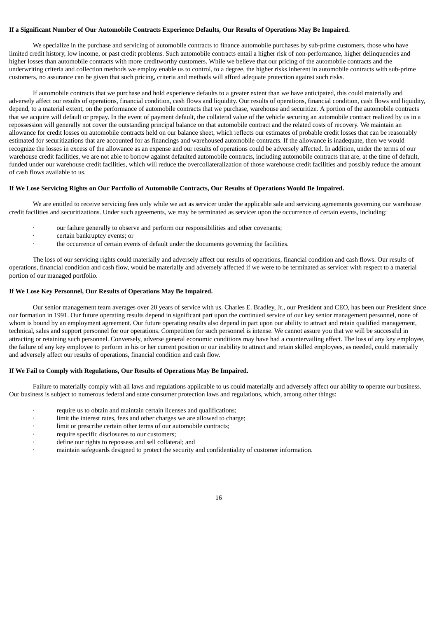# If a Significant Number of Our Automobile Contracts Experience Defaults, Our Results of Operations May Be Impaired.

We specialize in the purchase and servicing of automobile contracts to finance automobile purchases by sub-prime customers, those who have limited credit history, low income, or past credit problems. Such automobile contracts entail a higher risk of non-performance, higher delinquencies and higher losses than automobile contracts with more creditworthy customers. While we believe that our pricing of the automobile contracts and the underwriting criteria and collection methods we employ enable us to control, to a degree, the higher risks inherent in automobile contracts with sub-prime customers, no assurance can be given that such pricing, criteria and methods will afford adequate protection against such risks.

If automobile contracts that we purchase and hold experience defaults to a greater extent than we have anticipated, this could materially and adversely affect our results of operations, financial condition, cash flows and liquidity. Our results of operations, financial condition, cash flows and liquidity, depend, to a material extent, on the performance of automobile contracts that we purchase, warehouse and securitize. A portion of the automobile contracts that we acquire will default or prepay. In the event of payment default, the collateral value of the vehicle securing an automobile contract realized by us in a repossession will generally not cover the outstanding principal balance on that automobile contract and the related costs of recovery. We maintain an allowance for credit losses on automobile contracts held on our balance sheet, which reflects our estimates of probable credit losses that can be reasonably estimated for securitizations that are accounted for as financings and warehoused automobile contracts. If the allowance is inadequate, then we would recognize the losses in excess of the allowance as an expense and our results of operations could be adversely affected. In addition, under the terms of our warehouse credit facilities, we are not able to borrow against defaulted automobile contracts, including automobile contracts that are, at the time of default, funded under our warehouse credit facilities, which will reduce the overcollateralization of those warehouse credit facilities and possibly reduce the amount of cash flows available to us.

# If We Lose Servicing Rights on Our Portfolio of Automobile Contracts, Our Results of Operations Would Be Impaired.

We are entitled to receive servicing fees only while we act as servicer under the applicable sale and servicing agreements governing our warehouse credit facilities and securitizations. Under such agreements, we may be terminated as servicer upon the occurrence of certain events, including:

- our failure generally to observe and perform our responsibilities and other covenants;
- certain bankruptcy events; or
- the occurrence of certain events of default under the documents governing the facilities.

The loss of our servicing rights could materially and adversely affect our results of operations, financial condition and cash flows. Our results of operations, financial condition and cash flow, would be materially and adversely affected if we were to be terminated as servicer with respect to a material portion of our managed portfolio.

# **If We Lose Key Personnel, Our Results of Operations May Be Impaired.**

Our senior management team averages over 20 years of service with us. Charles E. Bradley, Jr., our President and CEO, has been our President since our formation in 1991. Our future operating results depend in significant part upon the continued service of our key senior management personnel, none of whom is bound by an employment agreement. Our future operating results also depend in part upon our ability to attract and retain qualified management, technical, sales and support personnel for our operations. Competition for such personnel is intense. We cannot assure you that we will be successful in attracting or retaining such personnel. Conversely, adverse general economic conditions may have had a countervailing effect. The loss of any key employee, the failure of any key employee to perform in his or her current position or our inability to attract and retain skilled employees, as needed, could materially and adversely affect our results of operations, financial condition and cash flow.

# **If We Fail to Comply with Regulations, Our Results of Operations May Be Impaired.**

Failure to materially comply with all laws and regulations applicable to us could materially and adversely affect our ability to operate our business. Our business is subject to numerous federal and state consumer protection laws and regulations, which, among other things:

- require us to obtain and maintain certain licenses and qualifications;
- limit the interest rates, fees and other charges we are allowed to charge;
- limit or prescribe certain other terms of our automobile contracts;
- require specific disclosures to our customers;
- define our rights to repossess and sell collateral; and
- · maintain safeguards designed to protect the security and confidentiality of customer information.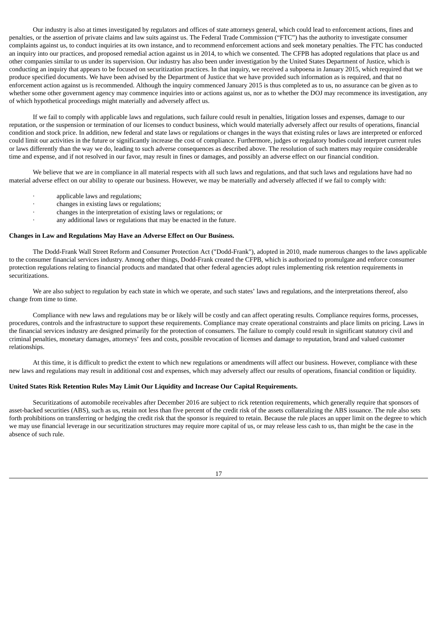Our industry is also at times investigated by regulators and offices of state attorneys general, which could lead to enforcement actions, fines and penalties, or the assertion of private claims and law suits against us. The Federal Trade Commission ("FTC") has the authority to investigate consumer complaints against us, to conduct inquiries at its own instance, and to recommend enforcement actions and seek monetary penalties. The FTC has conducted an inquiry into our practices, and proposed remedial action against us in 2014, to which we consented. The CFPB has adopted regulations that place us and other companies similar to us under its supervision. Our industry has also been under investigation by the United States Department of Justice, which is conducting an inquiry that appears to be focused on securitization practices. In that inquiry, we received a subpoena in January 2015, which required that we produce specified documents. We have been advised by the Department of Justice that we have provided such information as is required, and that no enforcement action against us is recommended. Although the inquiry commenced January 2015 is thus completed as to us, no assurance can be given as to whether some other government agency may commence inquiries into or actions against us, nor as to whether the DOJ may recommence its investigation, any of which hypothetical proceedings might materially and adversely affect us.

If we fail to comply with applicable laws and regulations, such failure could result in penalties, litigation losses and expenses, damage to our reputation, or the suspension or termination of our licenses to conduct business, which would materially adversely affect our results of operations, financial condition and stock price. In addition, new federal and state laws or regulations or changes in the ways that existing rules or laws are interpreted or enforced could limit our activities in the future or significantly increase the cost of compliance. Furthermore, judges or regulatory bodies could interpret current rules or laws differently than the way we do, leading to such adverse consequences as described above. The resolution of such matters may require considerable time and expense, and if not resolved in our favor, may result in fines or damages, and possibly an adverse effect on our financial condition.

We believe that we are in compliance in all material respects with all such laws and regulations, and that such laws and regulations have had no material adverse effect on our ability to operate our business. However, we may be materially and adversely affected if we fail to comply with:

- applicable laws and regulations;
- · changes in existing laws or regulations;
- · changes in the interpretation of existing laws or regulations; or
- any additional laws or regulations that may be enacted in the future.

# **Changes in Law and Regulations May Have an Adverse Effect on Our Business.**

The Dodd-Frank Wall Street Reform and Consumer Protection Act ("Dodd-Frank"), adopted in 2010, made numerous changes to the laws applicable to the consumer financial services industry. Among other things, Dodd-Frank created the CFPB, which is authorized to promulgate and enforce consumer protection regulations relating to financial products and mandated that other federal agencies adopt rules implementing risk retention requirements in securitizations.

We are also subject to regulation by each state in which we operate, and such states' laws and regulations, and the interpretations thereof, also change from time to time.

Compliance with new laws and regulations may be or likely will be costly and can affect operating results. Compliance requires forms, processes, procedures, controls and the infrastructure to support these requirements. Compliance may create operational constraints and place limits on pricing. Laws in the financial services industry are designed primarily for the protection of consumers. The failure to comply could result in significant statutory civil and criminal penalties, monetary damages, attorneys' fees and costs, possible revocation of licenses and damage to reputation, brand and valued customer relationships.

At this time, it is difficult to predict the extent to which new regulations or amendments will affect our business. However, compliance with these new laws and regulations may result in additional cost and expenses, which may adversely affect our results of operations, financial condition or liquidity.

### **United States Risk Retention Rules May Limit Our Liquidity and Increase Our Capital Requirements.**

Securitizations of automobile receivables after December 2016 are subject to rick retention requirements, which generally require that sponsors of asset-backed securities (ABS), such as us, retain not less than five percent of the credit risk of the assets collateralizing the ABS issuance. The rule also sets forth prohibitions on transferring or hedging the credit risk that the sponsor is required to retain. Because the rule places an upper limit on the degree to which we may use financial leverage in our securitization structures may require more capital of us, or may release less cash to us, than might be the case in the absence of such rule.

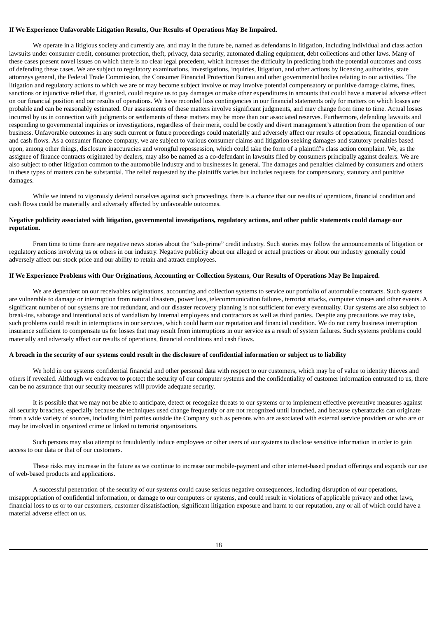# **If We Experience Unfavorable Litigation Results, Our Results of Operations May Be Impaired.**

We operate in a litigious society and currently are, and may in the future be, named as defendants in litigation, including individual and class action lawsuits under consumer credit, consumer protection, theft, privacy, data security, automated dialing equipment, debt collections and other laws. Many of these cases present novel issues on which there is no clear legal precedent, which increases the difficulty in predicting both the potential outcomes and costs of defending these cases. We are subject to regulatory examinations, investigations, inquiries, litigation, and other actions by licensing authorities, state attorneys general, the Federal Trade Commission, the Consumer Financial Protection Bureau and other governmental bodies relating to our activities. The litigation and regulatory actions to which we are or may become subject involve or may involve potential compensatory or punitive damage claims, fines, sanctions or injunctive relief that, if granted, could require us to pay damages or make other expenditures in amounts that could have a material adverse effect on our financial position and our results of operations. We have recorded loss contingencies in our financial statements only for matters on which losses are probable and can be reasonably estimated. Our assessments of these matters involve significant judgments, and may change from time to time. Actual losses incurred by us in connection with judgments or settlements of these matters may be more than our associated reserves. Furthermore, defending lawsuits and responding to governmental inquiries or investigations, regardless of their merit, could be costly and divert management's attention from the operation of our business. Unfavorable outcomes in any such current or future proceedings could materially and adversely affect our results of operations, financial conditions and cash flows. As a consumer finance company, we are subject to various consumer claims and litigation seeking damages and statutory penalties based upon, among other things, disclosure inaccuracies and wrongful repossession, which could take the form of a plaintiff's class action complaint. We, as the assignee of finance contracts originated by dealers, may also be named as a co-defendant in lawsuits filed by consumers principally against dealers. We are also subject to other litigation common to the automobile industry and to businesses in general. The damages and penalties claimed by consumers and others in these types of matters can be substantial. The relief requested by the plaintiffs varies but includes requests for compensatory, statutory and punitive damages.

While we intend to vigorously defend ourselves against such proceedings, there is a chance that our results of operations, financial condition and cash flows could be materially and adversely affected by unfavorable outcomes.

# Negative publicity associated with litigation, governmental investigations, regulatory actions, and other public statements could damage our **reputation.**

From time to time there are negative news stories about the "sub-prime" credit industry. Such stories may follow the announcements of litigation or regulatory actions involving us or others in our industry. Negative publicity about our alleged or actual practices or about our industry generally could adversely affect our stock price and our ability to retain and attract employees.

### If We Experience Problems with Our Originations, Accounting or Collection Systems, Our Results of Operations May Be Impaired.

We are dependent on our receivables originations, accounting and collection systems to service our portfolio of automobile contracts. Such systems are vulnerable to damage or interruption from natural disasters, power loss, telecommunication failures, terrorist attacks, computer viruses and other events. A significant number of our systems are not redundant, and our disaster recovery planning is not sufficient for every eventuality. Our systems are also subject to break-ins, sabotage and intentional acts of vandalism by internal employees and contractors as well as third parties. Despite any precautions we may take, such problems could result in interruptions in our services, which could harm our reputation and financial condition. We do not carry business interruption insurance sufficient to compensate us for losses that may result from interruptions in our service as a result of system failures. Such systems problems could materially and adversely affect our results of operations, financial conditions and cash flows.

### A breach in the security of our systems could result in the disclosure of confidential information or subject us to liability

We hold in our systems confidential financial and other personal data with respect to our customers, which may be of value to identity thieves and others if revealed. Although we endeavor to protect the security of our computer systems and the confidentiality of customer information entrusted to us, there can be no assurance that our security measures will provide adequate security.

It is possible that we may not be able to anticipate, detect or recognize threats to our systems or to implement effective preventive measures against all security breaches, especially because the techniques used change frequently or are not recognized until launched, and because cyberattacks can originate from a wide variety of sources, including third parties outside the Company such as persons who are associated with external service providers or who are or may be involved in organized crime or linked to terrorist organizations.

Such persons may also attempt to fraudulently induce employees or other users of our systems to disclose sensitive information in order to gain access to our data or that of our customers.

These risks may increase in the future as we continue to increase our mobile-payment and other internet-based product offerings and expands our use of web-based products and applications.

A successful penetration of the security of our systems could cause serious negative consequences, including disruption of our operations, misappropriation of confidential information, or damage to our computers or systems, and could result in violations of applicable privacy and other laws, financial loss to us or to our customers, customer dissatisfaction, significant litigation exposure and harm to our reputation, any or all of which could have a material adverse effect on us.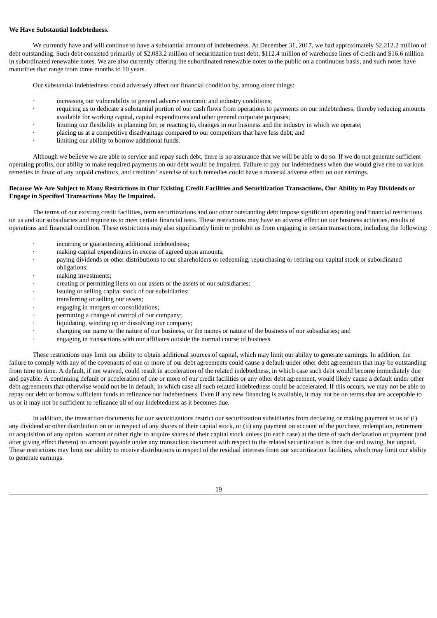# **We Have Substantial Indebtedness.**

We currently have and will continue to have a substantial amount of indebtedness. At December 31, 2017, we had approximately \$2,212.2 million of debt outstanding. Such debt consisted primarily of \$2,083.2 million of securitization trust debt, \$112.4 million of warehouse lines of credit and \$16.6 million in subordinated renewable notes. We are also currently offering the subordinated renewable notes to the public on a continuous basis, and such notes have maturities that range from three months to 10 years.

Our substantial indebtedness could adversely affect our financial condition by, among other things:

- increasing our vulnerability to general adverse economic and industry conditions;
- · requiring us to dedicate a substantial portion of our cash flows from operations to payments on our indebtedness, thereby reducing amounts available for working capital, capital expenditures and other general corporate purposes;
- limiting our flexibility in planning for, or reacting to, changes in our business and the industry in which we operate;
- · placing us at a competitive disadvantage compared to our competitors that have less debt; and
- limiting our ability to borrow additional funds.

Although we believe we are able to service and repay such debt, there is no assurance that we will be able to do so. If we do not generate sufficient operating profits, our ability to make required payments on our debt would be impaired. Failure to pay our indebtedness when due would give rise to various remedies in favor of any unpaid creditors, and creditors' exercise of such remedies could have a material adverse effect on our earnings.

# Because We Are Subject to Many Restrictions in Our Existing Credit Facilities and Securitization Transactions, Our Ability to Pay Dividends or **Engage in Specified Transactions May Be Impaired.**

The terms of our existing credit facilities, term securitizations and our other outstanding debt impose significant operating and financial restrictions on us and our subsidiaries and require us to meet certain financial tests. These restrictions may have an adverse effect on our business activities, results of operations and financial condition. These restrictions may also significantly limit or prohibit us from engaging in certain transactions, including the following:

- incurring or guaranteeing additional indebtedness;
- making capital expenditures in excess of agreed upon amounts;
- · paying dividends or other distributions to our shareholders or redeeming, repurchasing or retiring our capital stock or subordinated obligations;
- making investments;
- creating or permitting liens on our assets or the assets of our subsidiaries;
- issuing or selling capital stock of our subsidiaries;
- transferring or selling our assets;
- · engaging in mergers or consolidations;
- permitting a change of control of our company;
- liquidating, winding up or dissolving our company;
- · changing our name or the nature of our business, or the names or nature of the business of our subsidiaries; and
- engaging in transactions with our affiliates outside the normal course of business.

These restrictions may limit our ability to obtain additional sources of capital, which may limit our ability to generate earnings. In addition, the failure to comply with any of the covenants of one or more of our debt agreements could cause a default under other debt agreements that may be outstanding from time to time. A default, if not waived, could result in acceleration of the related indebtedness, in which case such debt would become immediately due and payable. A continuing default or acceleration of one or more of our credit facilities or any other debt agreement, would likely cause a default under other debt agreements that otherwise would not be in default, in which case all such related indebtedness could be accelerated. If this occurs, we may not be able to repay our debt or borrow sufficient funds to refinance our indebtedness. Even if any new financing is available, it may not be on terms that are acceptable to us or it may not be sufficient to refinance all of our indebtedness as it becomes due.

In addition, the transaction documents for our securitizations restrict our securitization subsidiaries from declaring or making payment to us of (i) any dividend or other distribution on or in respect of any shares of their capital stock, or (ii) any payment on account of the purchase, redemption, retirement or acquisition of any option, warrant or other right to acquire shares of their capital stock unless (in each case) at the time of such declaration or payment (and after giving effect thereto) no amount payable under any transaction document with respect to the related securitization is then due and owing, but unpaid. These restrictions may limit our ability to receive distributions in respect of the residual interests from our securitization facilities, which may limit our ability to generate earnings.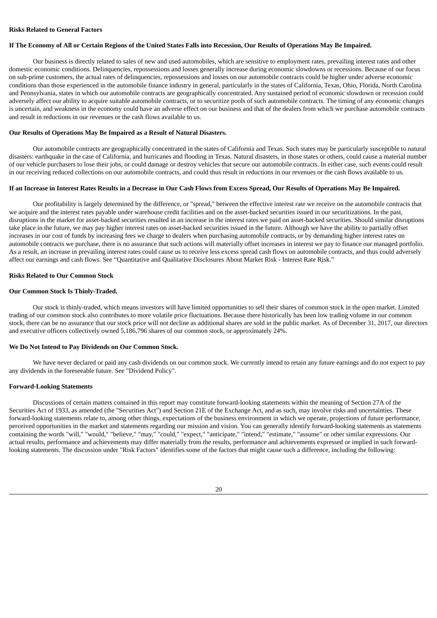# **Risks Related to General Factors**

# If The Economy of All or Certain Regions of the United States Falls into Recession, Our Results of Operations May Be Impaired.

Our business is directly related to sales of new and used automobiles, which are sensitive to employment rates, prevailing interest rates and other domestic economic conditions. Delinquencies, repossessions and losses generally increase during economic slowdowns or recessions. Because of our focus on sub-prime customers, the actual rates of delinquencies, repossessions and losses on our automobile contracts could be higher under adverse economic conditions than those experienced in the automobile finance industry in general, particularly in the states of California, Texas, Ohio, Florida, North Carolina and Pennsylvania, states in which our automobile contracts are geographically concentrated. Any sustained period of economic slowdown or recession could adversely affect our ability to acquire suitable automobile contracts, or to securitize pools of such automobile contracts. The timing of any economic changes is uncertain, and weakness in the economy could have an adverse effect on our business and that of the dealers from which we purchase automobile contracts and result in reductions in our revenues or the cash flows available to us.

# **Our Results of Operations May Be Impaired as a Result of Natural Disasters.**

Our automobile contracts are geographically concentrated in the states of California and Texas. Such states may be particularly susceptible to natural disasters: earthquake in the case of California, and hurricanes and flooding in Texas. Natural disasters, in those states or others, could cause a material number of our vehicle purchasers to lose their jobs, or could damage or destroy vehicles that secure our automobile contracts. In either case, such events could result in our receiving reduced collections on our automobile contracts, and could thus result in reductions in our revenues or the cash flows available to us.

# If an Increase in Interest Rates Results in a Decrease in Our Cash Flows from Excess Spread, Our Results of Operations May Be Impaired.

Our profitability is largely determined by the difference, or "spread," between the effective interest rate we receive on the automobile contracts that we acquire and the interest rates payable under warehouse credit facilities and on the asset-backed securities issued in our securitizations. In the past, disruptions in the market for asset-backed securities resulted in an increase in the interest rates we paid on asset-backed securities. Should similar disruptions take place in the future, we may pay higher interest rates on asset-backed securities issued in the future. Although we have the ability to partially offset increases in our cost of funds by increasing fees we charge to dealers when purchasing automobile contracts, or by demanding higher interest rates on automobile contracts we purchase, there is no assurance that such actions will materially offset increases in interest we pay to finance our managed portfolio. As a result, an increase in prevailing interest rates could cause us to receive less excess spread cash flows on automobile contracts, and thus could adversely affect our earnings and cash flows. See "Quantitative and Qualitative Disclosures About Market Risk - Interest Rate Risk."

# **Risks Related to Our Common Stock**

#### **Our Common Stock Is Thinly-Traded.**

Our stock is thinly-traded, which means investors will have limited opportunities to sell their shares of common stock in the open market. Limited trading of our common stock also contributes to more volatile price fluctuations. Because there historically has been low trading volume in our common stock, there can be no assurance that our stock price will not decline as additional shares are sold in the public market. As of December 31, 2017, our directors and executive officers collectively owned 5,186,796 shares of our common stock, or approximately 24%.

# **We Do Not Intend to Pay Dividends on Our Common Stock.**

We have never declared or paid any cash dividends on our common stock. We currently intend to retain any future earnings and do not expect to pay any dividends in the foreseeable future. See "Dividend Policy".

#### **Forward-Looking Statements**

Discussions of certain matters contained in this report may constitute forward-looking statements within the meaning of Section 27A of the Securities Act of 1933, as amended (the "Securities Act") and Section 21E of the Exchange Act, and as such, may involve risks and uncertainties. These forward-looking statements relate to, among other things, expectations of the business environment in which we operate, projections of future performance, perceived opportunities in the market and statements regarding our mission and vision. You can generally identify forward-looking statements as statements containing the words "will," "would," "believe," "may," "could," "expect," "anticipate," "intend," "estimate," "assume" or other similar expressions. Our actual results, performance and achievements may differ materially from the results, performance and achievements expressed or implied in such forwardlooking statements. The discussion under "Risk Factors" identifies some of the factors that might cause such a difference, including the following: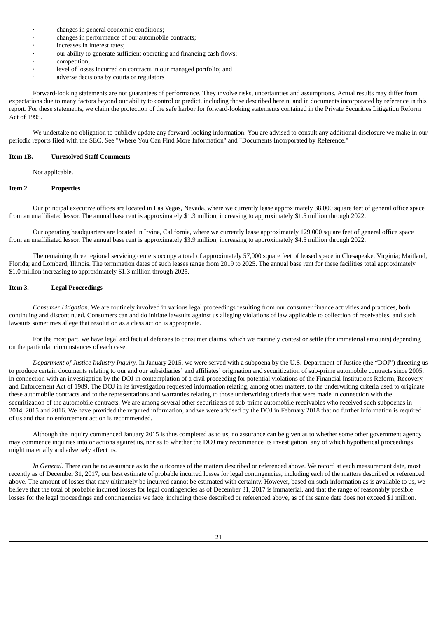- · changes in general economic conditions;
- · changes in performance of our automobile contracts;
- · increases in interest rates;
- · our ability to generate sufficient operating and financing cash flows;
- · competition;
- level of losses incurred on contracts in our managed portfolio; and
- adverse decisions by courts or regulators

Forward-looking statements are not guarantees of performance. They involve risks, uncertainties and assumptions. Actual results may differ from expectations due to many factors beyond our ability to control or predict, including those described herein, and in documents incorporated by reference in this report. For these statements, we claim the protection of the safe harbor for forward-looking statements contained in the Private Securities Litigation Reform Act of 1995.

We undertake no obligation to publicly update any forward-looking information. You are advised to consult any additional disclosure we make in our periodic reports filed with the SEC. See "Where You Can Find More Information" and "Documents Incorporated by Reference."

# <span id="page-22-0"></span>**Item 1B. Unresolved Staff Comments**

Not applicable.

### <span id="page-22-1"></span>**Item 2. Properties**

Our principal executive offices are located in Las Vegas, Nevada, where we currently lease approximately 38,000 square feet of general office space from an unaffiliated lessor. The annual base rent is approximately \$1.3 million, increasing to approximately \$1.5 million through 2022.

Our operating headquarters are located in Irvine, California, where we currently lease approximately 129,000 square feet of general office space from an unaffiliated lessor. The annual base rent is approximately \$3.9 million, increasing to approximately \$4.5 million through 2022.

The remaining three regional servicing centers occupy a total of approximately 57,000 square feet of leased space in Chesapeake, Virginia; Maitland, Florida; and Lombard, Illinois. The termination dates of such leases range from 2019 to 2025. The annual base rent for these facilities total approximately \$1.0 million increasing to approximately \$1.3 million through 2025.

# <span id="page-22-2"></span>**Item 3. Legal Proceedings**

*Consumer Litigation.* We are routinely involved in various legal proceedings resulting from our consumer finance activities and practices, both continuing and discontinued. Consumers can and do initiate lawsuits against us alleging violations of law applicable to collection of receivables, and such lawsuits sometimes allege that resolution as a class action is appropriate.

For the most part, we have legal and factual defenses to consumer claims, which we routinely contest or settle (for immaterial amounts) depending on the particular circumstances of each case.

*Department of Justice Industry Inquiry.* In January 2015, we were served with a subpoena by the U.S. Department of Justice (the "DOJ") directing us to produce certain documents relating to our and our subsidiaries' and affiliates' origination and securitization of sub-prime automobile contracts since 2005, in connection with an investigation by the DOJ in contemplation of a civil proceeding for potential violations of the Financial Institutions Reform, Recovery, and Enforcement Act of 1989. The DOJ in its investigation requested information relating, among other matters, to the underwriting criteria used to originate these automobile contracts and to the representations and warranties relating to those underwriting criteria that were made in connection with the securitization of the automobile contracts. We are among several other securitizers of sub-prime automobile receivables who received such subpoenas in 2014, 2015 and 2016. We have provided the required information, and we were advised by the DOJ in February 2018 that no further information is required of us and that no enforcement action is recommended.

Although the inquiry commenced January 2015 is thus completed as to us, no assurance can be given as to whether some other government agency may commence inquiries into or actions against us, nor as to whether the DOJ may recommence its investigation, any of which hypothetical proceedings might materially and adversely affect us.

*In General*. There can be no assurance as to the outcomes of the matters described or referenced above. We record at each measurement date, most recently as of December 31, 2017, our best estimate of probable incurred losses for legal contingencies, including each of the matters described or referenced above. The amount of losses that may ultimately be incurred cannot be estimated with certainty. However, based on such information as is available to us, we believe that the total of probable incurred losses for legal contingencies as of December 31, 2017 is immaterial, and that the range of reasonably possible losses for the legal proceedings and contingencies we face, including those described or referenced above, as of the same date does not exceed \$1 million.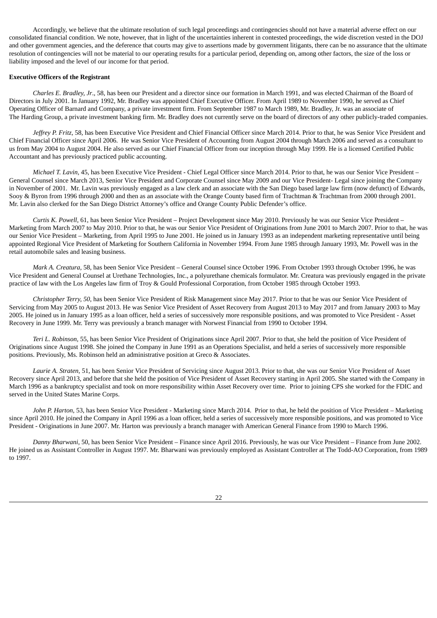Accordingly, we believe that the ultimate resolution of such legal proceedings and contingencies should not have a material adverse effect on our consolidated financial condition. We note, however, that in light of the uncertainties inherent in contested proceedings, the wide discretion vested in the DOJ and other government agencies, and the deference that courts may give to assertions made by government litigants, there can be no assurance that the ultimate resolution of contingencies will not be material to our operating results for a particular period, depending on, among other factors, the size of the loss or liability imposed and the level of our income for that period.

### <span id="page-23-0"></span>**Executive Officers of the Registrant**

*Charles E. Bradley, Jr*., 58, has been our President and a director since our formation in March 1991, and was elected Chairman of the Board of Directors in July 2001. In January 1992, Mr. Bradley was appointed Chief Executive Officer. From April 1989 to November 1990, he served as Chief Operating Officer of Barnard and Company, a private investment firm. From September 1987 to March 1989, Mr. Bradley, Jr. was an associate of The Harding Group, a private investment banking firm. Mr. Bradley does not currently serve on the board of directors of any other publicly-traded companies.

*Jeffrey P. Fritz,* 58*,* has been Executive Vice President and Chief Financial Officer since March 2014. Prior to that, he was Senior Vice President and Chief Financial Officer since April 2006. He was Senior Vice President of Accounting from August 2004 through March 2006 and served as a consultant to us from May 2004 to August 2004. He also served as our Chief Financial Officer from our inception through May 1999. He is a licensed Certified Public Accountant and has previously practiced public accounting.

*Michael T. Lavin,* 45, has been Executive Vice President - Chief Legal Officer since March 2014. Prior to that, he was our Senior Vice President – General Counsel since March 2013, Senior Vice President and Corporate Counsel since May 2009 and our Vice President- Legal since joining the Company in November of 2001. Mr. Lavin was previously engaged as a law clerk and an associate with the San Diego based large law firm (now defunct) of Edwards, Sooy & Byron from 1996 through 2000 and then as an associate with the Orange County based firm of Trachtman & Trachtman from 2000 through 2001. Mr. Lavin also clerked for the San Diego District Attorney's office and Orange County Public Defender's office.

*Curtis K. Powell,* 61, has been Senior Vice President – Project Development since May 2010. Previously he was our Senior Vice President – Marketing from March 2007 to May 2010. Prior to that, he was our Senior Vice President of Originations from June 2001 to March 2007. Prior to that, he was our Senior Vice President – Marketing, from April 1995 to June 2001. He joined us in January 1993 as an independent marketing representative until being appointed Regional Vice President of Marketing for Southern California in November 1994. From June 1985 through January 1993, Mr. Powell was in the retail automobile sales and leasing business.

*Mark A. Creatura,* 58, has been Senior Vice President – General Counsel since October 1996. From October 1993 through October 1996, he was Vice President and General Counsel at Urethane Technologies, Inc., a polyurethane chemicals formulator. Mr. Creatura was previously engaged in the private practice of law with the Los Angeles law firm of Troy & Gould Professional Corporation, from October 1985 through October 1993.

*Christopher Terry, 50*, has been Senior Vice President of Risk Management since May 2017. Prior to that he was our Senior Vice President of Servicing from May 2005 to August 2013. He was Senior Vice President of Asset Recovery from August 2013 to May 2017 and from January 2003 to May 2005. He joined us in January 1995 as a loan officer, held a series of successively more responsible positions, and was promoted to Vice President - Asset Recovery in June 1999. Mr. Terry was previously a branch manager with Norwest Financial from 1990 to October 1994.

*Teri L. Robinson,* 55, has been Senior Vice President of Originations since April 2007. Prior to that, she held the position of Vice President of Originations since August 1998. She joined the Company in June 1991 as an Operations Specialist, and held a series of successively more responsible positions. Previously, Ms. Robinson held an administrative position at Greco & Associates.

*Laurie A. Straten,* 51*,* has been Senior Vice President of Servicing since August 2013. Prior to that, she was our Senior Vice President of Asset Recovery since April 2013, and before that she held the position of Vice President of Asset Recovery starting in April 2005. She started with the Company in March 1996 as a bankruptcy specialist and took on more responsibility within Asset Recovery over time. Prior to joining CPS she worked for the FDIC and served in the United States Marine Corps.

*John P. Harton*, 53, has been Senior Vice President - Marketing since March 2014. Prior to that, he held the position of Vice President – Marketing since April 2010. He joined the Company in April 1996 as a loan officer, held a series of successively more responsible positions, and was promoted to Vice President - Originations in June 2007. Mr. Harton was previously a branch manager with American General Finance from 1990 to March 1996.

*Danny Bharwani*, 50, has been Senior Vice President – Finance since April 2016. Previously, he was our Vice President – Finance from June 2002. He joined us as Assistant Controller in August 1997. Mr. Bharwani was previously employed as Assistant Controller at The Todd-AO Corporation, from 1989 to 1997.

22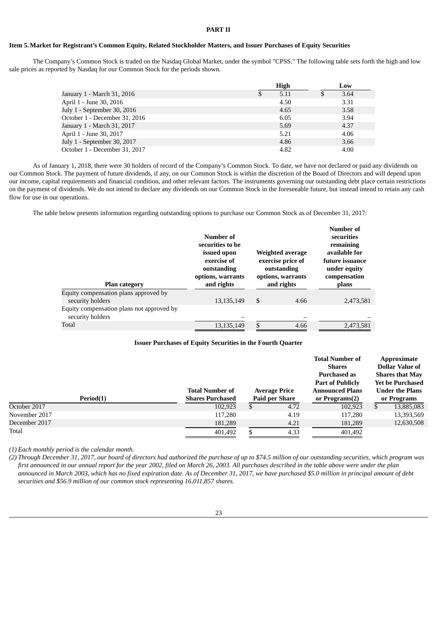# **PART II**

# <span id="page-24-1"></span><span id="page-24-0"></span>**Item 5.Market for Registrant's Common Equity, Related Stockholder Matters, and Issuer Purchases of Equity Securities**

The Company's Common Stock is traded on the Nasdaq Global Market, under the symbol "CPSS." The following table sets forth the high and low sale prices as reported by Nasdaq for our Common Stock for the periods shown.

|                               |   | <b>High</b> | Low  |
|-------------------------------|---|-------------|------|
| January 1 - March 31, 2016    | D | 5.11        | 3.64 |
| April 1 - June 30, 2016       |   | 4.50        | 3.31 |
| July 1 - September 30, 2016   |   | 4.65        | 3.58 |
| October 1 - December 31, 2016 |   | 6.05        | 3.94 |
| January 1 - March 31, 2017    |   | 5.69        | 4.37 |
| April 1 - June 30, 2017       |   | 5.21        | 4.06 |
| July 1 - September 30, 2017   |   | 4.86        | 3.66 |
| October 1 - December 31, 2017 |   | 4.82        | 4.00 |

As of January 1, 2018, there were 30 holders of record of the Company's Common Stock. To date, we have not declared or paid any dividends on our Common Stock. The payment of future dividends, if any, on our Common Stock is within the discretion of the Board of Directors and will depend upon our income, capital requirements and financial condition, and other relevant factors. The instruments governing our outstanding debt place certain restrictions on the payment of dividends. We do not intend to declare any dividends on our Common Stock in the foreseeable future, but instead intend to retain any cash flow for use in our operations.

The table below presents information regarding outstanding options to purchase our Common Stock as of December 31, 2017:

| Number of<br>securities to be<br>issued upon<br>exercise of<br>outstanding<br>options, warrants |            |      | Number of<br>securities<br>remaining<br>available for<br>future issuance<br>under equity<br>compensation<br>plans |  |  |
|-------------------------------------------------------------------------------------------------|------------|------|-------------------------------------------------------------------------------------------------------------------|--|--|
|                                                                                                 |            |      |                                                                                                                   |  |  |
| 13,135,149                                                                                      | \$         | 4.66 | 2,473,581                                                                                                         |  |  |
|                                                                                                 |            |      |                                                                                                                   |  |  |
|                                                                                                 |            |      |                                                                                                                   |  |  |
| 13,135,149                                                                                      | \$         | 4.66 | 2,473,581                                                                                                         |  |  |
|                                                                                                 | and rights |      | <b>Weighted average</b><br>exercise price of<br>outstanding<br>options, warrants<br>and rights                    |  |  |

### **Issuer Purchases of Equity Securities in the Fourth Quarter**

|               | <b>Total Number of</b>  | <b>Average Price</b>  | <b>Total Number of</b><br><b>Shares</b><br><b>Purchased as</b><br><b>Part of Publicly</b><br><b>Announced Plans</b> |    | Approximate<br><b>Dollar Value of</b><br><b>Shares that May</b><br><b>Yet be Purchased</b><br><b>Under the Plans</b> |
|---------------|-------------------------|-----------------------|---------------------------------------------------------------------------------------------------------------------|----|----------------------------------------------------------------------------------------------------------------------|
| Period(1)     | <b>Shares Purchased</b> | <b>Paid per Share</b> | or Programs(2)                                                                                                      |    | or Programs                                                                                                          |
| October 2017  | 102,923                 | 4.72<br>S             | 102,923                                                                                                             | S. | 13,885,083                                                                                                           |
| November 2017 | 117,280                 | 4.19                  | 117,280                                                                                                             |    | 13,393,569                                                                                                           |
| December 2017 | 181,289                 | 4.21                  | 181,289                                                                                                             |    | 12,630,508                                                                                                           |
| Total         | 401,492                 | 4.33                  | 401,492                                                                                                             |    |                                                                                                                      |

*(1) Each monthly period is the calendar month.*

(2) Through December 31, 2017, our board of directors had authorized the purchase of up to \$74.5 million of our outstanding securities, which program was first announced in our annual report for the year 2002, filed on March 26, 2003. All purchases described in the table above were under the plan announced in March 2003, which has no fixed expiration date. As of December 31, 2017, we have purchased \$5.0 million in principal amount of debt *securities and \$56.9 million of our common stock representing 16,011,857 shares.*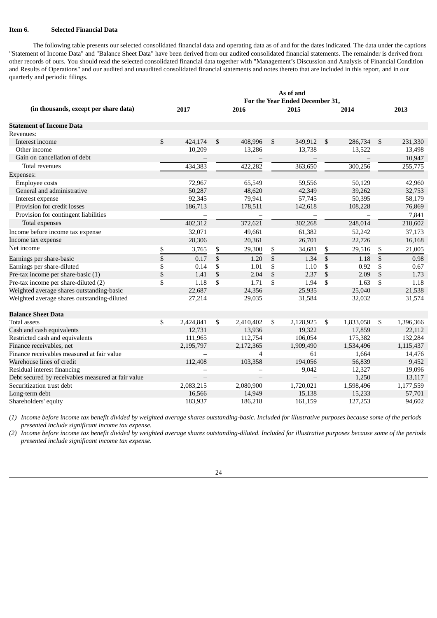# <span id="page-25-0"></span>**Item 6. Selected Financial Data**

The following table presents our selected consolidated financial data and operating data as of and for the dates indicated. The data under the captions "Statement of Income Data" and "Balance Sheet Data" have been derived from our audited consolidated financial statements. The remainder is derived from other records of ours. You should read the selected consolidated financial data together with "Management's Discussion and Analysis of Financial Condition and Results of Operations" and our audited and unaudited consolidated financial statements and notes thereto that are included in this report, and in our quarterly and periodic filings.

|                                                    |               |                          |                 |                          | As of and                       |              |           |                 |           |
|----------------------------------------------------|---------------|--------------------------|-----------------|--------------------------|---------------------------------|--------------|-----------|-----------------|-----------|
|                                                    |               |                          |                 |                          | For the Year Ended December 31, |              |           |                 |           |
| (in thousands, except per share data)              |               | 2017                     |                 | 2016                     | 2015                            |              | 2014      |                 | 2013      |
| <b>Statement of Income Data</b>                    |               |                          |                 |                          |                                 |              |           |                 |           |
| Revenues:                                          |               |                          |                 |                          |                                 |              |           |                 |           |
| Interest income                                    | $\mathcal{S}$ | 424,174                  | \$              | 408,996                  | \$<br>349,912                   | $\mathbb{S}$ | 286,734   | <sup>\$</sup>   | 231,330   |
| Other income                                       |               | 10,209                   |                 | 13,286                   | 13,738                          |              | 13,522    |                 | 13,498    |
| Gain on cancellation of debt                       |               |                          |                 |                          |                                 |              |           |                 | 10,947    |
| Total revenues                                     |               | 434,383                  |                 | 422,282                  | 363,650                         |              | 300,256   |                 | 255,775   |
| Expenses:                                          |               |                          |                 |                          |                                 |              |           |                 |           |
| <b>Employee costs</b>                              |               | 72,967                   |                 | 65,549                   | 59,556                          |              | 50,129    |                 | 42,960    |
| General and administrative                         |               | 50,287                   |                 | 48,620                   | 42,349                          |              | 39,262    |                 | 32,753    |
| Interest expense                                   |               | 92,345                   |                 | 79,941                   | 57,745                          |              | 50,395    |                 | 58,179    |
| Provision for credit losses                        |               | 186,713                  |                 | 178,511                  | 142,618                         |              | 108,228   |                 | 76,869    |
| Provision for contingent liabilities               |               |                          |                 |                          |                                 |              |           |                 | 7,841     |
| Total expenses                                     |               | 402,312                  |                 | 372,621                  | 302,268                         |              | 248,014   |                 | 218,602   |
| Income before income tax expense                   |               | 32,071                   |                 | 49,661                   | 61,382                          |              | 52,242    |                 | 37,173    |
| Income tax expense                                 |               | 28,306                   |                 | 20,361                   | 26,701                          |              | 22,726    |                 | 16,168    |
| Net income                                         | \$            | 3,765                    | \$              | 29,300                   | \$<br>34,681                    | \$           | 29,516    | \$              | 21,005    |
| Earnings per share-basic                           |               | 0.17                     | $\overline{\$}$ | 1.20                     | 1.34                            |              | 1.18      | $\overline{\$}$ | 0.98      |
| Earnings per share-diluted                         | \$            | 0.14                     | \$              | 1.01                     | \$<br>1.10                      | \$           | 0.92      | \$              | 0.67      |
| Pre-tax income per share-basic (1)                 | \$            | 1.41                     | \$              | 2.04                     | \$<br>2.37                      | \$           | 2.09      | \$              | 1.73      |
| Pre-tax income per share-diluted (2)               | \$            | 1.18                     | \$              | 1.71                     | \$<br>1.94                      | \$           | 1.63      | \$              | 1.18      |
| Weighted average shares outstanding-basic          |               | 22,687                   |                 | 24,356                   | 25,935                          |              | 25,040    |                 | 21,538    |
| Weighted average shares outstanding-diluted        |               | 27,214                   |                 | 29,035                   | 31,584                          |              | 32,032    |                 | 31,574    |
|                                                    |               |                          |                 |                          |                                 |              |           |                 |           |
| <b>Balance Sheet Data</b>                          |               |                          |                 |                          |                                 |              |           |                 |           |
| Total assets                                       | \$            | 2,424,841                | \$              | 2,410,402                | \$<br>2,128,925                 | $\$$         | 1,833,058 | \$              | 1,396,366 |
| Cash and cash equivalents                          |               | 12,731                   |                 | 13,936                   | 19,322                          |              | 17,859    |                 | 22,112    |
| Restricted cash and equivalents                    |               | 111,965                  |                 | 112,754                  | 106,054                         |              | 175,382   |                 | 132,284   |
| Finance receivables, net                           |               | 2,195,797                |                 | 2,172,365                | 1,909,490                       |              | 1,534,496 |                 | 1,115,437 |
| Finance receivables measured at fair value         |               |                          |                 | $\overline{4}$           | 61                              |              | 1,664     |                 | 14,476    |
| Warehouse lines of credit                          |               | 112,408                  |                 | 103,358                  | 194,056                         |              | 56,839    |                 | 9,452     |
| Residual interest financing                        |               |                          |                 | $\overline{\phantom{0}}$ | 9,042                           |              | 12,327    |                 | 19,096    |
| Debt secured by receivables measured at fair value |               | $\overline{\phantom{m}}$ |                 | $\overline{\phantom{m}}$ | $\overline{\phantom{m}}$        |              | 1,250     |                 | 13,117    |
| Securitization trust debt                          |               | 2,083,215                |                 | 2,080,900                | 1,720,021                       |              | 1,598,496 |                 | 1,177,559 |
| Long-term debt                                     |               | 16,566                   |                 | 14,949                   | 15,138                          |              | 15,233    |                 | 57,701    |
| Shareholders' equity                               |               | 183,937                  |                 | 186,218                  | 161,159                         |              | 127,253   |                 | 94,602    |

(1) Income before income tax benefit divided by weighted average shares outstanding-basic. Included for illustrative purposes because some of the periods *presented include significant income tax expense.*

(2) Income before income tax benefit divided by weighted average shares outstanding-diluted. Included for illustrative purposes because some of the periods *presented include significant income tax expense.*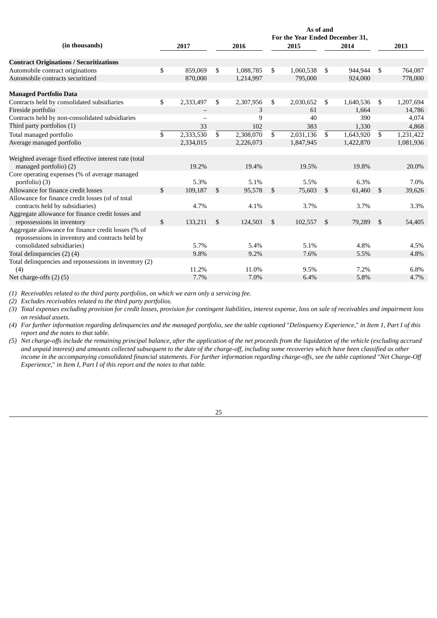|                                                        |                 |                 | As of and                       |                 |                 |
|--------------------------------------------------------|-----------------|-----------------|---------------------------------|-----------------|-----------------|
|                                                        |                 |                 | For the Year Ended December 31, |                 |                 |
| (in thousands)                                         | 2017            | 2016            | 2015                            | 2014            | 2013            |
|                                                        |                 |                 |                                 |                 |                 |
| <b>Contract Originations / Securitizations</b>         |                 |                 |                                 |                 |                 |
| Automobile contract originations                       | \$<br>859,069   | \$<br>1,088,785 | \$<br>1,060,538                 | \$<br>944,944   | \$<br>764,087   |
| Automobile contracts securitized                       | 870,000         | 1,214,997       | 795,000                         | 924,000         | 778,000         |
| <b>Managed Portfolio Data</b>                          |                 |                 |                                 |                 |                 |
| Contracts held by consolidated subsidiaries            | \$<br>2,333,497 | \$<br>2,307,956 | \$<br>2,030,652                 | \$<br>1,640,536 | \$<br>1,207,694 |
| Fireside portfolio                                     |                 | 3               | 61                              | 1,664           | 14,786          |
| Contracts held by non-consolidated subsidiaries        |                 | 9               | 40                              | 390             | 4,074           |
| Third party portfolios (1)                             | 33              | 102             | 383                             | 1,330           | 4,868           |
| Total managed portfolio                                | \$<br>2,333,530 | \$<br>2,308,070 | \$<br>2,031,136                 | \$<br>1,643,920 | \$<br>1,231,422 |
| Average managed portfolio                              | 2,334,015       | 2,226,073       | 1,847,945                       | 1,422,870       | 1,081,936       |
|                                                        |                 |                 |                                 |                 |                 |
| Weighted average fixed effective interest rate (total  |                 |                 |                                 |                 |                 |
| managed portfolio) (2)                                 | 19.2%           | 19.4%           | 19.5%                           | 19.8%           | 20.0%           |
| Core operating expenses (% of average managed          |                 |                 |                                 |                 |                 |
| portfolio) (3)                                         | 5.3%            | 5.1%            | 5.5%                            | 6.3%            | 7.0%            |
| Allowance for finance credit losses                    | \$<br>109,187   | \$<br>95,578    | \$<br>75,603                    | \$<br>61,460    | \$<br>39,626    |
| Allowance for finance credit losses (of of total       |                 |                 |                                 |                 |                 |
| contracts held by subsidiaries)                        | 4.7%            | 4.1%            | 3.7%                            | 3.7%            | 3.3%            |
| Aggregate allowance for finance credit losses and      |                 |                 |                                 |                 |                 |
| repossessions in inventory                             | \$<br>133,211   | \$<br>124,503   | \$<br>102,557                   | \$<br>79,289    | \$<br>54,405    |
| Aggregate allowance for finance credit losses (% of    |                 |                 |                                 |                 |                 |
| repossessions in inventory and contracts held by       |                 |                 |                                 |                 |                 |
| consolidated subsidiaries)                             | 5.7%            | 5.4%            | 5.1%                            | 4.8%            | 4.5%            |
| Total delinquencies (2) (4)                            | 9.8%            | 9.2%            | 7.6%                            | 5.5%            | 4.8%            |
| Total delinquencies and repossessions in inventory (2) |                 |                 |                                 |                 |                 |
| (4)                                                    | 11.2%           | 11.0%           | 9.5%                            | 7.2%            | 6.8%            |
| Net charge-offs (2) (5)                                | 7.7%            | 7.0%            | 6.4%                            | 5.8%            | 4.7%            |

*(1) Receivables related to the third party portfolios, on which we earn only a servicing fee.*

*(2) Excludes receivables related to the third party portfolios.*

(3) Total expenses excluding provision for credit losses, provision for contingent liabilities, interest expense, loss on sale of receivables and impairment loss *on residual assets.*

(4) For further information regarding delinquencies and the managed portfolio, see the table captioned "Delinquency Experience," in Item 1, Part I of this *report and the notes to that table.*

(5) Net charge-offs include the remaining principal balance, after the application of the net proceeds from the liquidation of the vehicle (excluding accrued and unpaid interest) and amounts collected subsequent to the date of the charge-off, including some recoveries which have been classified as other income in the accompanying consolidated financial statements. For further information regarding charge-offs, see the table captioned "Net Charge-Off *Experience,*" *in Item I, Part I of this report and the notes to that table.*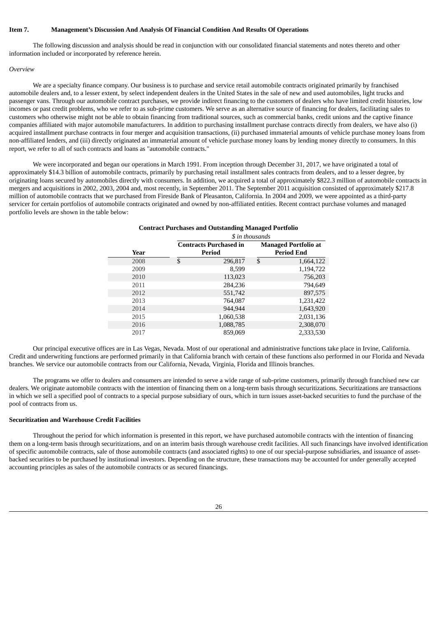# <span id="page-27-0"></span>**Item 7. Management's Discussion And Analysis Of Financial Condition And Results Of Operations**

The following discussion and analysis should be read in conjunction with our consolidated financial statements and notes thereto and other information included or incorporated by reference herein.

#### *Overview*

We are a specialty finance company. Our business is to purchase and service retail automobile contracts originated primarily by franchised automobile dealers and, to a lesser extent, by select independent dealers in the United States in the sale of new and used automobiles, light trucks and passenger vans. Through our automobile contract purchases, we provide indirect financing to the customers of dealers who have limited credit histories, low incomes or past credit problems, who we refer to as sub-prime customers. We serve as an alternative source of financing for dealers, facilitating sales to customers who otherwise might not be able to obtain financing from traditional sources, such as commercial banks, credit unions and the captive finance companies affiliated with major automobile manufacturers. In addition to purchasing installment purchase contracts directly from dealers, we have also (i) acquired installment purchase contracts in four merger and acquisition transactions, (ii) purchased immaterial amounts of vehicle purchase money loans from non-affiliated lenders, and (iii) directly originated an immaterial amount of vehicle purchase money loans by lending money directly to consumers. In this report, we refer to all of such contracts and loans as "automobile contracts."

We were incorporated and began our operations in March 1991. From inception through December 31, 2017, we have originated a total of approximately \$14.3 billion of automobile contracts, primarily by purchasing retail installment sales contracts from dealers, and to a lesser degree, by originating loans secured by automobiles directly with consumers. In addition, we acquired a total of approximately \$822.3 million of automobile contracts in mergers and acquisitions in 2002, 2003, 2004 and, most recently, in September 2011. The September 2011 acquisition consisted of approximately \$217.8 million of automobile contracts that we purchased from Fireside Bank of Pleasanton, California. In 2004 and 2009, we were appointed as a third-party servicer for certain portfolios of automobile contracts originated and owned by non-affiliated entities. Recent contract purchase volumes and managed portfolio levels are shown in the table below:

| Contract Purchases and Outstanding Managed Portfolio |    |                               |    |                             |  |  |  |
|------------------------------------------------------|----|-------------------------------|----|-----------------------------|--|--|--|
|                                                      |    | \$ in thousands               |    |                             |  |  |  |
|                                                      |    | <b>Contracts Purchased in</b> |    | <b>Managed Portfolio at</b> |  |  |  |
| Year                                                 |    | Period                        |    | <b>Period End</b>           |  |  |  |
| 2008                                                 | \$ | 296,817                       | \$ | 1,664,122                   |  |  |  |
| 2009                                                 |    | 8,599                         |    | 1,194,722                   |  |  |  |
| 2010                                                 |    | 113,023                       |    | 756,203                     |  |  |  |
| 2011                                                 |    | 284,236                       |    | 794,649                     |  |  |  |
| 2012                                                 |    | 551,742                       |    | 897,575                     |  |  |  |
| 2013                                                 |    | 764,087                       |    | 1,231,422                   |  |  |  |
| 2014                                                 |    | 944,944                       |    | 1,643,920                   |  |  |  |
| 2015                                                 |    | 1,060,538                     |    | 2,031,136                   |  |  |  |
| 2016                                                 |    | 1,088,785                     |    | 2,308,070                   |  |  |  |
| 2017                                                 |    | 859.069                       |    | 2,333,530                   |  |  |  |

**Contract Purchases and Outstanding Managed Portfolio**

Our principal executive offices are in Las Vegas, Nevada. Most of our operational and administrative functions take place in Irvine, California. Credit and underwriting functions are performed primarily in that California branch with certain of these functions also performed in our Florida and Nevada branches. We service our automobile contracts from our California, Nevada, Virginia, Florida and Illinois branches.

The programs we offer to dealers and consumers are intended to serve a wide range of sub-prime customers, primarily through franchised new car dealers. We originate automobile contracts with the intention of financing them on a long-term basis through securitizations. Securitizations are transactions in which we sell a specified pool of contracts to a special purpose subsidiary of ours, which in turn issues asset-backed securities to fund the purchase of the pool of contracts from us.

# **Securitization and Warehouse Credit Facilities**

Throughout the period for which information is presented in this report, we have purchased automobile contracts with the intention of financing them on a long-term basis through securitizations, and on an interim basis through warehouse credit facilities. All such financings have involved identification of specific automobile contracts, sale of those automobile contracts (and associated rights) to one of our special-purpose subsidiaries, and issuance of assetbacked securities to be purchased by institutional investors. Depending on the structure, these transactions may be accounted for under generally accepted accounting principles as sales of the automobile contracts or as secured financings.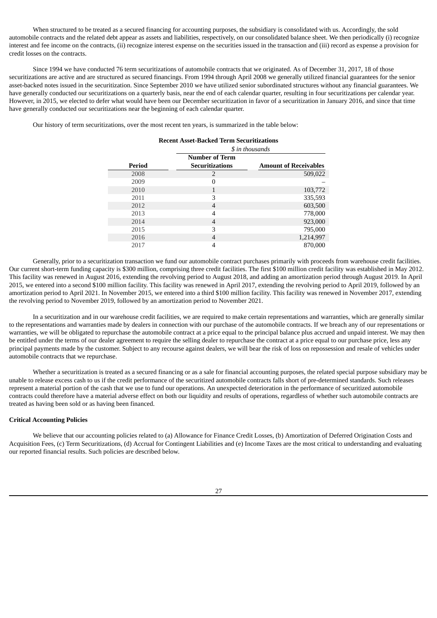When structured to be treated as a secured financing for accounting purposes, the subsidiary is consolidated with us. Accordingly, the sold automobile contracts and the related debt appear as assets and liabilities, respectively, on our consolidated balance sheet. We then periodically (i) recognize interest and fee income on the contracts, (ii) recognize interest expense on the securities issued in the transaction and (iii) record as expense a provision for credit losses on the contracts.

Since 1994 we have conducted 76 term securitizations of automobile contracts that we originated. As of December 31, 2017, 18 of those securitizations are active and are structured as secured financings. From 1994 through April 2008 we generally utilized financial guarantees for the senior asset-backed notes issued in the securitization. Since September 2010 we have utilized senior subordinated structures without any financial guarantees. We have generally conducted our securitizations on a quarterly basis, near the end of each calendar quarter, resulting in four securitizations per calendar year. However, in 2015, we elected to defer what would have been our December securitization in favor of a securitization in January 2016, and since that time have generally conducted our securitizations near the beginning of each calendar quarter.

Our history of term securitizations, over the most recent ten years, is summarized in the table below:

| <b>Recent Asset-Backed Term Securitizations</b> |                        |                              |  |  |  |  |
|-------------------------------------------------|------------------------|------------------------------|--|--|--|--|
|                                                 |                        | \$ in thousands              |  |  |  |  |
|                                                 | <b>Number of Term</b>  |                              |  |  |  |  |
| Period                                          | <b>Securitizations</b> | <b>Amount of Receivables</b> |  |  |  |  |
| 2008                                            | $\mathcal{P}$          | 509,022                      |  |  |  |  |
| 2009                                            | 0                      |                              |  |  |  |  |
| 2010                                            | 1                      | 103,772                      |  |  |  |  |
| 2011                                            | 3                      | 335,593                      |  |  |  |  |
| 2012                                            | $\overline{4}$         | 603,500                      |  |  |  |  |
| 2013                                            | 4                      | 778,000                      |  |  |  |  |
| 2014                                            | $\overline{4}$         | 923,000                      |  |  |  |  |
| 2015                                            | 3                      | 795,000                      |  |  |  |  |
| 2016                                            | 4                      | 1,214,997                    |  |  |  |  |
| 2017                                            | 4                      | 870,000                      |  |  |  |  |

# Generally, prior to a securitization transaction we fund our automobile contract purchases primarily with proceeds from warehouse credit facilities. Our current short-term funding capacity is \$300 million, comprising three credit facilities. The first \$100 million credit facility was established in May 2012. This facility was renewed in August 2016, extending the revolving period to August 2018, and adding an amortization period through August 2019. In April 2015, we entered into a second \$100 million facility. This facility was renewed in April 2017, extending the revolving period to April 2019, followed by an amortization period to April 2021. In November 2015, we entered into a third \$100 million facility. This facility was renewed in November 2017, extending the revolving period to November 2019, followed by an amortization period to November 2021.

In a securitization and in our warehouse credit facilities, we are required to make certain representations and warranties, which are generally similar to the representations and warranties made by dealers in connection with our purchase of the automobile contracts. If we breach any of our representations or warranties, we will be obligated to repurchase the automobile contract at a price equal to the principal balance plus accrued and unpaid interest. We may then be entitled under the terms of our dealer agreement to require the selling dealer to repurchase the contract at a price equal to our purchase price, less any principal payments made by the customer. Subject to any recourse against dealers, we will bear the risk of loss on repossession and resale of vehicles under automobile contracts that we repurchase.

Whether a securitization is treated as a secured financing or as a sale for financial accounting purposes, the related special purpose subsidiary may be unable to release excess cash to us if the credit performance of the securitized automobile contracts falls short of pre-determined standards. Such releases represent a material portion of the cash that we use to fund our operations. An unexpected deterioration in the performance of securitized automobile contracts could therefore have a material adverse effect on both our liquidity and results of operations, regardless of whether such automobile contracts are treated as having been sold or as having been financed.

#### **Critical Accounting Policies**

We believe that our accounting policies related to (a) Allowance for Finance Credit Losses, (b) Amortization of Deferred Origination Costs and Acquisition Fees, (c) Term Securitizations, (d) Accrual for Contingent Liabilities and (e) Income Taxes are the most critical to understanding and evaluating our reported financial results. Such policies are described below.

#### 27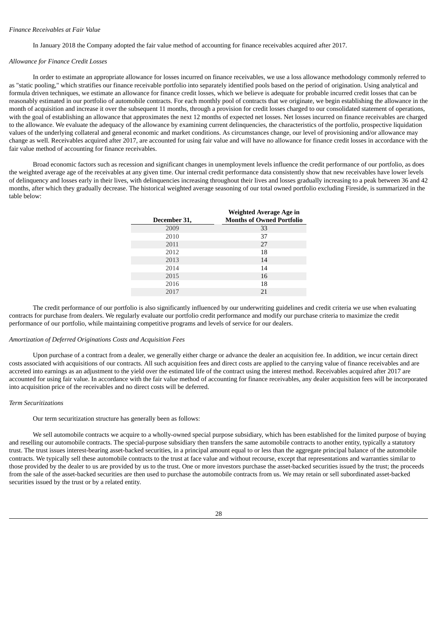### *Finance Receivables at Fair Value*

In January 2018 the Company adopted the fair value method of accounting for finance receivables acquired after 2017.

# *Allowance for Finance Credit Losses*

In order to estimate an appropriate allowance for losses incurred on finance receivables, we use a loss allowance methodology commonly referred to as "static pooling," which stratifies our finance receivable portfolio into separately identified pools based on the period of origination. Using analytical and formula driven techniques, we estimate an allowance for finance credit losses, which we believe is adequate for probable incurred credit losses that can be reasonably estimated in our portfolio of automobile contracts. For each monthly pool of contracts that we originate, we begin establishing the allowance in the month of acquisition and increase it over the subsequent 11 months, through a provision for credit losses charged to our consolidated statement of operations, with the goal of establishing an allowance that approximates the next 12 months of expected net losses. Net losses incurred on finance receivables are charged to the allowance. We evaluate the adequacy of the allowance by examining current delinquencies, the characteristics of the portfolio, prospective liquidation values of the underlying collateral and general economic and market conditions. As circumstances change, our level of provisioning and/or allowance may change as well. Receivables acquired after 2017, are accounted for using fair value and will have no allowance for finance credit losses in accordance with the fair value method of accounting for finance receivables.

Broad economic factors such as recession and significant changes in unemployment levels influence the credit performance of our portfolio, as does the weighted average age of the receivables at any given time. Our internal credit performance data consistently show that new receivables have lower levels of delinquency and losses early in their lives, with delinquencies increasing throughout their lives and losses gradually increasing to a peak between 36 and 42 months, after which they gradually decrease. The historical weighted average seasoning of our total owned portfolio excluding Fireside, is summarized in the table below:

|              | <b>Weighted Average Age in</b>   |
|--------------|----------------------------------|
| December 31, | <b>Months of Owned Portfolio</b> |
| 2009         | 33                               |
| 2010         | 37                               |
| 2011         | 27                               |
| 2012         | 18                               |
| 2013         | 14                               |
| 2014         | 14                               |
| 2015         | 16                               |
| 2016         | 18                               |
| 2017         | 21                               |

The credit performance of our portfolio is also significantly influenced by our underwriting guidelines and credit criteria we use when evaluating contracts for purchase from dealers. We regularly evaluate our portfolio credit performance and modify our purchase criteria to maximize the credit performance of our portfolio, while maintaining competitive programs and levels of service for our dealers.

#### *Amortization of Deferred Originations Costs and Acquisition Fees*

Upon purchase of a contract from a dealer, we generally either charge or advance the dealer an acquisition fee. In addition, we incur certain direct costs associated with acquisitions of our contracts. All such acquisition fees and direct costs are applied to the carrying value of finance receivables and are accreted into earnings as an adjustment to the yield over the estimated life of the contract using the interest method. Receivables acquired after 2017 are accounted for using fair value. In accordance with the fair value method of accounting for finance receivables, any dealer acquisition fees will be incorporated into acquisition price of the receivables and no direct costs will be deferred.

#### *Term Securitizations*

#### Our term securitization structure has generally been as follows:

We sell automobile contracts we acquire to a wholly-owned special purpose subsidiary, which has been established for the limited purpose of buying and reselling our automobile contracts. The special-purpose subsidiary then transfers the same automobile contracts to another entity, typically a statutory trust. The trust issues interest-bearing asset-backed securities, in a principal amount equal to or less than the aggregate principal balance of the automobile contracts. We typically sell these automobile contracts to the trust at face value and without recourse, except that representations and warranties similar to those provided by the dealer to us are provided by us to the trust. One or more investors purchase the asset-backed securities issued by the trust; the proceeds from the sale of the asset-backed securities are then used to purchase the automobile contracts from us. We may retain or sell subordinated asset-backed securities issued by the trust or by a related entity.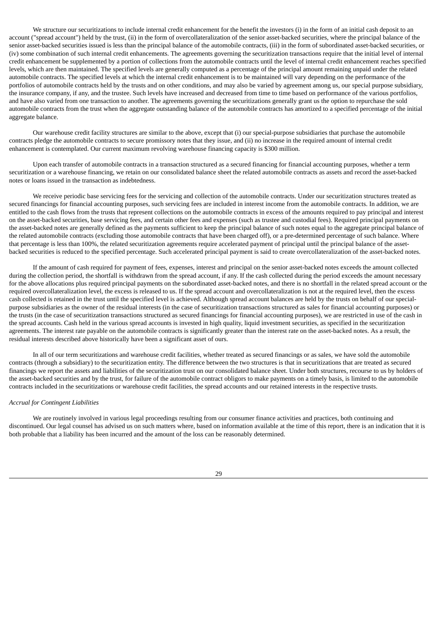We structure our securitizations to include internal credit enhancement for the benefit the investors (i) in the form of an initial cash deposit to an account ("spread account") held by the trust, (ii) in the form of overcollateralization of the senior asset-backed securities, where the principal balance of the senior asset-backed securities issued is less than the principal balance of the automobile contracts, (iii) in the form of subordinated asset-backed securities, or (iv) some combination of such internal credit enhancements. The agreements governing the securitization transactions require that the initial level of internal credit enhancement be supplemented by a portion of collections from the automobile contracts until the level of internal credit enhancement reaches specified levels, which are then maintained. The specified levels are generally computed as a percentage of the principal amount remaining unpaid under the related automobile contracts. The specified levels at which the internal credit enhancement is to be maintained will vary depending on the performance of the portfolios of automobile contracts held by the trusts and on other conditions, and may also be varied by agreement among us, our special purpose subsidiary, the insurance company, if any, and the trustee. Such levels have increased and decreased from time to time based on performance of the various portfolios, and have also varied from one transaction to another. The agreements governing the securitizations generally grant us the option to repurchase the sold automobile contracts from the trust when the aggregate outstanding balance of the automobile contracts has amortized to a specified percentage of the initial aggregate balance.

Our warehouse credit facility structures are similar to the above, except that (i) our special-purpose subsidiaries that purchase the automobile contracts pledge the automobile contracts to secure promissory notes that they issue, and (ii) no increase in the required amount of internal credit enhancement is contemplated. Our current maximum revolving warehouse financing capacity is \$300 million.

Upon each transfer of automobile contracts in a transaction structured as a secured financing for financial accounting purposes, whether a term securitization or a warehouse financing, we retain on our consolidated balance sheet the related automobile contracts as assets and record the asset-backed notes or loans issued in the transaction as indebtedness.

We receive periodic base servicing fees for the servicing and collection of the automobile contracts. Under our securitization structures treated as secured financings for financial accounting purposes, such servicing fees are included in interest income from the automobile contracts. In addition, we are entitled to the cash flows from the trusts that represent collections on the automobile contracts in excess of the amounts required to pay principal and interest on the asset-backed securities, base servicing fees, and certain other fees and expenses (such as trustee and custodial fees). Required principal payments on the asset-backed notes are generally defined as the payments sufficient to keep the principal balance of such notes equal to the aggregate principal balance of the related automobile contracts (excluding those automobile contracts that have been charged off), or a pre-determined percentage of such balance. Where that percentage is less than 100%, the related securitization agreements require accelerated payment of principal until the principal balance of the assetbacked securities is reduced to the specified percentage. Such accelerated principal payment is said to create overcollateralization of the asset-backed notes.

If the amount of cash required for payment of fees, expenses, interest and principal on the senior asset-backed notes exceeds the amount collected during the collection period, the shortfall is withdrawn from the spread account, if any. If the cash collected during the period exceeds the amount necessary for the above allocations plus required principal payments on the subordinated asset-backed notes, and there is no shortfall in the related spread account or the required overcollateralization level, the excess is released to us. If the spread account and overcollateralization is not at the required level, then the excess cash collected is retained in the trust until the specified level is achieved. Although spread account balances are held by the trusts on behalf of our specialpurpose subsidiaries as the owner of the residual interests (in the case of securitization transactions structured as sales for financial accounting purposes) or the trusts (in the case of securitization transactions structured as secured financings for financial accounting purposes), we are restricted in use of the cash in the spread accounts. Cash held in the various spread accounts is invested in high quality, liquid investment securities, as specified in the securitization agreements. The interest rate payable on the automobile contracts is significantly greater than the interest rate on the asset-backed notes. As a result, the residual interests described above historically have been a significant asset of ours.

In all of our term securitizations and warehouse credit facilities, whether treated as secured financings or as sales, we have sold the automobile contracts (through a subsidiary) to the securitization entity. The difference between the two structures is that in securitizations that are treated as secured financings we report the assets and liabilities of the securitization trust on our consolidated balance sheet. Under both structures, recourse to us by holders of the asset-backed securities and by the trust, for failure of the automobile contract obligors to make payments on a timely basis, is limited to the automobile contracts included in the securitizations or warehouse credit facilities, the spread accounts and our retained interests in the respective trusts.

# *Accrual for Contingent Liabilities*

We are routinely involved in various legal proceedings resulting from our consumer finance activities and practices, both continuing and discontinued. Our legal counsel has advised us on such matters where, based on information available at the time of this report, there is an indication that it is both probable that a liability has been incurred and the amount of the loss can be reasonably determined.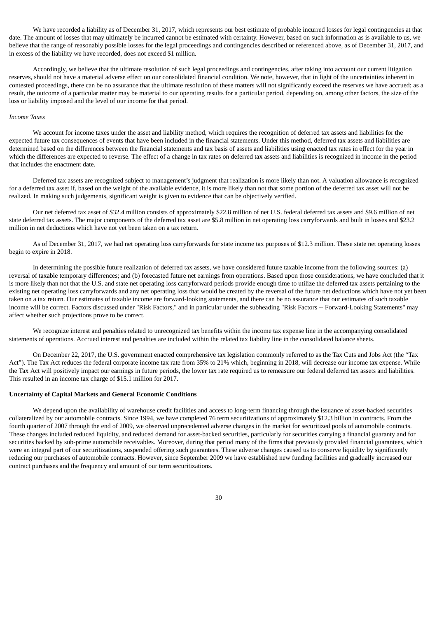We have recorded a liability as of December 31, 2017, which represents our best estimate of probable incurred losses for legal contingencies at that date. The amount of losses that may ultimately be incurred cannot be estimated with certainty. However, based on such information as is available to us, we believe that the range of reasonably possible losses for the legal proceedings and contingencies described or referenced above, as of December 31, 2017, and in excess of the liability we have recorded, does not exceed \$1 million.

Accordingly, we believe that the ultimate resolution of such legal proceedings and contingencies, after taking into account our current litigation reserves, should not have a material adverse effect on our consolidated financial condition. We note, however, that in light of the uncertainties inherent in contested proceedings, there can be no assurance that the ultimate resolution of these matters will not significantly exceed the reserves we have accrued; as a result, the outcome of a particular matter may be material to our operating results for a particular period, depending on, among other factors, the size of the loss or liability imposed and the level of our income for that period.

# *Income Taxes*

We account for income taxes under the asset and liability method, which requires the recognition of deferred tax assets and liabilities for the expected future tax consequences of events that have been included in the financial statements. Under this method, deferred tax assets and liabilities are determined based on the differences between the financial statements and tax basis of assets and liabilities using enacted tax rates in effect for the year in which the differences are expected to reverse. The effect of a change in tax rates on deferred tax assets and liabilities is recognized in income in the period that includes the enactment date.

Deferred tax assets are recognized subject to management's judgment that realization is more likely than not. A valuation allowance is recognized for a deferred tax asset if, based on the weight of the available evidence, it is more likely than not that some portion of the deferred tax asset will not be realized. In making such judgements, significant weight is given to evidence that can be objectively verified.

Our net deferred tax asset of \$32.4 million consists of approximately \$22.8 million of net U.S. federal deferred tax assets and \$9.6 million of net state deferred tax assets. The major components of the deferred tax asset are \$5.8 million in net operating loss carryforwards and built in losses and \$23.2 million in net deductions which have not yet been taken on a tax return.

As of December 31, 2017, we had net operating loss carryforwards for state income tax purposes of \$12.3 million. These state net operating losses begin to expire in 2018.

In determining the possible future realization of deferred tax assets, we have considered future taxable income from the following sources: (a) reversal of taxable temporary differences; and (b) forecasted future net earnings from operations. Based upon those considerations, we have concluded that it is more likely than not that the U.S. and state net operating loss carryforward periods provide enough time to utilize the deferred tax assets pertaining to the existing net operating loss carryforwards and any net operating loss that would be created by the reversal of the future net deductions which have not yet been taken on a tax return. Our estimates of taxable income are forward-looking statements, and there can be no assurance that our estimates of such taxable income will be correct. Factors discussed under "Risk Factors," and in particular under the subheading "Risk Factors -- Forward-Looking Statements" may affect whether such projections prove to be correct.

We recognize interest and penalties related to unrecognized tax benefits within the income tax expense line in the accompanying consolidated statements of operations. Accrued interest and penalties are included within the related tax liability line in the consolidated balance sheets.

On December 22, 2017, the U.S. government enacted comprehensive tax legislation commonly referred to as the Tax Cuts and Jobs Act (the "Tax Act"). The Tax Act reduces the federal corporate income tax rate from 35% to 21% which, beginning in 2018, will decrease our income tax expense. While the Tax Act will positively impact our earnings in future periods, the lower tax rate required us to remeasure our federal deferred tax assets and liabilities. This resulted in an income tax charge of \$15.1 million for 2017.

#### **Uncertainty of Capital Markets and General Economic Conditions**

We depend upon the availability of warehouse credit facilities and access to long-term financing through the issuance of asset-backed securities collateralized by our automobile contracts. Since 1994, we have completed 76 term securitizations of approximately \$12.3 billion in contracts. From the fourth quarter of 2007 through the end of 2009, we observed unprecedented adverse changes in the market for securitized pools of automobile contracts. These changes included reduced liquidity, and reduced demand for asset-backed securities, particularly for securities carrying a financial guaranty and for securities backed by sub-prime automobile receivables. Moreover, during that period many of the firms that previously provided financial guarantees, which were an integral part of our securitizations, suspended offering such guarantees. These adverse changes caused us to conserve liquidity by significantly reducing our purchases of automobile contracts. However, since September 2009 we have established new funding facilities and gradually increased our contract purchases and the frequency and amount of our term securitizations.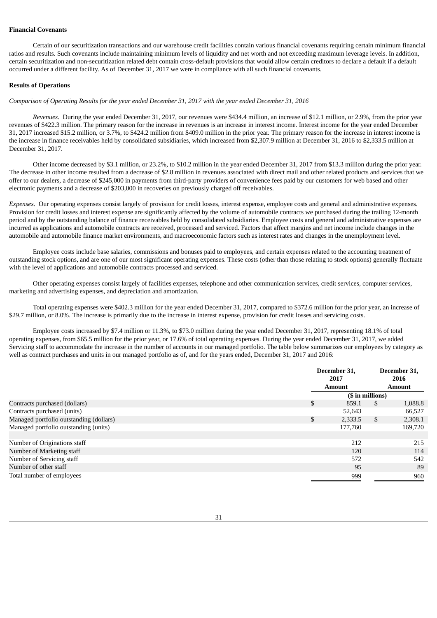# **Financial Covenants**

Certain of our securitization transactions and our warehouse credit facilities contain various financial covenants requiring certain minimum financial ratios and results. Such covenants include maintaining minimum levels of liquidity and net worth and not exceeding maximum leverage levels. In addition, certain securitization and non-securitization related debt contain cross-default provisions that would allow certain creditors to declare a default if a default occurred under a different facility. As of December 31, 2017 we were in compliance with all such financial covenants.

# **Results of Operations**

Comparison of Operating Results for the year ended December 31, 2017 with the year ended December 31, 2016

*Revenues*. During the year ended December 31, 2017, our revenues were \$434.4 million, an increase of \$12.1 million, or 2.9%, from the prior year revenues of \$422.3 million. The primary reason for the increase in revenues is an increase in interest income. Interest income for the year ended December 31, 2017 increased \$15.2 million, or 3.7%, to \$424.2 million from \$409.0 million in the prior year. The primary reason for the increase in interest income is the increase in finance receivables held by consolidated subsidiaries, which increased from \$2,307.9 million at December 31, 2016 to \$2,333.5 million at December 31, 2017.

Other income decreased by \$3.1 million, or 23.2%, to \$10.2 million in the year ended December 31, 2017 from \$13.3 million during the prior year. The decrease in other income resulted from a decrease of \$2.8 million in revenues associated with direct mail and other related products and services that we offer to our dealers, a decrease of \$245,000 in payments from third-party providers of convenience fees paid by our customers for web based and other electronic payments and a decrease of \$203,000 in recoveries on previously charged off receivables.

*Expenses*. Our operating expenses consist largely of provision for credit losses, interest expense, employee costs and general and administrative expenses. Provision for credit losses and interest expense are significantly affected by the volume of automobile contracts we purchased during the trailing 12-month period and by the outstanding balance of finance receivables held by consolidated subsidiaries. Employee costs and general and administrative expenses are incurred as applications and automobile contracts are received, processed and serviced. Factors that affect margins and net income include changes in the automobile and automobile finance market environments, and macroeconomic factors such as interest rates and changes in the unemployment level.

Employee costs include base salaries, commissions and bonuses paid to employees, and certain expenses related to the accounting treatment of outstanding stock options, and are one of our most significant operating expenses. These costs (other than those relating to stock options) generally fluctuate with the level of applications and automobile contracts processed and serviced.

Other operating expenses consist largely of facilities expenses, telephone and other communication services, credit services, computer services, marketing and advertising expenses, and depreciation and amortization.

Total operating expenses were \$402.3 million for the year ended December 31, 2017, compared to \$372.6 million for the prior year, an increase of \$29.7 million, or 8.0%. The increase is primarily due to the increase in interest expense, provision for credit losses and servicing costs.

Employee costs increased by \$7.4 million or 11.3%, to \$73.0 million during the year ended December 31, 2017, representing 18.1% of total operating expenses, from \$65.5 million for the prior year, or 17.6% of total operating expenses. During the year ended December 31, 2017, we added Servicing staff to accommodate the increase in the number of accounts in our managed portfolio. The table below summarizes our employees by category as well as contract purchases and units in our managed portfolio as of, and for the years ended, December 31, 2017 and 2016:

|                                         | December 31,<br>2017 |               | December 31,<br>2016 |
|-----------------------------------------|----------------------|---------------|----------------------|
|                                         | <b>Amount</b>        | Amount        |                      |
|                                         | (\$ in millions)     |               |                      |
| Contracts purchased (dollars)           | \$<br>859.1          | S.            | 1,088.8              |
| Contracts purchased (units)             | 52,643               |               | 66,527               |
| Managed portfolio outstanding (dollars) | \$<br>2,333.5        | <sup>\$</sup> | 2,308.1              |
| Managed portfolio outstanding (units)   | 177,760              |               | 169,720              |
|                                         |                      |               |                      |
| Number of Originations staff            | 212                  |               | 215                  |
| Number of Marketing staff               | 120                  |               | 114                  |
| Number of Servicing staff               | 572                  |               | 542                  |
| Number of other staff                   | 95                   |               | 89                   |
| Total number of employees               | 999                  |               | 960                  |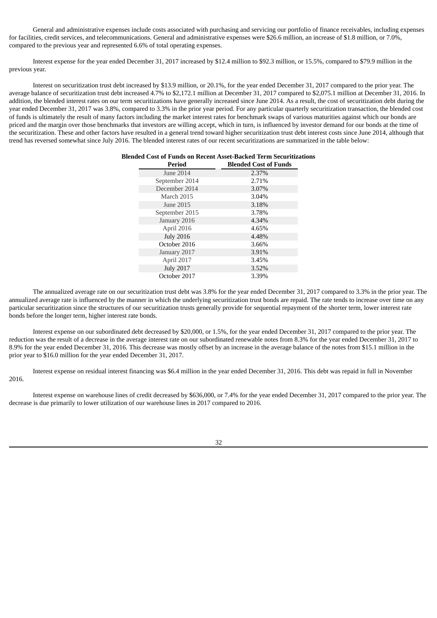General and administrative expenses include costs associated with purchasing and servicing our portfolio of finance receivables, including expenses for facilities, credit services, and telecommunications. General and administrative expenses were \$26.6 million, an increase of \$1.8 million, or 7.0%, compared to the previous year and represented 6.6% of total operating expenses.

Interest expense for the year ended December 31, 2017 increased by \$12.4 million to \$92.3 million, or 15.5%, compared to \$79.9 million in the previous year.

Interest on securitization trust debt increased by \$13.9 million, or 20.1%, for the year ended December 31, 2017 compared to the prior year. The average balance of securitization trust debt increased 4.7% to \$2,172.1 million at December 31, 2017 compared to \$2,075.1 million at December 31, 2016. In addition, the blended interest rates on our term securitizations have generally increased since June 2014. As a result, the cost of securitization debt during the year ended December 31, 2017 was 3.8%, compared to 3.3% in the prior year period. For any particular quarterly securitization transaction, the blended cost of funds is ultimately the result of many factors including the market interest rates for benchmark swaps of various maturities against which our bonds are priced and the margin over those benchmarks that investors are willing accept, which in turn, is influenced by investor demand for our bonds at the time of the securitization. These and other factors have resulted in a general trend toward higher securitization trust debt interest costs since June 2014, although that trend has reversed somewhat since July 2016. The blended interest rates of our recent securitizations are summarized in the table below:

| ueu Cost of Funus on Recent Asset-Dackeu Term Securiuza |                              |  |  |  |  |  |  |
|---------------------------------------------------------|------------------------------|--|--|--|--|--|--|
| Period                                                  | <b>Blended Cost of Funds</b> |  |  |  |  |  |  |
| June 2014                                               | 2.37%                        |  |  |  |  |  |  |
| September 2014                                          | 2.71%                        |  |  |  |  |  |  |
| December 2014                                           | 3.07%                        |  |  |  |  |  |  |
| March 2015                                              | 3.04%                        |  |  |  |  |  |  |
| June 2015                                               | 3.18%                        |  |  |  |  |  |  |
| September 2015                                          | 3.78%                        |  |  |  |  |  |  |
| January 2016                                            | 4.34%                        |  |  |  |  |  |  |
| April 2016                                              | 4.65%                        |  |  |  |  |  |  |
| <b>July 2016</b>                                        | 4.48%                        |  |  |  |  |  |  |
| October 2016                                            | 3.66%                        |  |  |  |  |  |  |
| January 2017                                            | 3.91%                        |  |  |  |  |  |  |
| April 2017                                              | 3.45%                        |  |  |  |  |  |  |
| <b>July 2017</b>                                        | 3.52%                        |  |  |  |  |  |  |
| October 2017                                            | 3.39%                        |  |  |  |  |  |  |

# **Blended Cost of Funds on Recent Asset-Backed Term Securitizations**

The annualized average rate on our securitization trust debt was 3.8% for the year ended December 31, 2017 compared to 3.3% in the prior year. The annualized average rate is influenced by the manner in which the underlying securitization trust bonds are repaid. The rate tends to increase over time on any particular securitization since the structures of our securitization trusts generally provide for sequential repayment of the shorter term, lower interest rate bonds before the longer term, higher interest rate bonds.

Interest expense on our subordinated debt decreased by \$20,000, or 1.5%, for the year ended December 31, 2017 compared to the prior year. The reduction was the result of a decrease in the average interest rate on our subordinated renewable notes from 8.3% for the year ended December 31, 2017 to 8.9% for the year ended December 31, 2016. This decrease was mostly offset by an increase in the average balance of the notes from \$15.1 million in the prior year to \$16.0 million for the year ended December 31, 2017.

Interest expense on residual interest financing was \$6.4 million in the year ended December 31, 2016. This debt was repaid in full in November 2016.

Interest expense on warehouse lines of credit decreased by \$636,000, or 7.4% for the year ended December 31, 2017 compared to the prior year. The decrease is due primarily to lower utilization of our warehouse lines in 2017 compared to 2016.

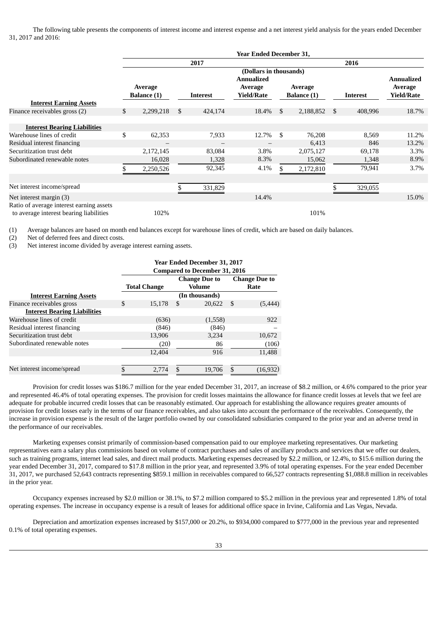The following table presents the components of interest income and interest expense and a net interest yield analysis for the years ended December 31, 2017 and 2016:

|                                                                                     | <b>Year Ended December 31,</b> |                               |    |          |                                                   |                               |           |          |         |                                     |  |  |
|-------------------------------------------------------------------------------------|--------------------------------|-------------------------------|----|----------|---------------------------------------------------|-------------------------------|-----------|----------|---------|-------------------------------------|--|--|
|                                                                                     | 2017                           |                               |    |          |                                                   |                               | 2016      |          |         |                                     |  |  |
|                                                                                     | (Dollars in thousands)         |                               |    |          |                                                   |                               |           |          |         |                                     |  |  |
|                                                                                     |                                | Average<br><b>Balance</b> (1) |    | Interest | <b>Annualized</b><br>Average<br><b>Yield/Rate</b> | Average<br><b>Balance</b> (1) |           | Interest |         | Annualized<br>Average<br>Yield/Rate |  |  |
| <b>Interest Earning Assets</b>                                                      |                                |                               |    |          |                                                   |                               |           |          |         |                                     |  |  |
| Finance receivables gross (2)                                                       | \$                             | 2,299,218                     | -S | 424,174  | 18.4%                                             | -S                            | 2,188,852 | \$       | 408,996 | 18.7%                               |  |  |
| <b>Interest Bearing Liabilities</b>                                                 |                                |                               |    |          |                                                   |                               |           |          |         |                                     |  |  |
| Warehouse lines of credit                                                           | \$                             | 62,353                        |    | 7,933    | 12.7%                                             | - \$                          | 76,208    |          | 8,569   | 11.2%                               |  |  |
| Residual interest financing                                                         |                                |                               |    |          |                                                   |                               | 6,413     |          | 846     | 13.2%                               |  |  |
| Securitization trust debt                                                           |                                | 2,172,145                     |    | 83,084   | 3.8%                                              |                               | 2,075,127 |          | 69,178  | 3.3%                                |  |  |
| Subordinated renewable notes                                                        |                                | 16,028                        |    | 1,328    | 8.3%                                              |                               | 15,062    |          | 1,348   | 8.9%                                |  |  |
|                                                                                     |                                | 2,250,526                     |    | 92,345   | 4.1%                                              |                               | 2,172,810 |          | 79,941  | 3.7%                                |  |  |
|                                                                                     |                                |                               |    |          |                                                   |                               |           |          |         |                                     |  |  |
| Net interest income/spread                                                          |                                |                               |    | 331,829  |                                                   |                               |           |          | 329,055 |                                     |  |  |
| Net interest margin (3)                                                             |                                |                               |    |          | 14.4%                                             |                               |           |          |         | 15.0%                               |  |  |
| Ratio of average interest earning assets<br>to average interest bearing liabilities |                                | 102%                          |    |          |                                                   |                               | 101%      |          |         |                                     |  |  |

(1) Average balances are based on month end balances except for warehouse lines of credit, which are based on daily balances.

(2) Net of deferred fees and direct costs.

(3) Net interest income divided by average interest earning assets.

|                                     | <b>Year Ended December 31, 2017</b><br><b>Compared to December 31, 2016</b> |                     |                                |                |                              |          |
|-------------------------------------|-----------------------------------------------------------------------------|---------------------|--------------------------------|----------------|------------------------------|----------|
|                                     |                                                                             |                     | <b>Change Due to</b><br>Volume |                | <b>Change Due to</b><br>Rate |          |
|                                     |                                                                             | <b>Total Change</b> |                                |                |                              |          |
| <b>Interest Earning Assets</b>      |                                                                             |                     |                                | (In thousands) |                              |          |
| Finance receivables gross           | \$                                                                          | 15.178              | \$.                            | 20,622         | -S                           | (5, 444) |
| <b>Interest Bearing Liabilities</b> |                                                                             |                     |                                |                |                              |          |
| Warehouse lines of credit           |                                                                             | (636)               |                                | (1,558)        |                              | 922      |
| Residual interest financing         |                                                                             | (846)               |                                | (846)          |                              |          |
| Securitization trust debt           |                                                                             | 13,906              |                                | 3,234          |                              | 10,672   |
| Subordinated renewable notes        |                                                                             | (20)                |                                | 86             |                              | (106)    |
|                                     |                                                                             | 12,404              |                                | 916            |                              | 11,488   |
| Net interest income/spread          |                                                                             | 2,774               | ፍ                              | 19,706         | ፍ                            | (16,932) |

Provision for credit losses was \$186.7 million for the year ended December 31, 2017, an increase of \$8.2 million, or 4.6% compared to the prior year and represented 46.4% of total operating expenses. The provision for credit losses maintains the allowance for finance credit losses at levels that we feel are adequate for probable incurred credit losses that can be reasonably estimated. Our approach for establishing the allowance requires greater amounts of provision for credit losses early in the terms of our finance receivables, and also takes into account the performance of the receivables. Consequently, the increase in provision expense is the result of the larger portfolio owned by our consolidated subsidiaries compared to the prior year and an adverse trend in the performance of our receivables.

Marketing expenses consist primarily of commission-based compensation paid to our employee marketing representatives. Our marketing representatives earn a salary plus commissions based on volume of contract purchases and sales of ancillary products and services that we offer our dealers, such as training programs, internet lead sales, and direct mail products. Marketing expenses decreased by \$2.2 million, or 12.4%, to \$15.6 million during the year ended December 31, 2017, compared to \$17.8 million in the prior year, and represented 3.9% of total operating expenses. For the year ended December 31, 2017, we purchased 52,643 contracts representing \$859.1 million in receivables compared to 66,527 contracts representing \$1,088.8 million in receivables in the prior year.

Occupancy expenses increased by \$2.0 million or 38.1%, to \$7.2 million compared to \$5.2 million in the previous year and represented 1.8% of total operating expenses. The increase in occupancy expense is a result of leases for additional office space in Irvine, California and Las Vegas, Nevada.

Depreciation and amortization expenses increased by \$157,000 or 20.2%, to \$934,000 compared to \$777,000 in the previous year and represented 0.1% of total operating expenses.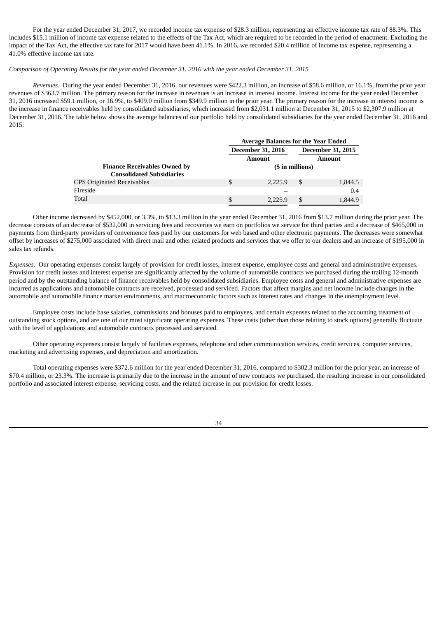For the year ended December 31, 2017, we recorded income tax expense of \$28.3 million, representing an effective income tax rate of 88.3%. This includes \$15.1 million of income tax expense related to the effects of the Tax Act, which are required to be recorded in the period of enactment. Excluding the impact of the Tax Act, the effective tax rate for 2017 would have been 41.1%. In 2016, we recorded \$20.4 million of income tax expense, representing a 41.0% effective income tax rate.

### Comparison of Operating Results for the year ended December 31, 2016 with the year ended December 31, 2015

*Revenues*. During the year ended December 31, 2016, our revenues were \$422.3 million, an increase of \$58.6 million, or 16.1%, from the prior year revenues of \$363.7 million. The primary reason for the increase in revenues is an increase in interest income. Interest income for the year ended December 31, 2016 increased \$59.1 million, or 16.9%, to \$409.0 million from \$349.9 million in the prior year. The primary reason for the increase in interest income is the increase in finance receivables held by consolidated subsidiaries, which increased from \$2,031.1 million at December 31, 2015 to \$2,307.9 million at December 31, 2016. The table below shows the average balances of our portfolio held by consolidated subsidiaries for the year ended December 31, 2016 and 2015:

|                                                                         | <b>Average Balances for the Year Ended</b> |                          |                                    |         |  |  |  |
|-------------------------------------------------------------------------|--------------------------------------------|--------------------------|------------------------------------|---------|--|--|--|
|                                                                         |                                            | <b>December 31, 2016</b> | <b>December 31, 2015</b><br>Amount |         |  |  |  |
|                                                                         |                                            | Amount                   |                                    |         |  |  |  |
| <b>Finance Receivables Owned by</b><br><b>Consolidated Subsidiaries</b> |                                            | (\$ in millions)         |                                    |         |  |  |  |
| CPS Originated Receivables                                              | S                                          | 2.225.9                  |                                    | 1,844.5 |  |  |  |
| Fireside                                                                |                                            |                          |                                    | 0.4     |  |  |  |
| Total                                                                   | S                                          | 2.225.9                  |                                    | 1.844.9 |  |  |  |

Other income decreased by \$452,000, or 3.3%, to \$13.3 million in the year ended December 31, 2016 from \$13.7 million during the prior year. The decrease consists of an decrease of \$532,000 in servicing fees and recoveries we earn on portfolios we service for third parties and a decrease of \$465,000 in payments from third-party providers of convenience fees paid by our customers for web based and other electronic payments. The decreases were somewhat offset by increases of \$275,000 associated with direct mail and other related products and services that we offer to our dealers and an increase of \$195,000 in sales tax refunds.

*Expenses*. Our operating expenses consist largely of provision for credit losses, interest expense, employee costs and general and administrative expenses. Provision for credit losses and interest expense are significantly affected by the volume of automobile contracts we purchased during the trailing 12-month period and by the outstanding balance of finance receivables held by consolidated subsidiaries. Employee costs and general and administrative expenses are incurred as applications and automobile contracts are received, processed and serviced. Factors that affect margins and net income include changes in the automobile and automobile finance market environments, and macroeconomic factors such as interest rates and changes in the unemployment level.

Employee costs include base salaries, commissions and bonuses paid to employees, and certain expenses related to the accounting treatment of outstanding stock options, and are one of our most significant operating expenses. These costs (other than those relating to stock options) generally fluctuate with the level of applications and automobile contracts processed and serviced.

Other operating expenses consist largely of facilities expenses, telephone and other communication services, credit services, computer services, marketing and advertising expenses, and depreciation and amortization.

Total operating expenses were \$372.6 million for the year ended December 31, 2016, compared to \$302.3 million for the prior year, an increase of \$70.4 million, or 23.3%. The increase is primarily due to the increase in the amount of new contracts we purchased, the resulting increase in our consolidated portfolio and associated interest expense, servicing costs, and the related increase in our provision for credit losses.

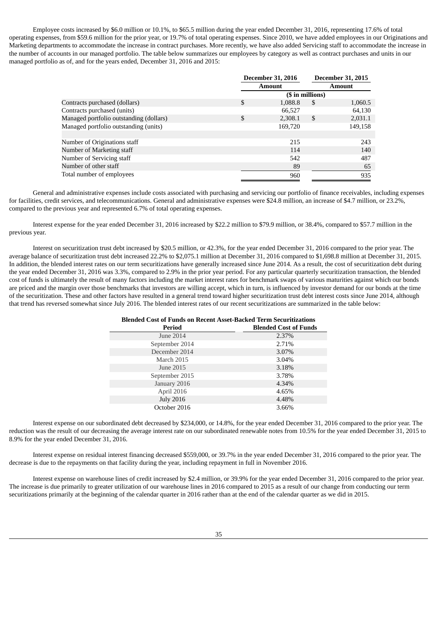Employee costs increased by \$6.0 million or 10.1%, to \$65.5 million during the year ended December 31, 2016, representing 17.6% of total operating expenses, from \$59.6 million for the prior year, or 19.7% of total operating expenses. Since 2010, we have added employees in our Originations and Marketing departments to accommodate the increase in contract purchases. More recently, we have also added Servicing staff to accommodate the increase in the number of accounts in our managed portfolio. The table below summarizes our employees by category as well as contract purchases and units in our managed portfolio as of, and for the years ended, December 31, 2016 and 2015:

|                                         | <b>December 31, 2016</b> |         |    | <b>December 31, 2015</b> |  |  |  |
|-----------------------------------------|--------------------------|---------|----|--------------------------|--|--|--|
|                                         | <b>Amount</b>            |         |    | <b>Amount</b>            |  |  |  |
|                                         | (\$ in millions)         |         |    |                          |  |  |  |
| Contracts purchased (dollars)           | \$                       | 1,088.8 | S  | 1,060.5                  |  |  |  |
| Contracts purchased (units)             |                          | 66,527  |    | 64,130                   |  |  |  |
| Managed portfolio outstanding (dollars) | \$                       | 2,308.1 | \$ | 2,031.1                  |  |  |  |
| Managed portfolio outstanding (units)   |                          | 169,720 |    | 149,158                  |  |  |  |
|                                         |                          |         |    |                          |  |  |  |
| Number of Originations staff            |                          | 215     |    | 243                      |  |  |  |
| Number of Marketing staff               |                          | 114     |    | 140                      |  |  |  |
| Number of Servicing staff               |                          | 542     |    | 487                      |  |  |  |
| Number of other staff                   |                          | 89      |    | 65                       |  |  |  |
| Total number of employees               |                          | 960     |    | 935                      |  |  |  |

General and administrative expenses include costs associated with purchasing and servicing our portfolio of finance receivables, including expenses for facilities, credit services, and telecommunications. General and administrative expenses were \$24.8 million, an increase of \$4.7 million, or 23.2%, compared to the previous year and represented 6.7% of total operating expenses.

Interest expense for the year ended December 31, 2016 increased by \$22.2 million to \$79.9 million, or 38.4%, compared to \$57.7 million in the previous year.

Interest on securitization trust debt increased by \$20.5 million, or 42.3%, for the year ended December 31, 2016 compared to the prior year. The average balance of securitization trust debt increased 22.2% to \$2,075.1 million at December 31, 2016 compared to \$1,698.8 million at December 31, 2015. In addition, the blended interest rates on our term securitizations have generally increased since June 2014. As a result, the cost of securitization debt during the year ended December 31, 2016 was 3.3%, compared to 2.9% in the prior year period. For any particular quarterly securitization transaction, the blended cost of funds is ultimately the result of many factors including the market interest rates for benchmark swaps of various maturities against which our bonds are priced and the margin over those benchmarks that investors are willing accept, which in turn, is influenced by investor demand for our bonds at the time of the securitization. These and other factors have resulted in a general trend toward higher securitization trust debt interest costs since June 2014, although that trend has reversed somewhat since July 2016. The blended interest rates of our recent securitizations are summarized in the table below:

| <b>Blended Cost of Funds on Recent Asset-Backed Term Securitizations</b> |                              |  |  |  |  |  |  |
|--------------------------------------------------------------------------|------------------------------|--|--|--|--|--|--|
| Period                                                                   | <b>Blended Cost of Funds</b> |  |  |  |  |  |  |
| June 2014                                                                | 2.37%                        |  |  |  |  |  |  |
| September 2014                                                           | 2.71%                        |  |  |  |  |  |  |
| December 2014                                                            | 3.07%                        |  |  |  |  |  |  |
| March 2015                                                               | 3.04%                        |  |  |  |  |  |  |
| June 2015                                                                | 3.18%                        |  |  |  |  |  |  |
| September 2015                                                           | 3.78%                        |  |  |  |  |  |  |
| January 2016                                                             | 4.34%                        |  |  |  |  |  |  |
| April 2016                                                               | 4.65%                        |  |  |  |  |  |  |
| <b>July 2016</b>                                                         | 4.48%                        |  |  |  |  |  |  |
| October 2016                                                             | 3.66%                        |  |  |  |  |  |  |

Interest expense on our subordinated debt decreased by \$234,000, or 14.8%, for the year ended December 31, 2016 compared to the prior year. The reduction was the result of our decreasing the average interest rate on our subordinated renewable notes from 10.5% for the year ended December 31, 2015 to 8.9% for the year ended December 31, 2016.

Interest expense on residual interest financing decreased \$559,000, or 39.7% in the year ended December 31, 2016 compared to the prior year. The decrease is due to the repayments on that facility during the year, including repayment in full in November 2016.

Interest expense on warehouse lines of credit increased by \$2.4 million, or 39.9% for the year ended December 31, 2016 compared to the prior year. The increase is due primarily to greater utilization of our warehouse lines in 2016 compared to 2015 as a result of our change from conducting our term securitizations primarily at the beginning of the calendar quarter in 2016 rather than at the end of the calendar quarter as we did in 2015.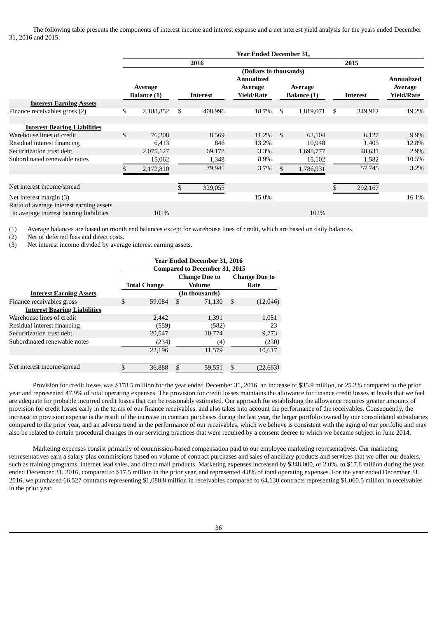The following table presents the components of interest income and interest expense and a net interest yield analysis for the years ended December 31, 2016 and 2015:

|                                                                                     | <b>Year Ended December 31,</b> |    |                                             |                       |    |                               |    |                   |                       |
|-------------------------------------------------------------------------------------|--------------------------------|----|---------------------------------------------|-----------------------|----|-------------------------------|----|-------------------|-----------------------|
|                                                                                     |                                |    | 2016                                        |                       |    |                               |    | 2015              |                       |
|                                                                                     |                                |    | (Dollars in thousands)<br><b>Annualized</b> |                       |    |                               |    | <b>Annualized</b> |                       |
|                                                                                     | Average<br><b>Balance</b> (1)  |    | Interest                                    | Average<br>Yield/Rate |    | Average<br><b>Balance</b> (1) |    | Interest          | Average<br>Yield/Rate |
| <b>Interest Earning Assets</b>                                                      |                                |    |                                             |                       |    |                               |    |                   |                       |
| Finance receivables gross (2)                                                       | \$<br>2,188,852                | S. | 408,996                                     | 18.7%                 | S. | 1,819,071                     | \$ | 349,912           | 19.2%                 |
| <b>Interest Bearing Liabilities</b>                                                 |                                |    |                                             |                       |    |                               |    |                   |                       |
| Warehouse lines of credit                                                           | \$<br>76,208                   |    | 8,569                                       | $11.2\%$ \$           |    | 62,104                        |    | 6,127             | 9.9%                  |
| Residual interest financing                                                         | 6,413                          |    | 846                                         | 13.2%                 |    | 10,948                        |    | 1,405             | 12.8%                 |
| Securitization trust debt                                                           | 2,075,127                      |    | 69,178                                      | 3.3%                  |    | 1,698,777                     |    | 48,631            | 2.9%                  |
| Subordinated renewable notes                                                        | 15,062                         |    | 1,348                                       | 8.9%                  |    | 15,102                        |    | 1,582             | 10.5%                 |
|                                                                                     | 2,172,810                      |    | 79,941                                      | $3.7\%$               |    | 1,786,931                     |    | 57,745            | 3.2%                  |
|                                                                                     |                                |    |                                             |                       |    |                               |    |                   |                       |
| Net interest income/spread                                                          |                                |    | 329,055                                     |                       |    |                               | \$ | 292,167           |                       |
| Net interest margin (3)                                                             |                                |    |                                             | 15.0%                 |    |                               |    |                   | 16.1%                 |
| Ratio of average interest earning assets<br>to average interest bearing liabilities | 101%                           |    |                                             |                       |    | 102%                          |    |                   |                       |

(1) Average balances are based on month end balances except for warehouse lines of credit, which are based on daily balances.

(2) Net of deferred fees and direct costs.

(3) Net interest income divided by average interest earning assets.

| <b>Year Ended December 31, 2016</b><br><b>Compared to December 31, 2015</b> |        |                     |        |                                |          |  |  |  |
|-----------------------------------------------------------------------------|--------|---------------------|--------|--------------------------------|----------|--|--|--|
|                                                                             |        |                     |        |                                |          |  |  |  |
|                                                                             |        |                     |        |                                | Rate     |  |  |  |
| (In thousands)                                                              |        |                     |        |                                |          |  |  |  |
| \$                                                                          | 59,084 | \$.                 | 71,130 | \$.                            | (12,046) |  |  |  |
|                                                                             |        |                     |        |                                |          |  |  |  |
|                                                                             | 2,442  |                     | 1,391  |                                | 1,051    |  |  |  |
|                                                                             | (559)  |                     | (582)  |                                | 23       |  |  |  |
|                                                                             | 20,547 |                     | 10,774 |                                | 9,773    |  |  |  |
|                                                                             | (234)  |                     | (4)    |                                | (230)    |  |  |  |
|                                                                             | 22,196 |                     | 11,579 |                                | 10,617   |  |  |  |
|                                                                             | 36,888 | \$                  | 59,551 | \$                             | (22,663) |  |  |  |
|                                                                             |        | <b>Total Change</b> |        | <b>Change Due to</b><br>Volume |          |  |  |  |

Provision for credit losses was \$178.5 million for the year ended December 31, 2016, an increase of \$35.9 million, or 25.2% compared to the prior year and represented 47.9% of total operating expenses. The provision for credit losses maintains the allowance for finance credit losses at levels that we feel are adequate for probable incurred credit losses that can be reasonably estimated. Our approach for establishing the allowance requires greater amounts of provision for credit losses early in the terms of our finance receivables, and also takes into account the performance of the receivables. Consequently, the increase in provision expense is the result of the increase in contract purchases during the last year, the larger portfolio owned by our consolidated subsidiaries compared to the prior year, and an adverse trend in the performance of our receivables, which we believe is consistent with the aging of our portfolio and may also be related to certain procedural changes in our servicing practices that were required by a consent decree to which we became subject in June 2014.

Marketing expenses consist primarily of commission-based compensation paid to our employee marketing representatives. Our marketing representatives earn a salary plus commissions based on volume of contract purchases and sales of ancillary products and services that we offer our dealers, such as training programs, internet lead sales, and direct mail products. Marketing expenses increased by \$348,000, or 2.0%, to \$17.8 million during the year ended December 31, 2016, compared to \$17.5 million in the prior year, and represented 4.8% of total operating expenses. For the year ended December 31, 2016, we purchased 66,527 contracts representing \$1,088.8 million in receivables compared to 64,130 contracts representing \$1,060.5 million in receivables in the prior year.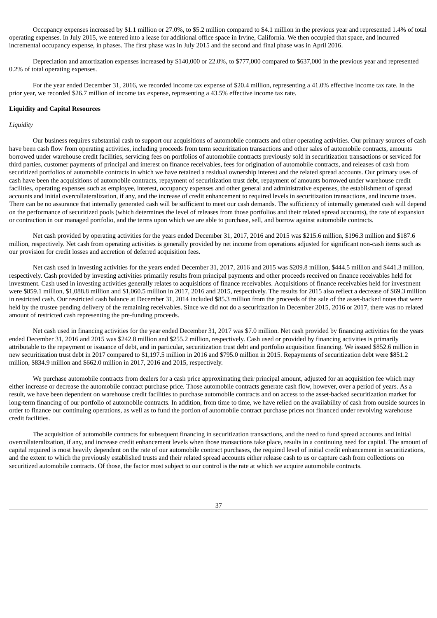Occupancy expenses increased by \$1.1 million or 27.0%, to \$5.2 million compared to \$4.1 million in the previous year and represented 1.4% of total operating expenses. In July 2015, we entered into a lease for additional office space in Irvine, California. We then occupied that space, and incurred incremental occupancy expense, in phases. The first phase was in July 2015 and the second and final phase was in April 2016.

Depreciation and amortization expenses increased by \$140,000 or 22.0%, to \$777,000 compared to \$637,000 in the previous year and represented 0.2% of total operating expenses.

For the year ended December 31, 2016, we recorded income tax expense of \$20.4 million, representing a 41.0% effective income tax rate. In the prior year, we recorded \$26.7 million of income tax expense, representing a 43.5% effective income tax rate.

### **Liquidity and Capital Resources**

#### *Liquidity*

Our business requires substantial cash to support our acquisitions of automobile contracts and other operating activities. Our primary sources of cash have been cash flow from operating activities, including proceeds from term securitization transactions and other sales of automobile contracts, amounts borrowed under warehouse credit facilities, servicing fees on portfolios of automobile contracts previously sold in securitization transactions or serviced for third parties, customer payments of principal and interest on finance receivables, fees for origination of automobile contracts, and releases of cash from securitized portfolios of automobile contracts in which we have retained a residual ownership interest and the related spread accounts. Our primary uses of cash have been the acquisitions of automobile contracts, repayment of securitization trust debt, repayment of amounts borrowed under warehouse credit facilities, operating expenses such as employee, interest, occupancy expenses and other general and administrative expenses, the establishment of spread accounts and initial overcollateralization, if any, and the increase of credit enhancement to required levels in securitization transactions, and income taxes. There can be no assurance that internally generated cash will be sufficient to meet our cash demands. The sufficiency of internally generated cash will depend on the performance of securitized pools (which determines the level of releases from those portfolios and their related spread accounts), the rate of expansion or contraction in our managed portfolio, and the terms upon which we are able to purchase, sell, and borrow against automobile contracts.

Net cash provided by operating activities for the years ended December 31, 2017, 2016 and 2015 was \$215.6 million, \$196.3 million and \$187.6 million, respectively. Net cash from operating activities is generally provided by net income from operations adjusted for significant non-cash items such as our provision for credit losses and accretion of deferred acquisition fees.

Net cash used in investing activities for the years ended December 31, 2017, 2016 and 2015 was \$209.8 million, \$444.5 million and \$441.3 million, respectively. Cash provided by investing activities primarily results from principal payments and other proceeds received on finance receivables held for investment. Cash used in investing activities generally relates to acquisitions of finance receivables. Acquisitions of finance receivables held for investment were \$859.1 million, \$1,088.8 million and \$1,060.5 million in 2017, 2016 and 2015, respectively. The results for 2015 also reflect a decrease of \$69.3 million in restricted cash. Our restricted cash balance at December 31, 2014 included \$85.3 million from the proceeds of the sale of the asset-backed notes that were held by the trustee pending delivery of the remaining receivables. Since we did not do a securitization in December 2015, 2016 or 2017, there was no related amount of restricted cash representing the pre-funding proceeds.

Net cash used in financing activities for the year ended December 31, 2017 was \$7.0 million. Net cash provided by financing activities for the years ended December 31, 2016 and 2015 was \$242.8 million and \$255.2 million, respectively. Cash used or provided by financing activities is primarily attributable to the repayment or issuance of debt, and in particular, securitization trust debt and portfolio acquisition financing. We issued \$852.6 million in new securitization trust debt in 2017 compared to \$1,197.5 million in 2016 and \$795.0 million in 2015. Repayments of securitization debt were \$851.2 million, \$834.9 million and \$662.0 million in 2017, 2016 and 2015, respectively.

We purchase automobile contracts from dealers for a cash price approximating their principal amount, adjusted for an acquisition fee which may either increase or decrease the automobile contract purchase price. Those automobile contracts generate cash flow, however, over a period of years. As a result, we have been dependent on warehouse credit facilities to purchase automobile contracts and on access to the asset-backed securitization market for long-term financing of our portfolio of automobile contracts. In addition, from time to time, we have relied on the availability of cash from outside sources in order to finance our continuing operations, as well as to fund the portion of automobile contract purchase prices not financed under revolving warehouse credit facilities.

The acquisition of automobile contracts for subsequent financing in securitization transactions, and the need to fund spread accounts and initial overcollateralization, if any, and increase credit enhancement levels when those transactions take place, results in a continuing need for capital. The amount of capital required is most heavily dependent on the rate of our automobile contract purchases, the required level of initial credit enhancement in securitizations, and the extent to which the previously established trusts and their related spread accounts either release cash to us or capture cash from collections on securitized automobile contracts. Of those, the factor most subject to our control is the rate at which we acquire automobile contracts.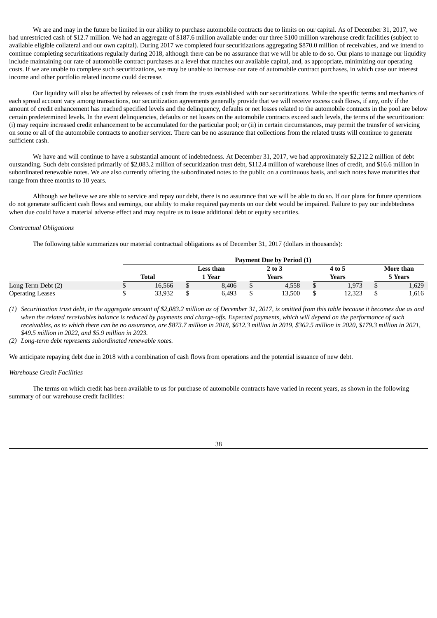We are and may in the future be limited in our ability to purchase automobile contracts due to limits on our capital. As of December 31, 2017, we had unrestricted cash of \$12.7 million. We had an aggregate of \$187.6 million available under our three \$100 million warehouse credit facilities (subject to available eligible collateral and our own capital). During 2017 we completed four securitizations aggregating \$870.0 million of receivables, and we intend to continue completing securitizations regularly during 2018, although there can be no assurance that we will be able to do so. Our plans to manage our liquidity include maintaining our rate of automobile contract purchases at a level that matches our available capital, and, as appropriate, minimizing our operating costs. If we are unable to complete such securitizations, we may be unable to increase our rate of automobile contract purchases, in which case our interest income and other portfolio related income could decrease.

Our liquidity will also be affected by releases of cash from the trusts established with our securitizations. While the specific terms and mechanics of each spread account vary among transactions, our securitization agreements generally provide that we will receive excess cash flows, if any, only if the amount of credit enhancement has reached specified levels and the delinquency, defaults or net losses related to the automobile contracts in the pool are below certain predetermined levels. In the event delinquencies, defaults or net losses on the automobile contracts exceed such levels, the terms of the securitization: (i) may require increased credit enhancement to be accumulated for the particular pool; or (ii) in certain circumstances, may permit the transfer of servicing on some or all of the automobile contracts to another servicer. There can be no assurance that collections from the related trusts will continue to generate sufficient cash.

We have and will continue to have a substantial amount of indebtedness. At December 31, 2017, we had approximately \$2,212.2 million of debt outstanding. Such debt consisted primarily of \$2,083.2 million of securitization trust debt, \$112.4 million of warehouse lines of credit, and \$16.6 million in subordinated renewable notes. We are also currently offering the subordinated notes to the public on a continuous basis, and such notes have maturities that range from three months to 10 years.

Although we believe we are able to service and repay our debt, there is no assurance that we will be able to do so. If our plans for future operations do not generate sufficient cash flows and earnings, our ability to make required payments on our debt would be impaired. Failure to pay our indebtedness when due could have a material adverse effect and may require us to issue additional debt or equity securities.

### *Contractual Obligations*

The following table summarizes our material contractual obligations as of December 31, 2017 (dollars in thousands):

|                         | <b>Payment Due by Period (1)</b> |  |           |   |              |  |        |  |           |  |
|-------------------------|----------------------------------|--|-----------|---|--------------|--|--------|--|-----------|--|
|                         |                                  |  | Less than |   | 2 to 3       |  | 4 to 5 |  | More than |  |
|                         | <b>Total</b>                     |  | Year      |   | <b>Years</b> |  | Years  |  | 5 Years   |  |
| Long Term Debt (2)      | 16,566                           |  | 8,406     | w | 4,558        |  | 1,973  |  | 1,629     |  |
| <b>Operating Leases</b> | 33.932                           |  | 6,493     |   | 13,500       |  | 12,323 |  | 1,616     |  |

(1) Securitization trust debt, in the aggregate amount of \$2,083.2 million as of December 31, 2017, is omitted from this table because it becomes due as and when the related receivables balance is reduced by payments and charge-offs. Expected payments, which will depend on the performance of such receivables, as to which there can be no assurance, are \$873.7 million in 2018, \$612.3 million in 2019, \$362.5 million in 2020, \$179.3 million in 2021, *\$49.5 million in 2022, and \$5.9 million in 2023.*

*(2) Long-term debt represents subordinated renewable notes.*

We anticipate repaying debt due in 2018 with a combination of cash flows from operations and the potential issuance of new debt.

### *Warehouse Credit Facilities*

The terms on which credit has been available to us for purchase of automobile contracts have varied in recent years, as shown in the following summary of our warehouse credit facilities:

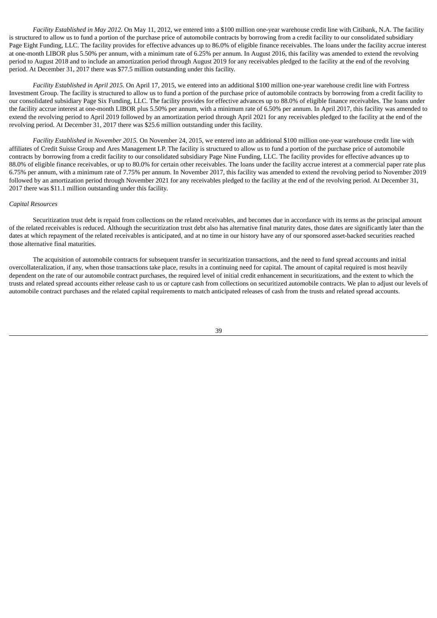*Facility Established in May 2012.* On May 11, 2012, we entered into a \$100 million one-year warehouse credit line with Citibank, N.A. The facility is structured to allow us to fund a portion of the purchase price of automobile contracts by borrowing from a credit facility to our consolidated subsidiary Page Eight Funding, LLC. The facility provides for effective advances up to 86.0% of eligible finance receivables. The loans under the facility accrue interest at one-month LIBOR plus 5.50% per annum, with a minimum rate of 6.25% per annum. In August 2016, this facility was amended to extend the revolving period to August 2018 and to include an amortization period through August 2019 for any receivables pledged to the facility at the end of the revolving period. At December 31, 2017 there was \$77.5 million outstanding under this facility.

*Facility Established in April 2015.* On April 17, 2015, we entered into an additional \$100 million one-year warehouse credit line with Fortress Investment Group. The facility is structured to allow us to fund a portion of the purchase price of automobile contracts by borrowing from a credit facility to our consolidated subsidiary Page Six Funding, LLC. The facility provides for effective advances up to 88.0% of eligible finance receivables. The loans under the facility accrue interest at one-month LIBOR plus 5.50% per annum, with a minimum rate of 6.50% per annum. In April 2017, this facility was amended to extend the revolving period to April 2019 followed by an amortization period through April 2021 for any receivables pledged to the facility at the end of the revolving period. At December 31, 2017 there was \$25.6 million outstanding under this facility.

*Facility Established in November 2015.* On November 24, 2015, we entered into an additional \$100 million one-year warehouse credit line with affiliates of Credit Suisse Group and Ares Management LP. The facility is structured to allow us to fund a portion of the purchase price of automobile contracts by borrowing from a credit facility to our consolidated subsidiary Page Nine Funding, LLC. The facility provides for effective advances up to 88.0% of eligible finance receivables, or up to 80.0% for certain other receivables. The loans under the facility accrue interest at a commercial paper rate plus 6.75% per annum, with a minimum rate of 7.75% per annum. In November 2017, this facility was amended to extend the revolving period to November 2019 followed by an amortization period through November 2021 for any receivables pledged to the facility at the end of the revolving period. At December 31, 2017 there was \$11.1 million outstanding under this facility.

### *Capital Resources*

Securitization trust debt is repaid from collections on the related receivables, and becomes due in accordance with its terms as the principal amount of the related receivables is reduced. Although the securitization trust debt also has alternative final maturity dates, those dates are significantly later than the dates at which repayment of the related receivables is anticipated, and at no time in our history have any of our sponsored asset-backed securities reached those alternative final maturities.

The acquisition of automobile contracts for subsequent transfer in securitization transactions, and the need to fund spread accounts and initial overcollateralization, if any, when those transactions take place, results in a continuing need for capital. The amount of capital required is most heavily dependent on the rate of our automobile contract purchases, the required level of initial credit enhancement in securitizations, and the extent to which the trusts and related spread accounts either release cash to us or capture cash from collections on securitized automobile contracts. We plan to adjust our levels of automobile contract purchases and the related capital requirements to match anticipated releases of cash from the trusts and related spread accounts.

39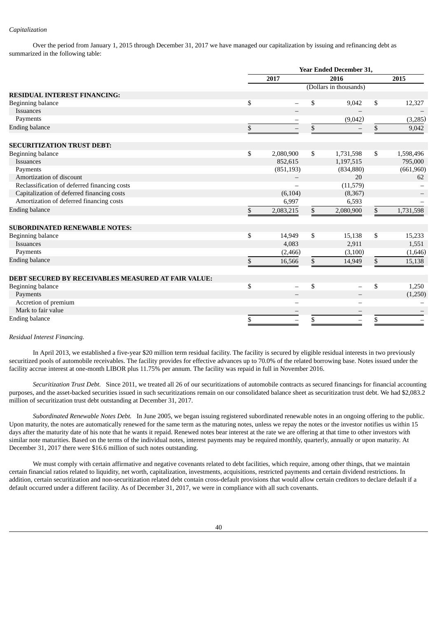# *Capitalization*

Over the period from January 1, 2015 through December 31, 2017 we have managed our capitalization by issuing and refinancing debt as summarized in the following table:

|                                                     |    |                          |    | <b>Year Ended December 31,</b> |      |           |  |
|-----------------------------------------------------|----|--------------------------|----|--------------------------------|------|-----------|--|
|                                                     |    | 2017                     |    |                                | 2016 |           |  |
|                                                     |    | (Dollars in thousands)   |    |                                |      |           |  |
| <b>RESIDUAL INTEREST FINANCING:</b>                 |    |                          |    |                                |      |           |  |
| Beginning balance                                   | \$ | $\overline{\phantom{0}}$ | \$ | 9,042                          | \$   | 12,327    |  |
| <b>Issuances</b>                                    |    | $\overline{\phantom{0}}$ |    |                                |      |           |  |
| Payments                                            |    | $\overline{\phantom{m}}$ |    | (9,042)                        |      | (3,285)   |  |
| <b>Ending balance</b>                               | \$ | $\overline{\phantom{0}}$ | \$ |                                | \$   | 9,042     |  |
| <b>SECURITIZATION TRUST DEBT:</b>                   |    |                          |    |                                |      |           |  |
| Beginning balance                                   | \$ | 2,080,900                | \$ | 1,731,598                      | \$   | 1,598,496 |  |
| <b>Issuances</b>                                    |    | 852,615                  |    | 1,197,515                      |      | 795,000   |  |
| Payments                                            |    | (851, 193)               |    | (834, 880)                     |      | (661,960) |  |
| Amortization of discount                            |    |                          |    | 20                             |      | 62        |  |
| Reclassification of deferred financing costs        |    |                          |    | (11,579)                       |      |           |  |
| Capitalization of deferred financing costs          |    | (6, 104)                 |    | (8,367)                        |      |           |  |
| Amortization of deferred financing costs            |    | 6,997                    |    | 6,593                          |      |           |  |
| <b>Ending balance</b>                               | \$ | 2,083,215                | \$ | 2,080,900                      | \$   | 1,731,598 |  |
| <b>SUBORDINATED RENEWABLE NOTES:</b>                |    |                          |    |                                |      |           |  |
| Beginning balance                                   | \$ | 14.949                   | \$ | 15,138                         | \$   | 15,233    |  |
| <b>Issuances</b>                                    |    | 4,083                    |    | 2,911                          |      | 1,551     |  |
| Payments                                            |    | (2,466)                  |    | (3,100)                        |      | (1,646)   |  |
| <b>Ending balance</b>                               | \$ | 16,566                   | \$ | 14,949                         | \$   | 15,138    |  |
| DEBT SECURED BY RECEIVABLES MEASURED AT FAIR VALUE: |    |                          |    |                                |      |           |  |
| Beginning balance                                   | \$ | $\overline{\phantom{m}}$ | \$ |                                | \$   | 1,250     |  |
| Payments                                            |    | $\overline{\phantom{m}}$ |    |                                |      | (1,250)   |  |
| Accretion of premium                                |    |                          |    |                                |      |           |  |
| Mark to fair value                                  |    | -                        |    | $\qquad \qquad -$              |      |           |  |
| <b>Ending balance</b>                               | \$ | $\overline{\phantom{0}}$ | \$ | $\equiv$                       | \$   |           |  |

#### *Residual Interest Financing.*

In April 2013, we established a five-year \$20 million term residual facility. The facility is secured by eligible residual interests in two previously securitized pools of automobile receivables. The facility provides for effective advances up to 70.0% of the related borrowing base. Notes issued under the facility accrue interest at one-month LIBOR plus 11.75% per annum. The facility was repaid in full in November 2016.

*Securitization Trust Debt.* Since 2011, we treated all 26 of our securitizations of automobile contracts as secured financings for financial accounting purposes, and the asset-backed securities issued in such securitizations remain on our consolidated balance sheet as securitization trust debt. We had \$2,083.2 million of securitization trust debt outstanding at December 31, 2017.

*Subordinated Renewable Notes Debt.* In June 2005, we began issuing registered subordinated renewable notes in an ongoing offering to the public. Upon maturity, the notes are automatically renewed for the same term as the maturing notes, unless we repay the notes or the investor notifies us within 15 days after the maturity date of his note that he wants it repaid. Renewed notes bear interest at the rate we are offering at that time to other investors with similar note maturities. Based on the terms of the individual notes, interest payments may be required monthly, quarterly, annually or upon maturity. At December 31, 2017 there were \$16.6 million of such notes outstanding.

We must comply with certain affirmative and negative covenants related to debt facilities, which require, among other things, that we maintain certain financial ratios related to liquidity, net worth, capitalization, investments, acquisitions, restricted payments and certain dividend restrictions. In addition, certain securitization and non-securitization related debt contain cross-default provisions that would allow certain creditors to declare default if a default occurred under a different facility. As of December 31, 2017, we were in compliance with all such covenants.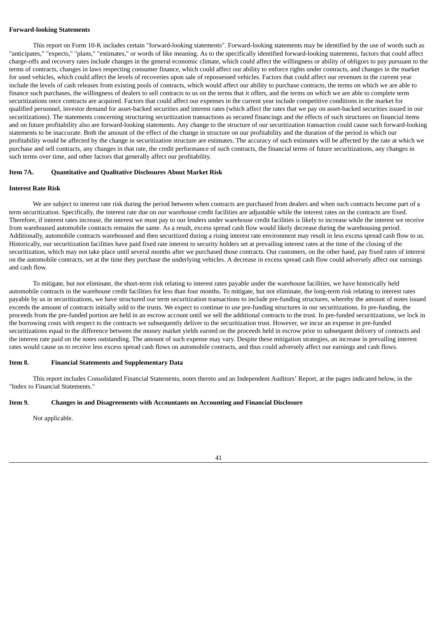### **Forward-looking Statements**

This report on Form 10-K includes certain "forward-looking statements". Forward-looking statements may be identified by the use of words such as "anticipates," "expects," "plans," "estimates," or words of like meaning. As to the specifically identified forward-looking statements, factors that could affect charge-offs and recovery rates include changes in the general economic climate, which could affect the willingness or ability of obligors to pay pursuant to the terms of contracts, changes in laws respecting consumer finance, which could affect our ability to enforce rights under contracts, and changes in the market for used vehicles, which could affect the levels of recoveries upon sale of repossessed vehicles. Factors that could affect our revenues in the current year include the levels of cash releases from existing pools of contracts, which would affect our ability to purchase contracts, the terms on which we are able to finance such purchases, the willingness of dealers to sell contracts to us on the terms that it offers, and the terms on which we are able to complete term securitizations once contracts are acquired. Factors that could affect our expenses in the current year include competitive conditions in the market for qualified personnel, investor demand for asset-backed securities and interest rates (which affect the rates that we pay on asset-backed securities issued in our securitizations). The statements concerning structuring securitization transactions as secured financings and the effects of such structures on financial items and on future profitability also are forward-looking statements. Any change to the structure of our securitization transaction could cause such forward-looking statements to be inaccurate. Both the amount of the effect of the change in structure on our profitability and the duration of the period in which our profitability would be affected by the change in securitization structure are estimates. The accuracy of such estimates will be affected by the rate at which we purchase and sell contracts, any changes in that rate, the credit performance of such contracts, the financial terms of future securitizations, any changes in such terms over time, and other factors that generally affect our profitability.

### **Item 7A. Quantitative and Qualitative Disclosures About Market Risk**

### **Interest Rate Risk**

We are subject to interest rate risk during the period between when contracts are purchased from dealers and when such contracts become part of a term securitization. Specifically, the interest rate due on our warehouse credit facilities are adjustable while the interest rates on the contracts are fixed. Therefore, if interest rates increase, the interest we must pay to our lenders under warehouse credit facilities is likely to increase while the interest we receive from warehoused automobile contracts remains the same. As a result, excess spread cash flow would likely decrease during the warehousing period. Additionally, automobile contracts warehoused and then securitized during a rising interest rate environment may result in less excess spread cash flow to us. Historically, our securitization facilities have paid fixed rate interest to security holders set at prevailing interest rates at the time of the closing of the securitization, which may not take place until several months after we purchased those contracts. Our customers, on the other hand, pay fixed rates of interest on the automobile contracts, set at the time they purchase the underlying vehicles. A decrease in excess spread cash flow could adversely affect our earnings and cash flow.

To mitigate, but not eliminate, the short-term risk relating to interest rates payable under the warehouse facilities, we have historically held automobile contracts in the warehouse credit facilities for less than four months. To mitigate, but not eliminate, the long-term risk relating to interest rates payable by us in securitizations, we have structured our term securitization transactions to include pre-funding structures, whereby the amount of notes issued exceeds the amount of contracts initially sold to the trusts. We expect to continue to use pre-funding structures in our securitizations. In pre-funding, the proceeds from the pre-funded portion are held in an escrow account until we sell the additional contracts to the trust. In pre-funded securitizations, we lock in the borrowing costs with respect to the contracts we subsequently deliver to the securitization trust. However, we incur an expense in pre-funded securitizations equal to the difference between the money market yields earned on the proceeds held in escrow prior to subsequent delivery of contracts and the interest rate paid on the notes outstanding. The amount of such expense may vary. Despite these mitigation strategies, an increase in prevailing interest rates would cause us to receive less excess spread cash flows on automobile contracts, and thus could adversely affect our earnings and cash flows.

#### **Item 8. Financial Statements and Supplementary Data**

This report includes Consolidated Financial Statements, notes thereto and an Independent Auditors' Report, at the pages indicated below, in the "Index to Financial Statements."

### **Item 9. Changes in and Disagreements with Accountants on Accounting and Financial Disclosure**

Not applicable.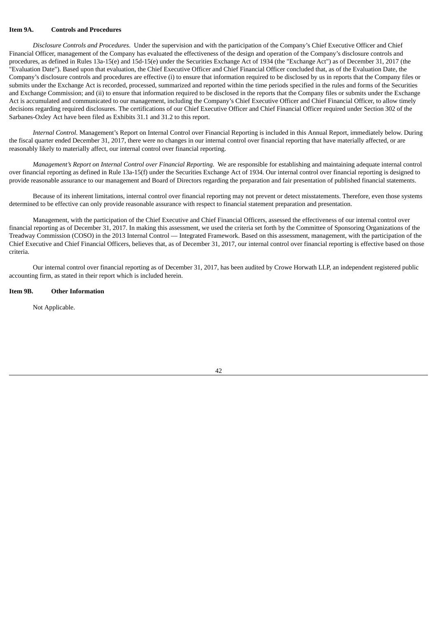# **Item 9A. Controls and Procedures**

*Disclosure Controls and Procedures*. Under the supervision and with the participation of the Company's Chief Executive Officer and Chief Financial Officer, management of the Company has evaluated the effectiveness of the design and operation of the Company's disclosure controls and procedures, as defined in Rules 13a-15(e) and 15d-15(e) under the Securities Exchange Act of 1934 (the "Exchange Act") as of December 31, 2017 (the "Evaluation Date"). Based upon that evaluation, the Chief Executive Officer and Chief Financial Officer concluded that, as of the Evaluation Date, the Company's disclosure controls and procedures are effective (i) to ensure that information required to be disclosed by us in reports that the Company files or submits under the Exchange Act is recorded, processed, summarized and reported within the time periods specified in the rules and forms of the Securities and Exchange Commission; and (ii) to ensure that information required to be disclosed in the reports that the Company files or submits under the Exchange Act is accumulated and communicated to our management, including the Company's Chief Executive Officer and Chief Financial Officer, to allow timely decisions regarding required disclosures. The certifications of our Chief Executive Officer and Chief Financial Officer required under Section 302 of the Sarbanes-Oxley Act have been filed as Exhibits 31.1 and 31.2 to this report.

*Internal Control.* Management's Report on Internal Control over Financial Reporting is included in this Annual Report, immediately below. During the fiscal quarter ended December 31, 2017, there were no changes in our internal control over financial reporting that have materially affected, or are reasonably likely to materially affect, our internal control over financial reporting.

*Management's Report on Internal Control over Financial Reporting*. We are responsible for establishing and maintaining adequate internal control over financial reporting as defined in Rule 13a-15(f) under the Securities Exchange Act of 1934. Our internal control over financial reporting is designed to provide reasonable assurance to our management and Board of Directors regarding the preparation and fair presentation of published financial statements.

Because of its inherent limitations, internal control over financial reporting may not prevent or detect misstatements. Therefore, even those systems determined to be effective can only provide reasonable assurance with respect to financial statement preparation and presentation.

Management, with the participation of the Chief Executive and Chief Financial Officers, assessed the effectiveness of our internal control over financial reporting as of December 31, 2017. In making this assessment, we used the criteria set forth by the Committee of Sponsoring Organizations of the Treadway Commission (COSO) in the 2013 Internal Control — Integrated Framework. Based on this assessment, management, with the participation of the Chief Executive and Chief Financial Officers, believes that, as of December 31, 2017, our internal control over financial reporting is effective based on those criteria.

Our internal control over financial reporting as of December 31, 2017, has been audited by Crowe Horwath LLP, an independent registered public accounting firm, as stated in their report which is included herein.

### **Item 9B. Other Information**

Not Applicable.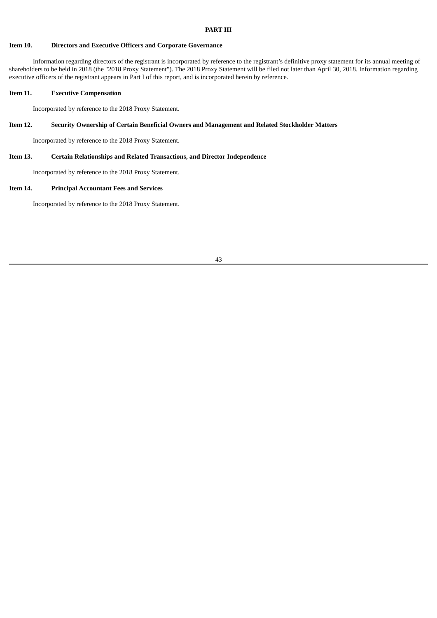### **PART III**

## **Item 10. Directors and Executive Officers and Corporate Governance**

Information regarding directors of the registrant is incorporated by reference to the registrant's definitive proxy statement for its annual meeting of shareholders to be held in 2018 (the "2018 Proxy Statement"). The 2018 Proxy Statement will be filed not later than April 30, 2018. Information regarding executive officers of the registrant appears in Part I of this report, and is incorporated herein by reference.

## **Item 11. Executive Compensation**

Incorporated by reference to the 2018 Proxy Statement.

# **Item 12. Security Ownership of Certain Beneficial Owners and Management and Related Stockholder Matters**

Incorporated by reference to the 2018 Proxy Statement.

# **Item 13. Certain Relationships and Related Transactions, and Director Independence**

Incorporated by reference to the 2018 Proxy Statement.

# **Item 14. Principal Accountant Fees and Services**

Incorporated by reference to the 2018 Proxy Statement.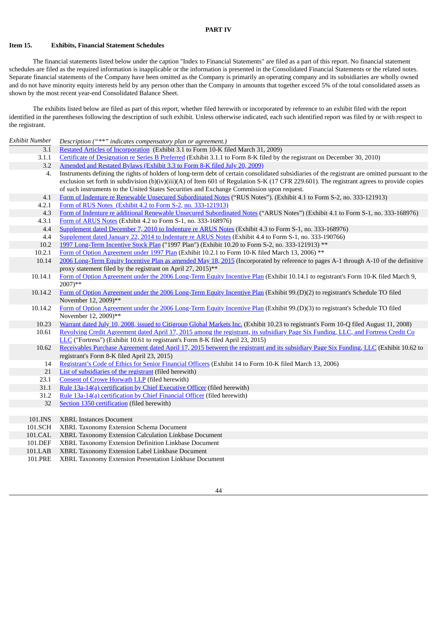# **Item 15. Exhibits, Financial Statement Schedules**

The financial statements listed below under the caption "Index to Financial Statements" are filed as a part of this report. No financial statement schedules are filed as the required information is inapplicable or the information is presented in the Consolidated Financial Statements or the related notes. Separate financial statements of the Company have been omitted as the Company is primarily an operating company and its subsidiaries are wholly owned and do not have minority equity interests held by any person other than the Company in amounts that together exceed 5% of the total consolidated assets as shown by the most recent year-end Consolidated Balance Sheet.

The exhibits listed below are filed as part of this report, whether filed herewith or incorporated by reference to an exhibit filed with the report identified in the parentheses following the description of such exhibit. Unless otherwise indicated, each such identified report was filed by or with respect to the registrant.

| Exhibit Number | Description ("**" indicates compensatory plan or agreement.)                                                                                              |
|----------------|-----------------------------------------------------------------------------------------------------------------------------------------------------------|
| 3.1            | Restated Articles of Incorporation (Exhibit 3.1 to Form 10-K filed March 31, 2009)                                                                        |
| 3.1.1          | Certificate of Designation re Series B Preferred (Exhibit 3.1.1 to Form 8-K filed by the registrant on December 30, 2010)                                 |
| 3.2            | Amended and Restated Bylaws (Exhibit 3.3 to Form 8-K filed July 20, 2009)                                                                                 |
| 4.             | Instruments defining the rights of holders of long-term debt of certain consolidated subsidiaries of the registrant are omitted pursuant to the           |
|                | exclusion set forth in subdivision (b)(iv)(iii)(A) of Item 601 of Regulation S-K (17 CFR 229.601). The registrant agrees to provide copies                |
|                | of such instruments to the United States Securities and Exchange Commission upon request.                                                                 |
| 4.1            | Form of Indenture re Renewable Unsecured Subordinated Notes ("RUS Notes"). (Exhibit 4.1 to Form S-2, no. 333-121913)                                      |
| 4.2.1          | Form of RUS Notes (Exhibit 4.2 to Form S-2, no. 333-121913)                                                                                               |
| 4.3            | Form of Indenture readditional Renewable Unsecured Subordinated Notes ("ARUS Notes") (Exhibit 4.1 to Form S-1, no. 333-168976)                            |
| 4.3.1          | Form of ARUS Notes (Exhibit 4.2 to Form S-1, no. 333-168976)                                                                                              |
| 4.4            | Supplement dated December 7, 2010 to Indenture re ARUS Notes (Exhibit 4.3 to Form S-1, no. 333-168976)                                                    |
| 4.4            | Supplement dated January 22, 2014 to Indenture re ARUS Notes (Exhibit 4.4 to Form S-1, no. 333-190766)                                                    |
| 10.2           | 1997 Long-Term Incentive Stock Plan ("1997 Plan") (Exhibit 10.20 to Form S-2, no. 333-121913) **                                                          |
| 10.2.1         | Form of Option Agreement under 1997 Plan (Exhibit 10.2.1 to Form 10-K filed March 13, 2006) **                                                            |
| 10.14          | 2006 Long-Term Equity Incentive Plan as amended May 18, 2015 (Incorporated by reference to pages A-1 through A-10 of the definitive                       |
|                | proxy statement filed by the registrant on April 27, 2015)**                                                                                              |
| 10.14.1        | Form of Option Agreement under the 2006 Long-Term Equity Incentive Plan (Exhibit 10.14.1 to registrant's Form 10-K filed March 9,<br>$2007$ <sup>**</sup> |
| 10.14.2        | Form of Option Agreement under the 2006 Long-Term Equity Incentive Plan (Exhibit 99.(D)(2) to registrant's Schedule TO filed                              |
|                | November 12, 2009)**                                                                                                                                      |
| 10.14.2        | Form of Option Agreement under the 2006 Long-Term Equity Incentive Plan (Exhibit 99.(D)(3) to registrant's Schedule TO filed<br>November 12, 2009)**      |
| 10.23          | Warrant dated July 10, 2008, issued to Citigroup Global Markets Inc. (Exhibit 10.23 to registrant's Form 10-Q filed August 11, 2008)                      |
| 10.61          | Revolving Credit Agreement dated April 17, 2015 among the registrant, its subsidiary Page Six Funding, LLC, and Fortress Credit Co                        |
|                | LLC ("Fortress") (Exhibit 10.61 to registrant's Form 8-K filed April 23, 2015)                                                                            |
| 10.62          | Receivables Purchase Agreement dated April 17, 2015 between the registrant and its subsidiary Page Six Funding, LLC (Exhibit 10.62 to                     |
|                | registrant's Form 8-K filed April 23, 2015)                                                                                                               |
| 14             | Registrant's Code of Ethics for Senior Financial Officers (Exhibit 14 to Form 10-K filed March 13, 2006)                                                  |
| 21             | List of subsidiaries of the registrant (filed herewith)                                                                                                   |
| 23.1           | <b>Consent of Crowe Horwath LLP</b> (filed herewith)                                                                                                      |
| 31.1           | Rule 13a-14(a) certification by Chief Executive Officer (filed herewith)                                                                                  |
| 31.2           | Rule 13a-14(a) certification by Chief Financial Officer (filed herewith)                                                                                  |
| 32             | Section 1350 certification (filed herewith)                                                                                                               |
| 101.INS        | <b>XBRL Instances Document</b>                                                                                                                            |
| 101.SCH        | XBRL Taxonomy Extension Schema Document                                                                                                                   |
|                |                                                                                                                                                           |
| 101.CAL        | XBRL Taxonomy Extension Calculation Linkbase Document<br>XBRL Taxonomy Extension Definition Linkbase Document                                             |
| 101.DEF        |                                                                                                                                                           |
| 101.LAB        | XBRL Taxonomy Extension Label Linkbase Document                                                                                                           |
| 101.PRE        | XBRL Taxonomy Extension Presentation Linkbase Document                                                                                                    |

44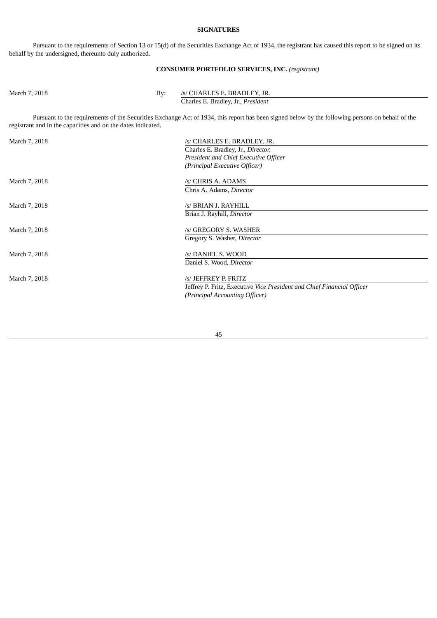# **SIGNATURES**

Pursuant to the requirements of Section 13 or 15(d) of the Securities Exchange Act of 1934, the registrant has caused this report to be signed on its behalf by the undersigned, thereunto duly authorized.

# **CONSUMER PORTFOLIO SERVICES, INC.** *(registrant)*

| March 7, 2018                                                                                                                                                                                                    | By: | /s/ CHARLES E. BRADLEY, JR.<br>Charles E. Bradley, Jr., President                                                                           |  |  |  |  |  |  |
|------------------------------------------------------------------------------------------------------------------------------------------------------------------------------------------------------------------|-----|---------------------------------------------------------------------------------------------------------------------------------------------|--|--|--|--|--|--|
| Pursuant to the requirements of the Securities Exchange Act of 1934, this report has been signed below by the following persons on behalf of the<br>registrant and in the capacities and on the dates indicated. |     |                                                                                                                                             |  |  |  |  |  |  |
| March 7, 2018                                                                                                                                                                                                    |     | /s/ CHARLES E. BRADLEY, JR.<br>Charles E. Bradley, Jr., Director,<br>President and Chief Executive Officer<br>(Principal Executive Officer) |  |  |  |  |  |  |
| March 7, 2018                                                                                                                                                                                                    |     | /s/ CHRIS A. ADAMS<br>Chris A. Adams, Director                                                                                              |  |  |  |  |  |  |
| March 7, 2018                                                                                                                                                                                                    |     | /s/ BRIAN J. RAYHILL<br>Brian J. Rayhill, Director                                                                                          |  |  |  |  |  |  |
| March 7, 2018                                                                                                                                                                                                    |     | /s/ GREGORY S. WASHER<br>Gregory S. Washer, Director                                                                                        |  |  |  |  |  |  |
| March 7, 2018                                                                                                                                                                                                    |     | /s/ DANIEL S. WOOD<br>Daniel S. Wood, Director                                                                                              |  |  |  |  |  |  |
| March 7, 2018                                                                                                                                                                                                    |     | /s/ JEFFREY P. FRITZ<br>Jeffrey P. Fritz, Executive Vice President and Chief Financial Officer<br>(Principal Accounting Officer)            |  |  |  |  |  |  |

45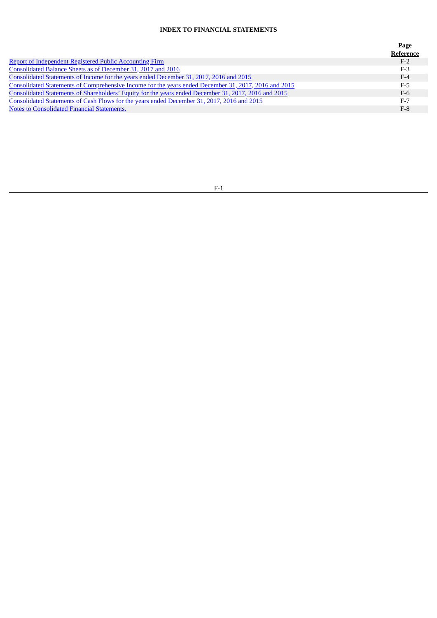# **INDEX TO FINANCIAL STATEMENTS**

|                                                                                                      | Page<br>Reference |
|------------------------------------------------------------------------------------------------------|-------------------|
| <b>Report of Independent Registered Public Accounting Firm</b>                                       | $F-2$             |
| Consolidated Balance Sheets as of December 31, 2017 and 2016                                         | $F-3$             |
| Consolidated Statements of Income for the years ended December 31, 2017, 2016 and 2015               | $F-4$             |
| Consolidated Statements of Comprehensive Income for the years ended December 31, 2017, 2016 and 2015 | $F-5$             |
| Consolidated Statements of Shareholders' Equity for the years ended December 31, 2017, 2016 and 2015 | $F-6$             |
| Consolidated Statements of Cash Flows for the years ended December 31, 2017, 2016 and 2015           | $F-7$             |
| <b>Notes to Consolidated Financial Statements.</b>                                                   | $F-8$             |

| ш |  |
|---|--|
|   |  |
|   |  |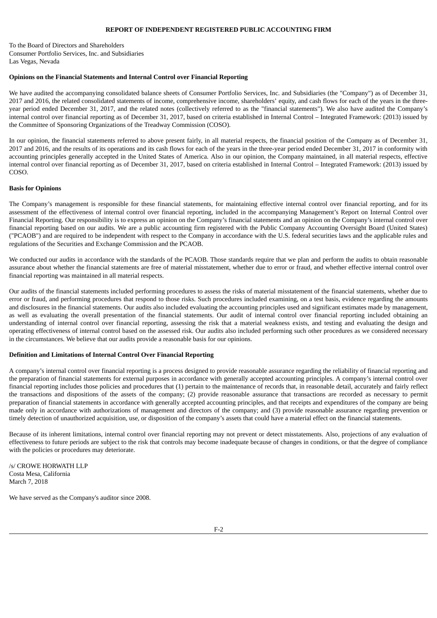# **REPORT OF INDEPENDENT REGISTERED PUBLIC ACCOUNTING FIRM**

<span id="page-48-0"></span>To the Board of Directors and Shareholders Consumer Portfolio Services, Inc. and Subsidiaries Las Vegas, Nevada

### **Opinions on the Financial Statements and Internal Control over Financial Reporting**

We have audited the accompanying consolidated balance sheets of Consumer Portfolio Services, Inc. and Subsidiaries (the "Company") as of December 31, 2017 and 2016, the related consolidated statements of income, comprehensive income, shareholders' equity, and cash flows for each of the years in the threeyear period ended December 31, 2017, and the related notes (collectively referred to as the "financial statements"). We also have audited the Company's internal control over financial reporting as of December 31, 2017, based on criteria established in Internal Control – Integrated Framework: (2013) issued by the Committee of Sponsoring Organizations of the Treadway Commission (COSO).

In our opinion, the financial statements referred to above present fairly, in all material respects, the financial position of the Company as of December 31, 2017 and 2016, and the results of its operations and its cash flows for each of the years in the three-year period ended December 31, 2017 in conformity with accounting principles generally accepted in the United States of America. Also in our opinion, the Company maintained, in all material respects, effective internal control over financial reporting as of December 31, 2017, based on criteria established in Internal Control – Integrated Framework: (2013) issued by COSO.

### **Basis for Opinions**

The Company's management is responsible for these financial statements, for maintaining effective internal control over financial reporting, and for its assessment of the effectiveness of internal control over financial reporting, included in the accompanying Management's Report on Internal Control over Financial Reporting. Our responsibility is to express an opinion on the Company's financial statements and an opinion on the Company's internal control over financial reporting based on our audits. We are a public accounting firm registered with the Public Company Accounting Oversight Board (United States) ("PCAOB") and are required to be independent with respect to the Company in accordance with the U.S. federal securities laws and the applicable rules and regulations of the Securities and Exchange Commission and the PCAOB.

We conducted our audits in accordance with the standards of the PCAOB. Those standards require that we plan and perform the audits to obtain reasonable assurance about whether the financial statements are free of material misstatement, whether due to error or fraud, and whether effective internal control over financial reporting was maintained in all material respects.

Our audits of the financial statements included performing procedures to assess the risks of material misstatement of the financial statements, whether due to error or fraud, and performing procedures that respond to those risks. Such procedures included examining, on a test basis, evidence regarding the amounts and disclosures in the financial statements. Our audits also included evaluating the accounting principles used and significant estimates made by management, as well as evaluating the overall presentation of the financial statements. Our audit of internal control over financial reporting included obtaining an understanding of internal control over financial reporting, assessing the risk that a material weakness exists, and testing and evaluating the design and operating effectiveness of internal control based on the assessed risk. Our audits also included performing such other procedures as we considered necessary in the circumstances. We believe that our audits provide a reasonable basis for our opinions.

## **Definition and Limitations of Internal Control Over Financial Reporting**

A company's internal control over financial reporting is a process designed to provide reasonable assurance regarding the reliability of financial reporting and the preparation of financial statements for external purposes in accordance with generally accepted accounting principles. A company's internal control over financial reporting includes those policies and procedures that (1) pertain to the maintenance of records that, in reasonable detail, accurately and fairly reflect the transactions and dispositions of the assets of the company; (2) provide reasonable assurance that transactions are recorded as necessary to permit preparation of financial statements in accordance with generally accepted accounting principles, and that receipts and expenditures of the company are being made only in accordance with authorizations of management and directors of the company; and (3) provide reasonable assurance regarding prevention or timely detection of unauthorized acquisition, use, or disposition of the company's assets that could have a material effect on the financial statements.

Because of its inherent limitations, internal control over financial reporting may not prevent or detect misstatements. Also, projections of any evaluation of effectiveness to future periods are subject to the risk that controls may become inadequate because of changes in conditions, or that the degree of compliance with the policies or procedures may deteriorate.

/s/ CROWE HORWATH LLP Costa Mesa, California March 7, 2018

We have served as the Company's auditor since 2008.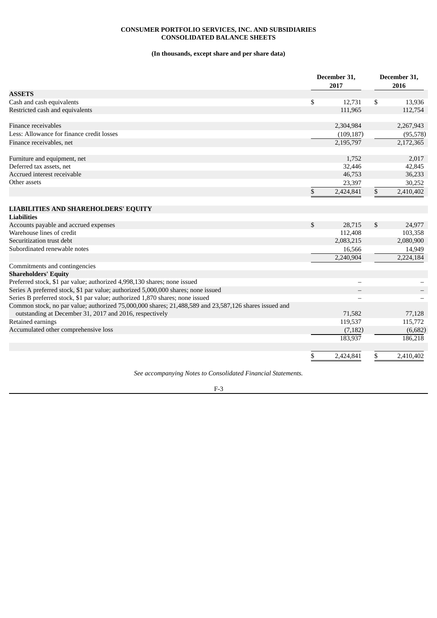# **CONSUMER PORTFOLIO SERVICES, INC. AND SUBSIDIARIES CONSOLIDATED BALANCE SHEETS**

# **(In thousands, except share and per share data)**

<span id="page-49-0"></span>

|                                                                                                       | December 31,<br>2017 |                   | December 31,<br>2016 |           |
|-------------------------------------------------------------------------------------------------------|----------------------|-------------------|----------------------|-----------|
| <b>ASSETS</b>                                                                                         |                      |                   |                      |           |
| Cash and cash equivalents                                                                             | \$                   | 12,731            | \$                   | 13,936    |
| Restricted cash and equivalents                                                                       |                      | 111,965           |                      | 112,754   |
| Finance receivables                                                                                   |                      | 2,304,984         |                      | 2,267,943 |
| Less: Allowance for finance credit losses                                                             |                      | (109, 187)        |                      | (95, 578) |
| Finance receivables, net                                                                              |                      | 2,195,797         |                      | 2,172,365 |
| Furniture and equipment, net                                                                          |                      | 1,752             |                      | 2,017     |
| Deferred tax assets, net                                                                              |                      | 32,446            |                      | 42,845    |
| Accrued interest receivable                                                                           |                      | 46,753            |                      | 36,233    |
| Other assets                                                                                          |                      | 23,397            |                      | 30,252    |
|                                                                                                       | \$                   | 2,424,841         | \$                   | 2,410,402 |
| <b>LIABILITIES AND SHAREHOLDERS' EQUITY</b>                                                           |                      |                   |                      |           |
| <b>Liabilities</b>                                                                                    |                      |                   |                      |           |
| Accounts payable and accrued expenses                                                                 | \$                   | 28,715            | \$                   | 24,977    |
| Warehouse lines of credit                                                                             |                      | 112,408           |                      | 103,358   |
| Securitization trust debt                                                                             |                      | 2,083,215         |                      | 2,080,900 |
| Subordinated renewable notes                                                                          |                      | 16,566            |                      | 14,949    |
|                                                                                                       |                      | 2,240,904         |                      | 2,224,184 |
| Commitments and contingencies                                                                         |                      |                   |                      |           |
| <b>Shareholders' Equity</b>                                                                           |                      |                   |                      |           |
| Preferred stock, \$1 par value; authorized 4,998,130 shares; none issued                              |                      | $\qquad \qquad -$ |                      |           |
| Series A preferred stock, \$1 par value; authorized 5,000,000 shares; none issued                     |                      |                   |                      |           |
| Series B preferred stock, \$1 par value; authorized 1,870 shares; none issued                         |                      |                   |                      |           |
| Common stock, no par value; authorized 75,000,000 shares; 21,488,589 and 23,587,126 shares issued and |                      |                   |                      |           |
| outstanding at December 31, 2017 and 2016, respectively                                               |                      | 71,582            |                      | 77,128    |
| Retained earnings                                                                                     |                      | 119,537           |                      | 115,772   |
| Accumulated other comprehensive loss                                                                  |                      | (7, 182)          |                      | (6,682)   |
|                                                                                                       |                      | 183,937           |                      | 186,218   |
|                                                                                                       | \$                   | 2,424,841         | \$                   | 2,410,402 |

*See accompanying Notes to Consolidated Financial Statements.*

F-3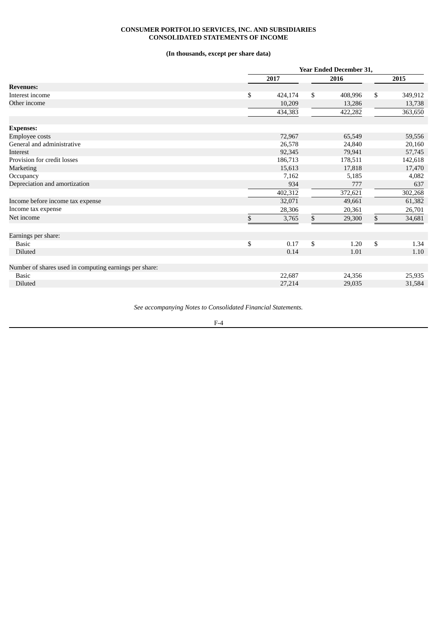# **CONSUMER PORTFOLIO SERVICES, INC. AND SUBSIDIARIES CONSOLIDATED STATEMENTS OF INCOME**

# **(In thousands, except per share data)**

<span id="page-50-0"></span>

|                                                        | <b>Year Ended December 31,</b> |    |         |                |         |  |  |
|--------------------------------------------------------|--------------------------------|----|---------|----------------|---------|--|--|
|                                                        | 2017                           |    | 2016    |                | 2015    |  |  |
| <b>Revenues:</b>                                       |                                |    |         |                |         |  |  |
| Interest income                                        | \$<br>424,174                  | \$ | 408,996 | \$             | 349,912 |  |  |
| Other income                                           | 10,209                         |    | 13,286  |                | 13,738  |  |  |
|                                                        | 434,383                        |    | 422,282 |                | 363,650 |  |  |
| <b>Expenses:</b>                                       |                                |    |         |                |         |  |  |
| Employee costs                                         | 72,967                         |    | 65,549  |                | 59,556  |  |  |
| General and administrative                             | 26,578                         |    | 24,840  |                | 20,160  |  |  |
| Interest                                               | 92,345                         |    | 79,941  |                | 57,745  |  |  |
| Provision for credit losses                            | 186,713                        |    | 178,511 |                | 142,618 |  |  |
| <b>Marketing</b>                                       | 15,613                         |    | 17,818  |                | 17,470  |  |  |
| Occupancy                                              | 7,162                          |    | 5,185   |                | 4,082   |  |  |
| Depreciation and amortization                          | 934                            |    | 777     |                | 637     |  |  |
|                                                        | 402,312                        |    | 372,621 |                | 302,268 |  |  |
| Income before income tax expense                       | 32,071                         |    | 49,661  |                | 61,382  |  |  |
| Income tax expense                                     | 28,306                         |    | 20,361  |                | 26,701  |  |  |
| Net income                                             | \$<br>3,765                    | \$ | 29,300  | $$\mathbb{S}$$ | 34,681  |  |  |
| Earnings per share:                                    |                                |    |         |                |         |  |  |
| <b>Basic</b>                                           | \$<br>0.17                     | \$ | 1.20    | \$             | 1.34    |  |  |
| Diluted                                                | 0.14                           |    | 1.01    |                | 1.10    |  |  |
| Number of shares used in computing earnings per share: |                                |    |         |                |         |  |  |
| <b>Basic</b>                                           | 22,687                         |    | 24,356  |                | 25,935  |  |  |
| <b>Diluted</b>                                         | 27,214                         |    | 29,035  |                | 31,584  |  |  |

*See accompanying Notes to Consolidated Financial Statements.*

$$
F-4
$$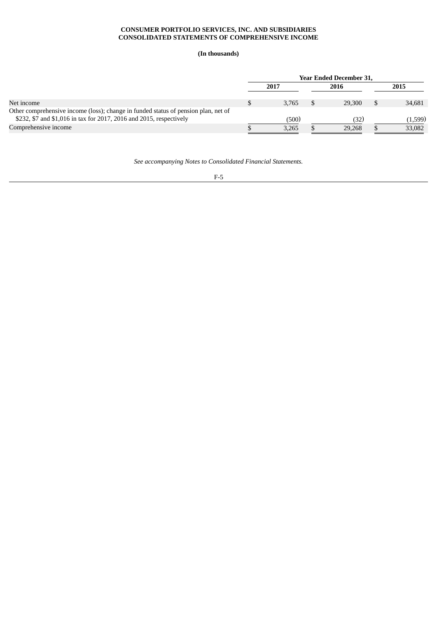## **CONSUMER PORTFOLIO SERVICES, INC. AND SUBSIDIARIES CONSOLIDATED STATEMENTS OF COMPREHENSIVE INCOME**

# **(In thousands)**

<span id="page-51-0"></span>

|                                                                                    | <b>Year Ended December 31,</b> |       |      |        |               |         |  |
|------------------------------------------------------------------------------------|--------------------------------|-------|------|--------|---------------|---------|--|
|                                                                                    | 2017                           |       | 2016 |        | 2015          |         |  |
| Net income                                                                         |                                | 3.765 |      | 29,300 | <sup>\$</sup> | 34,681  |  |
| Other comprehensive income (loss); change in funded status of pension plan, net of |                                |       |      |        |               |         |  |
| \$232, \$7 and \$1,016 in tax for 2017, 2016 and 2015, respectively                |                                | (500) |      | (32)   |               | (1,599) |  |
| Comprehensive income                                                               |                                | 3,265 |      | 29.268 |               | 33,082  |  |

*See accompanying Notes to Consolidated Financial Statements.*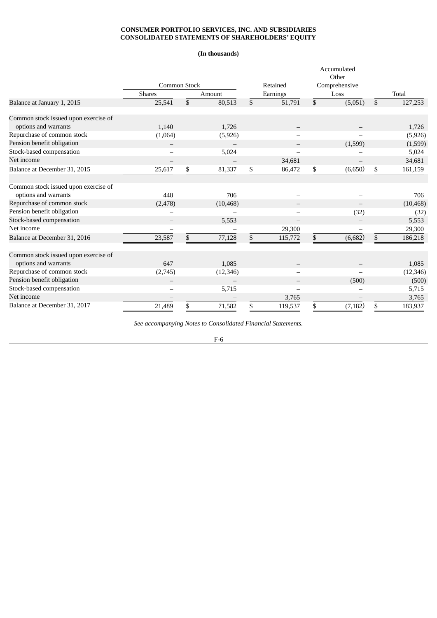# **CONSUMER PORTFOLIO SERVICES, INC. AND SUBSIDIARIES CONSOLIDATED STATEMENTS OF SHAREHOLDERS' EQUITY**

## **(In thousands)**

<span id="page-52-0"></span>

|                                      |                          |              |               |     | Accumulated   |               |
|--------------------------------------|--------------------------|--------------|---------------|-----|---------------|---------------|
|                                      | Common Stock             |              | Retained      |     | Other         |               |
|                                      | <b>Shares</b>            |              |               |     | Comprehensive | Total         |
|                                      |                          | Amount       | Earnings      |     | Loss          |               |
| Balance at January 1, 2015           | 25,541                   | \$<br>80,513 | \$<br>51,791  | \$  | (5,051)       | \$<br>127,253 |
| Common stock issued upon exercise of |                          |              |               |     |               |               |
| options and warrants                 | 1,140                    | 1,726        |               |     |               | 1,726         |
| Repurchase of common stock           | (1,064)                  | (5,926)      |               |     |               | (5,926)       |
| Pension benefit obligation           |                          |              |               |     | (1,599)       | (1,599)       |
| Stock-based compensation             |                          | 5,024        |               |     |               | 5,024         |
| Net income                           |                          |              | 34,681        |     |               | 34,681        |
| Balance at December 31, 2015         | 25,617                   | \$<br>81,337 | \$<br>86,472  | \$. | (6,650)       | \$<br>161,159 |
| Common stock issued upon exercise of |                          |              |               |     |               |               |
| options and warrants                 | 448                      | 706          |               |     |               | 706           |
| Repurchase of common stock           | (2, 478)                 | (10, 468)    |               |     |               | (10, 468)     |
| Pension benefit obligation           | $\overline{\phantom{0}}$ |              |               |     | (32)          | (32)          |
| Stock-based compensation             |                          | 5,553        |               |     |               | 5,553         |
| Net income                           |                          | -            | 29,300        |     |               | 29,300        |
| Balance at December 31, 2016         | 23,587                   | \$<br>77,128 | \$<br>115,772 | \$  | (6,682)       | \$<br>186,218 |
| Common stock issued upon exercise of |                          |              |               |     |               |               |
| options and warrants                 | 647                      | 1,085        |               |     |               | 1,085         |
| Repurchase of common stock           | (2,745)                  | (12, 346)    |               |     |               | (12, 346)     |
| Pension benefit obligation           |                          |              |               |     | (500)         | (500)         |
| Stock-based compensation             |                          | 5,715        |               |     |               | 5,715         |
| Net income                           |                          |              | 3,765         |     |               | 3,765         |
| Balance at December 31, 2017         | 21,489                   | \$<br>71,582 | \$<br>119,537 | \$  | (7, 182)      | \$<br>183,937 |

*See accompanying Notes to Consolidated Financial Statements.*

F-6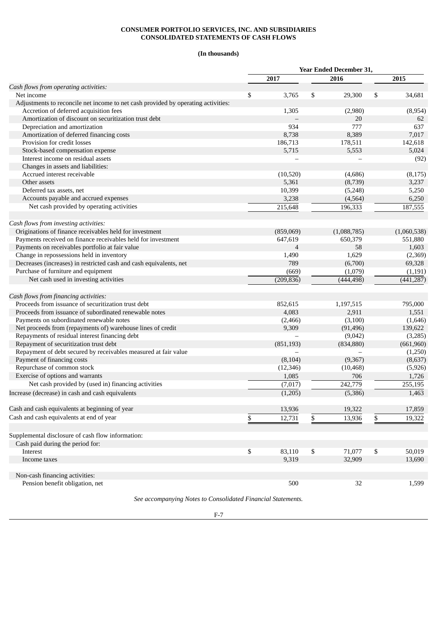# **CONSUMER PORTFOLIO SERVICES, INC. AND SUBSIDIARIES CONSOLIDATED STATEMENTS OF CASH FLOWS**

# **(In thousands)**

<span id="page-53-0"></span>

|                                                                                   | Year Ended December 31, |                |                 |             |               |             |
|-----------------------------------------------------------------------------------|-------------------------|----------------|-----------------|-------------|---------------|-------------|
|                                                                                   |                         | 2017           |                 | 2016        |               | 2015        |
| Cash flows from operating activities:                                             |                         |                |                 |             |               |             |
| Net income                                                                        | \$                      | 3,765          | \$              | 29,300      | \$            | 34,681      |
| Adjustments to reconcile net income to net cash provided by operating activities: |                         |                |                 |             |               |             |
| Accretion of deferred acquisition fees                                            |                         | 1,305          |                 | (2,980)     |               | (8,954)     |
| Amortization of discount on securitization trust debt                             |                         |                |                 | 20          |               | 62          |
| Depreciation and amortization                                                     |                         | 934            |                 | 777         |               | 637         |
| Amortization of deferred financing costs                                          |                         | 8,738          |                 | 8,389       |               | 7,017       |
| Provision for credit losses                                                       |                         | 186,713        |                 | 178,511     |               | 142,618     |
| Stock-based compensation expense                                                  |                         | 5,715          |                 | 5,553       |               | 5,024       |
| Interest income on residual assets                                                |                         |                |                 |             |               | (92)        |
| Changes in assets and liabilities:                                                |                         |                |                 |             |               |             |
| Accrued interest receivable                                                       |                         | (10,520)       |                 | (4,686)     |               | (8, 175)    |
| Other assets                                                                      |                         | 5,361          |                 | (8,739)     |               | 3,237       |
| Deferred tax assets, net                                                          |                         | 10,399         |                 | (5,248)     |               | 5,250       |
| Accounts payable and accrued expenses                                             |                         | 3,238          |                 | (4, 564)    |               | 6,250       |
| Net cash provided by operating activities                                         |                         | 215,648        |                 | 196,333     |               | 187,555     |
|                                                                                   |                         |                |                 |             |               |             |
| Cash flows from investing activities:                                             |                         |                |                 |             |               |             |
| Originations of finance receivables held for investment                           |                         | (859,069)      |                 | (1,088,785) |               | (1,060,538) |
| Payments received on finance receivables held for investment                      |                         | 647,619        |                 | 650,379     |               | 551,880     |
| Payments on receivables portfolio at fair value                                   |                         | $\overline{4}$ |                 | 58          |               | 1,603       |
| Change in repossessions held in inventory                                         |                         | 1,490          |                 | 1,629       |               | (2,369)     |
| Decreases (increases) in restricted cash and cash equivalents, net                |                         | 789            |                 | (6,700)     |               | 69,328      |
| Purchase of furniture and equipment                                               |                         | (669)          |                 | (1,079)     |               | (1, 191)    |
|                                                                                   |                         |                |                 |             |               |             |
| Net cash used in investing activities                                             |                         | (209, 836)     |                 | (444, 498)  |               | (441, 287)  |
|                                                                                   |                         |                |                 |             |               |             |
| Cash flows from financing activities:                                             |                         |                |                 |             |               |             |
| Proceeds from issuance of securitization trust debt                               |                         | 852,615        |                 | 1,197,515   |               | 795,000     |
| Proceeds from issuance of subordinated renewable notes                            |                         | 4,083          |                 | 2,911       |               | 1,551       |
| Payments on subordinated renewable notes                                          |                         | (2,466)        |                 | (3,100)     |               | (1,646)     |
| Net proceeds from (repayments of) warehouse lines of credit                       |                         | 9,309          |                 | (91, 496)   |               | 139,622     |
| Repayments of residual interest financing debt                                    |                         |                |                 | (9,042)     |               | (3,285)     |
| Repayment of securitization trust debt                                            |                         | (851, 193)     |                 | (834, 880)  |               | (661, 960)  |
| Repayment of debt secured by receivables measured at fair value                   |                         |                |                 |             |               | (1,250)     |
| Payment of financing costs                                                        |                         | (8, 104)       |                 | (9,367)     |               | (8,637)     |
| Repurchase of common stock                                                        |                         | (12, 346)      |                 | (10, 468)   |               | (5,926)     |
| Exercise of options and warrants                                                  |                         | 1,085          |                 | 706         |               | 1,726       |
| Net cash provided by (used in) financing activities                               |                         | (7,017)        |                 | 242,779     |               | 255,195     |
| Increase (decrease) in cash and cash equivalents                                  |                         | (1,205)        |                 | (5,386)     |               | 1,463       |
| Cash and cash equivalents at beginning of year                                    |                         | 13,936         |                 | 19,322      |               | 17,859      |
| Cash and cash equivalents at end of year                                          | \$                      | 12,731         | $\overline{\$}$ | 13,936      | ${\mathbb S}$ | 19,322      |
|                                                                                   |                         |                |                 |             |               |             |
| Supplemental disclosure of cash flow information:                                 |                         |                |                 |             |               |             |
| Cash paid during the period for:                                                  |                         |                |                 |             |               |             |
| Interest                                                                          | \$                      | 83,110         | \$              | 71,077      | \$            | 50,019      |
| Income taxes                                                                      |                         | 9,319          |                 | 32,909      |               | 13,690      |
|                                                                                   |                         |                |                 |             |               |             |
| Non-cash financing activities:                                                    |                         |                |                 |             |               |             |
| Pension benefit obligation, net                                                   |                         | 500            |                 | 32          |               | 1,599       |

*See accompanying Notes to Consolidated Financial Statements.*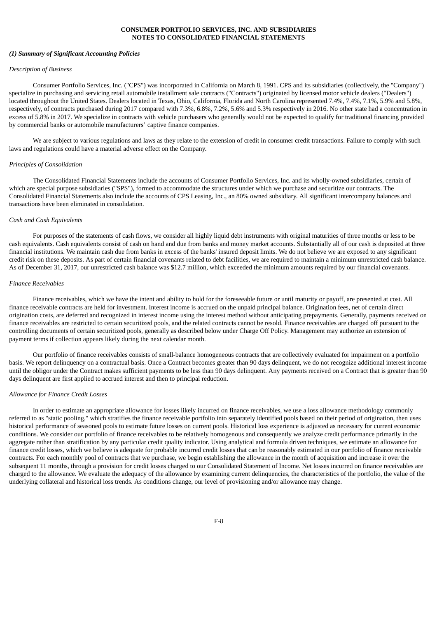## <span id="page-54-0"></span>*(1) Summary of Significant Accounting Policies*

### *Description of Business*

Consumer Portfolio Services, Inc. ("CPS") was incorporated in California on March 8, 1991. CPS and its subsidiaries (collectively, the "Company") specialize in purchasing and servicing retail automobile installment sale contracts ("Contracts") originated by licensed motor vehicle dealers ("Dealers") located throughout the United States. Dealers located in Texas, Ohio, California, Florida and North Carolina represented 7.4%, 7.4%, 7.1%, 5.9% and 5.8%, respectively, of contracts purchased during 2017 compared with 7.3%, 6.8%, 7.2%, 5.6% and 5.3% respectively in 2016. No other state had a concentration in excess of 5.8% in 2017. We specialize in contracts with vehicle purchasers who generally would not be expected to qualify for traditional financing provided by commercial banks or automobile manufacturers' captive finance companies.

We are subject to various regulations and laws as they relate to the extension of credit in consumer credit transactions. Failure to comply with such laws and regulations could have a material adverse effect on the Company.

#### *Principles of Consolidation*

The Consolidated Financial Statements include the accounts of Consumer Portfolio Services, Inc. and its wholly-owned subsidiaries, certain of which are special purpose subsidiaries ("SPS"), formed to accommodate the structures under which we purchase and securitize our contracts. The Consolidated Financial Statements also include the accounts of CPS Leasing, Inc., an 80% owned subsidiary. All significant intercompany balances and transactions have been eliminated in consolidation.

### *Cash and Cash Equivalents*

For purposes of the statements of cash flows, we consider all highly liquid debt instruments with original maturities of three months or less to be cash equivalents. Cash equivalents consist of cash on hand and due from banks and money market accounts. Substantially all of our cash is deposited at three financial institutions. We maintain cash due from banks in excess of the banks' insured deposit limits. We do not believe we are exposed to any significant credit risk on these deposits. As part of certain financial covenants related to debt facilities, we are required to maintain a minimum unrestricted cash balance. As of December 31, 2017, our unrestricted cash balance was \$12.7 million, which exceeded the minimum amounts required by our financial covenants.

#### *Finance Receivables*

Finance receivables, which we have the intent and ability to hold for the foreseeable future or until maturity or payoff, are presented at cost. All finance receivable contracts are held for investment. Interest income is accrued on the unpaid principal balance. Origination fees, net of certain direct origination costs, are deferred and recognized in interest income using the interest method without anticipating prepayments. Generally, payments received on finance receivables are restricted to certain securitized pools, and the related contracts cannot be resold. Finance receivables are charged off pursuant to the controlling documents of certain securitized pools, generally as described below under Charge Off Policy. Management may authorize an extension of payment terms if collection appears likely during the next calendar month.

Our portfolio of finance receivables consists of small-balance homogeneous contracts that are collectively evaluated for impairment on a portfolio basis. We report delinquency on a contractual basis. Once a Contract becomes greater than 90 days delinquent, we do not recognize additional interest income until the obligor under the Contract makes sufficient payments to be less than 90 days delinquent. Any payments received on a Contract that is greater than 90 days delinquent are first applied to accrued interest and then to principal reduction.

#### *Allowance for Finance Credit Losses*

In order to estimate an appropriate allowance for losses likely incurred on finance receivables, we use a loss allowance methodology commonly referred to as "static pooling," which stratifies the finance receivable portfolio into separately identified pools based on their period of origination, then uses historical performance of seasoned pools to estimate future losses on current pools. Historical loss experience is adjusted as necessary for current economic conditions. We consider our portfolio of finance receivables to be relatively homogenous and consequently we analyze credit performance primarily in the aggregate rather than stratification by any particular credit quality indicator. Using analytical and formula driven techniques, we estimate an allowance for finance credit losses, which we believe is adequate for probable incurred credit losses that can be reasonably estimated in our portfolio of finance receivable contracts. For each monthly pool of contracts that we purchase, we begin establishing the allowance in the month of acquisition and increase it over the subsequent 11 months, through a provision for credit losses charged to our Consolidated Statement of Income. Net losses incurred on finance receivables are charged to the allowance. We evaluate the adequacy of the allowance by examining current delinquencies, the characteristics of the portfolio, the value of the underlying collateral and historical loss trends. As conditions change, our level of provisioning and/or allowance may change.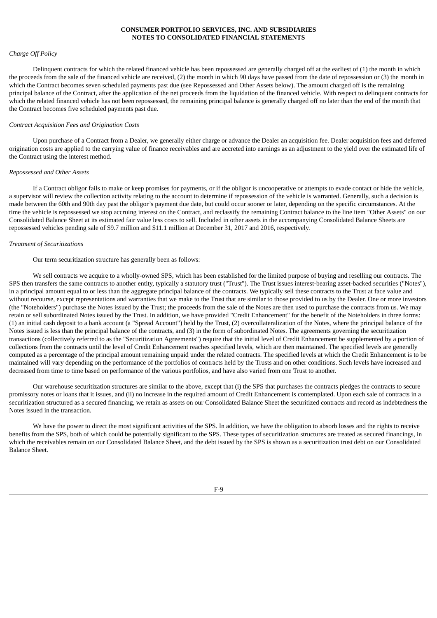## *Charge Off Policy*

Delinquent contracts for which the related financed vehicle has been repossessed are generally charged off at the earliest of (1) the month in which the proceeds from the sale of the financed vehicle are received, (2) the month in which 90 days have passed from the date of repossession or (3) the month in which the Contract becomes seven scheduled payments past due (see Repossessed and Other Assets below). The amount charged off is the remaining principal balance of the Contract, after the application of the net proceeds from the liquidation of the financed vehicle. With respect to delinquent contracts for which the related financed vehicle has not been repossessed, the remaining principal balance is generally charged off no later than the end of the month that the Contract becomes five scheduled payments past due.

#### *Contract Acquisition Fees and Origination Costs*

Upon purchase of a Contract from a Dealer, we generally either charge or advance the Dealer an acquisition fee. Dealer acquisition fees and deferred origination costs are applied to the carrying value of finance receivables and are accreted into earnings as an adjustment to the yield over the estimated life of the Contract using the interest method.

#### *Repossessed and Other Assets*

If a Contract obligor fails to make or keep promises for payments, or if the obligor is uncooperative or attempts to evade contact or hide the vehicle, a supervisor will review the collection activity relating to the account to determine if repossession of the vehicle is warranted. Generally, such a decision is made between the 60th and 90th day past the obligor's payment due date, but could occur sooner or later, depending on the specific circumstances. At the time the vehicle is repossessed we stop accruing interest on the Contract, and reclassify the remaining Contract balance to the line item "Other Assets" on our Consolidated Balance Sheet at its estimated fair value less costs to sell. Included in other assets in the accompanying Consolidated Balance Sheets are repossessed vehicles pending sale of \$9.7 million and \$11.1 million at December 31, 2017 and 2016, respectively.

### *Treatment of Securitizations*

### Our term securitization structure has generally been as follows:

We sell contracts we acquire to a wholly-owned SPS, which has been established for the limited purpose of buying and reselling our contracts. The SPS then transfers the same contracts to another entity, typically a statutory trust ("Trust"). The Trust issues interest-bearing asset-backed securities ("Notes"), in a principal amount equal to or less than the aggregate principal balance of the contracts. We typically sell these contracts to the Trust at face value and without recourse, except representations and warranties that we make to the Trust that are similar to those provided to us by the Dealer. One or more investors (the "Noteholders") purchase the Notes issued by the Trust; the proceeds from the sale of the Notes are then used to purchase the contracts from us. We may retain or sell subordinated Notes issued by the Trust. In addition, we have provided "Credit Enhancement" for the benefit of the Noteholders in three forms: (1) an initial cash deposit to a bank account (a "Spread Account") held by the Trust, (2) overcollateralization of the Notes, where the principal balance of the Notes issued is less than the principal balance of the contracts, and (3) in the form of subordinated Notes. The agreements governing the securitization transactions (collectively referred to as the "Securitization Agreements") require that the initial level of Credit Enhancement be supplemented by a portion of collections from the contracts until the level of Credit Enhancement reaches specified levels, which are then maintained. The specified levels are generally computed as a percentage of the principal amount remaining unpaid under the related contracts. The specified levels at which the Credit Enhancement is to be maintained will vary depending on the performance of the portfolios of contracts held by the Trusts and on other conditions. Such levels have increased and decreased from time to time based on performance of the various portfolios, and have also varied from one Trust to another.

Our warehouse securitization structures are similar to the above, except that (i) the SPS that purchases the contracts pledges the contracts to secure promissory notes or loans that it issues, and (ii) no increase in the required amount of Credit Enhancement is contemplated. Upon each sale of contracts in a securitization structured as a secured financing, we retain as assets on our Consolidated Balance Sheet the securitized contracts and record as indebtedness the Notes issued in the transaction.

We have the power to direct the most significant activities of the SPS. In addition, we have the obligation to absorb losses and the rights to receive benefits from the SPS, both of which could be potentially significant to the SPS. These types of securitization structures are treated as secured financings, in which the receivables remain on our Consolidated Balance Sheet, and the debt issued by the SPS is shown as a securitization trust debt on our Consolidated Balance Sheet.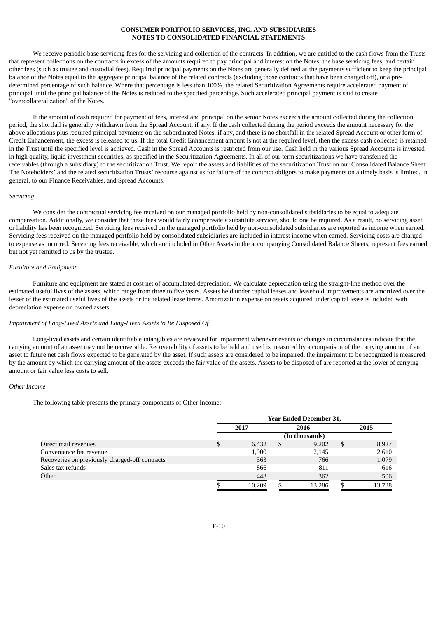We receive periodic base servicing fees for the servicing and collection of the contracts. In addition, we are entitled to the cash flows from the Trusts that represent collections on the contracts in excess of the amounts required to pay principal and interest on the Notes, the base servicing fees, and certain other fees (such as trustee and custodial fees). Required principal payments on the Notes are generally defined as the payments sufficient to keep the principal balance of the Notes equal to the aggregate principal balance of the related contracts (excluding those contracts that have been charged off), or a predetermined percentage of such balance. Where that percentage is less than 100%, the related Securitization Agreements require accelerated payment of principal until the principal balance of the Notes is reduced to the specified percentage. Such accelerated principal payment is said to create "overcollateralization" of the Notes.

If the amount of cash required for payment of fees, interest and principal on the senior Notes exceeds the amount collected during the collection period, the shortfall is generally withdrawn from the Spread Account, if any. If the cash collected during the period exceeds the amount necessary for the above allocations plus required principal payments on the subordinated Notes, if any, and there is no shortfall in the related Spread Account or other form of Credit Enhancement, the excess is released to us. If the total Credit Enhancement amount is not at the required level, then the excess cash collected is retained in the Trust until the specified level is achieved. Cash in the Spread Accounts is restricted from our use. Cash held in the various Spread Accounts is invested in high quality, liquid investment securities, as specified in the Securitization Agreements. In all of our term securitizations we have transferred the receivables (through a subsidiary) to the securitization Trust. We report the assets and liabilities of the securitization Trust on our Consolidated Balance Sheet. The Noteholders' and the related securitization Trusts' recourse against us for failure of the contract obligors to make payments on a timely basis is limited, in general, to our Finance Receivables, and Spread Accounts.

### *Servicing*

We consider the contractual servicing fee received on our managed portfolio held by non-consolidated subsidiaries to be equal to adequate compensation. Additionally, we consider that these fees would fairly compensate a substitute servicer, should one be required. As a result, no servicing asset or liability has been recognized. Servicing fees received on the managed portfolio held by non-consolidated subsidiaries are reported as income when earned. Servicing fees received on the managed portfolio held by consolidated subsidiaries are included in interest income when earned. Servicing costs are charged to expense as incurred. Servicing fees receivable, which are included in Other Assets in the accompanying Consolidated Balance Sheets, represent fees earned but not yet remitted to us by the trustee.

### *Furniture and Equipment*

Furniture and equipment are stated at cost net of accumulated depreciation. We calculate depreciation using the straight-line method over the estimated useful lives of the assets, which range from three to five years. Assets held under capital leases and leasehold improvements are amortized over the lesser of the estimated useful lives of the assets or the related lease terms. Amortization expense on assets acquired under capital lease is included with depreciation expense on owned assets.

## *Impairment of Long-Lived Assets and Long-Lived Assets to Be Disposed Of*

Long-lived assets and certain identifiable intangibles are reviewed for impairment whenever events or changes in circumstances indicate that the carrying amount of an asset may not be recoverable. Recoverability of assets to be held and used is measured by a comparison of the carrying amount of an asset to future net cash flows expected to be generated by the asset. If such assets are considered to be impaired, the impairment to be recognized is measured by the amount by which the carrying amount of the assets exceeds the fair value of the assets. Assets to be disposed of are reported at the lower of carrying amount or fair value less costs to sell.

### *Other Income*

The following table presents the primary components of Other Income:

|                                                |     | <b>Year Ended December 31,</b> |   |                |   |        |  |  |
|------------------------------------------------|-----|--------------------------------|---|----------------|---|--------|--|--|
|                                                |     | 2017                           |   | 2016           |   | 2015   |  |  |
|                                                |     |                                |   | (In thousands) |   |        |  |  |
| Direct mail revenues                           | \$. | 6,432                          | S | 9,202          | S | 8,927  |  |  |
| Convenience fee revenue                        |     | 1,900                          |   | 2,145          |   | 2,610  |  |  |
| Recoveries on previously charged-off contracts |     | 563                            |   | 766            |   | 1,079  |  |  |
| Sales tax refunds                              |     | 866                            |   | 811            |   | 616    |  |  |
| Other                                          |     | 448                            |   | 362            |   | 506    |  |  |
|                                                |     | 10,209                         |   | 13.286         |   | 13,738 |  |  |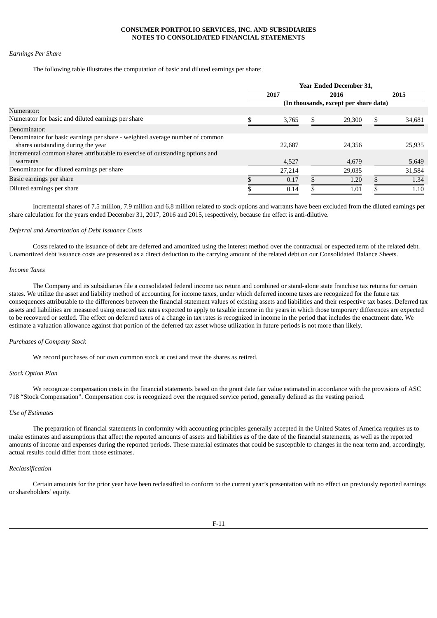#### *Earnings Per Share*

The following table illustrates the computation of basic and diluted earnings per share:

|                                                                               | <b>Year Ended December 31,</b> |        |      |                                       |      |        |  |  |
|-------------------------------------------------------------------------------|--------------------------------|--------|------|---------------------------------------|------|--------|--|--|
|                                                                               |                                | 2017   | 2016 |                                       | 2015 |        |  |  |
|                                                                               |                                |        |      | (In thousands, except per share data) |      |        |  |  |
| Numerator:                                                                    |                                |        |      |                                       |      |        |  |  |
| Numerator for basic and diluted earnings per share                            |                                | 3,765  | \$   | 29,300                                | \$   | 34,681 |  |  |
| Denominator:                                                                  |                                |        |      |                                       |      |        |  |  |
| Denominator for basic earnings per share - weighted average number of common  |                                |        |      |                                       |      |        |  |  |
| shares outstanding during the year                                            |                                | 22,687 |      | 24.356                                |      | 25,935 |  |  |
| Incremental common shares attributable to exercise of outstanding options and |                                |        |      |                                       |      |        |  |  |
| warrants                                                                      |                                | 4,527  |      | 4,679                                 |      | 5,649  |  |  |
| Denominator for diluted earnings per share                                    |                                | 27,214 |      | 29,035                                |      | 31,584 |  |  |
| Basic earnings per share                                                      |                                | 0.17   |      | 1.20                                  |      | 1.34   |  |  |
| Diluted earnings per share                                                    |                                | 0.14   |      | 1.01                                  |      | 1.10   |  |  |

Incremental shares of 7.5 million, 7.9 million and 6.8 million related to stock options and warrants have been excluded from the diluted earnings per share calculation for the years ended December 31, 2017, 2016 and 2015, respectively, because the effect is anti-dilutive.

### *Deferral and Amortization of Debt Issuance Costs*

Costs related to the issuance of debt are deferred and amortized using the interest method over the contractual or expected term of the related debt. Unamortized debt issuance costs are presented as a direct deduction to the carrying amount of the related debt on our Consolidated Balance Sheets.

### *Income Taxes*

The Company and its subsidiaries file a consolidated federal income tax return and combined or stand-alone state franchise tax returns for certain states. We utilize the asset and liability method of accounting for income taxes, under which deferred income taxes are recognized for the future tax consequences attributable to the differences between the financial statement values of existing assets and liabilities and their respective tax bases. Deferred tax assets and liabilities are measured using enacted tax rates expected to apply to taxable income in the years in which those temporary differences are expected to be recovered or settled. The effect on deferred taxes of a change in tax rates is recognized in income in the period that includes the enactment date. We estimate a valuation allowance against that portion of the deferred tax asset whose utilization in future periods is not more than likely.

### *Purchases of Company Stock*

We record purchases of our own common stock at cost and treat the shares as retired.

### *Stock Option Plan*

We recognize compensation costs in the financial statements based on the grant date fair value estimated in accordance with the provisions of ASC 718 "Stock Compensation". Compensation cost is recognized over the required service period, generally defined as the vesting period.

## *Use of Estimates*

The preparation of financial statements in conformity with accounting principles generally accepted in the United States of America requires us to make estimates and assumptions that affect the reported amounts of assets and liabilities as of the date of the financial statements, as well as the reported amounts of income and expenses during the reported periods. These material estimates that could be susceptible to changes in the near term and, accordingly, actual results could differ from those estimates.

### *Reclassification*

Certain amounts for the prior year have been reclassified to conform to the current year's presentation with no effect on previously reported earnings or shareholders' equity.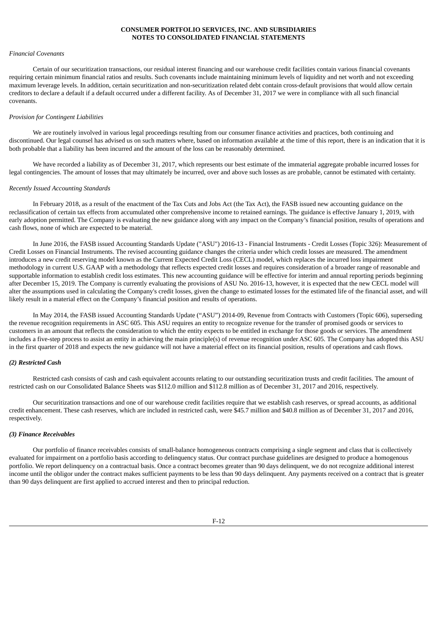### *Financial Covenants*

Certain of our securitization transactions, our residual interest financing and our warehouse credit facilities contain various financial covenants requiring certain minimum financial ratios and results. Such covenants include maintaining minimum levels of liquidity and net worth and not exceeding maximum leverage levels. In addition, certain securitization and non-securitization related debt contain cross-default provisions that would allow certain creditors to declare a default if a default occurred under a different facility. As of December 31, 2017 we were in compliance with all such financial covenants.

### *Provision for Contingent Liabilities*

We are routinely involved in various legal proceedings resulting from our consumer finance activities and practices, both continuing and discontinued. Our legal counsel has advised us on such matters where, based on information available at the time of this report, there is an indication that it is both probable that a liability has been incurred and the amount of the loss can be reasonably determined.

We have recorded a liability as of December 31, 2017, which represents our best estimate of the immaterial aggregate probable incurred losses for legal contingencies. The amount of losses that may ultimately be incurred, over and above such losses as are probable, cannot be estimated with certainty.

### *Recently Issued Accounting Standards*

In February 2018, as a result of the enactment of the Tax Cuts and Jobs Act (the Tax Act), the FASB issued new accounting guidance on the reclassification of certain tax effects from accumulated other comprehensive income to retained earnings. The guidance is effective January 1, 2019, with early adoption permitted. The Company is evaluating the new guidance along with any impact on the Company's financial position, results of operations and cash flows, none of which are expected to be material.

In June 2016, the FASB issued Accounting Standards Update ("ASU") 2016-13 - Financial Instruments - Credit Losses (Topic 326): Measurement of Credit Losses on Financial Instruments. The revised accounting guidance changes the criteria under which credit losses are measured. The amendment introduces a new credit reserving model known as the Current Expected Credit Loss (CECL) model, which replaces the incurred loss impairment methodology in current U.S. GAAP with a methodology that reflects expected credit losses and requires consideration of a broader range of reasonable and supportable information to establish credit loss estimates. This new accounting guidance will be effective for interim and annual reporting periods beginning after December 15, 2019. The Company is currently evaluating the provisions of ASU No. 2016-13, however, it is expected that the new CECL model will alter the assumptions used in calculating the Company's credit losses, given the change to estimated losses for the estimated life of the financial asset, and will likely result in a material effect on the Company's financial position and results of operations.

In May 2014, the FASB issued Accounting Standards Update ("ASU") 2014-09, Revenue from Contracts with Customers (Topic 606), superseding the revenue recognition requirements in ASC 605. This ASU requires an entity to recognize revenue for the transfer of promised goods or services to customers in an amount that reflects the consideration to which the entity expects to be entitled in exchange for those goods or services. The amendment includes a five-step process to assist an entity in achieving the main principle(s) of revenue recognition under ASC 605. The Company has adopted this ASU in the first quarter of 2018 and expects the new guidance will not have a material effect on its financial position, results of operations and cash flows.

#### *(2) Restricted Cash*

Restricted cash consists of cash and cash equivalent accounts relating to our outstanding securitization trusts and credit facilities. The amount of restricted cash on our Consolidated Balance Sheets was \$112.0 million and \$112.8 million as of December 31, 2017 and 2016, respectively.

Our securitization transactions and one of our warehouse credit facilities require that we establish cash reserves, or spread accounts, as additional credit enhancement. These cash reserves, which are included in restricted cash, were \$45.7 million and \$40.8 million as of December 31, 2017 and 2016, respectively.

#### *(3) Finance Receivables*

Our portfolio of finance receivables consists of small-balance homogeneous contracts comprising a single segment and class that is collectively evaluated for impairment on a portfolio basis according to delinquency status. Our contract purchase guidelines are designed to produce a homogenous portfolio. We report delinquency on a contractual basis. Once a contract becomes greater than 90 days delinquent, we do not recognize additional interest income until the obligor under the contract makes sufficient payments to be less than 90 days delinquent. Any payments received on a contract that is greater than 90 days delinquent are first applied to accrued interest and then to principal reduction.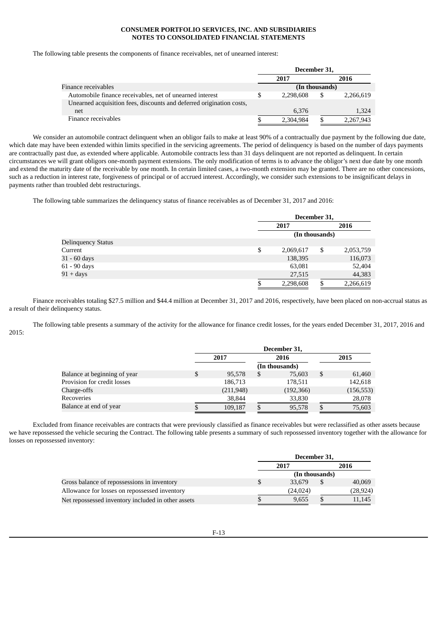The following table presents the components of finance receivables, net of unearned interest:

|                                                                      |           | December 31,   |           |
|----------------------------------------------------------------------|-----------|----------------|-----------|
|                                                                      | 2017      |                | 2016      |
| Finance receivables                                                  |           | (In thousands) |           |
| Automobile finance receivables, net of unearned interest             | 2.298.608 | S              | 2,266,619 |
| Unearned acquisition fees, discounts and deferred origination costs, |           |                |           |
| net                                                                  | 6,376     |                | 1,324     |
| Finance receivables                                                  | 2,304,984 | S              | 2,267,943 |

We consider an automobile contract delinquent when an obligor fails to make at least 90% of a contractually due payment by the following due date, which date may have been extended within limits specified in the servicing agreements. The period of delinquency is based on the number of days payments are contractually past due, as extended where applicable. Automobile contracts less than 31 days delinquent are not reported as delinquent. In certain circumstances we will grant obligors one-month payment extensions. The only modification of terms is to advance the obligor's next due date by one month and extend the maturity date of the receivable by one month. In certain limited cases, a two-month extension may be granted. There are no other concessions, such as a reduction in interest rate, forgiveness of principal or of accrued interest. Accordingly, we consider such extensions to be insignificant delays in payments rather than troubled debt restructurings.

The following table summarizes the delinquency status of finance receivables as of December 31, 2017 and 2016:

|                    | December 31,    |                 |
|--------------------|-----------------|-----------------|
|                    | 2017            | 2016            |
|                    | (In thousands)  |                 |
| Delinquency Status |                 |                 |
| Current            | \$<br>2,069,617 | \$<br>2,053,759 |
| 31 - 60 days       | 138,395         | 116,073         |
| 61 - 90 days       | 63,081          | 52,404          |
| $91 + days$        | 27,515          | 44,383          |
|                    | 2,298,608       | \$<br>2,266,619 |

Finance receivables totaling \$27.5 million and \$44.4 million at December 31, 2017 and 2016, respectively, have been placed on non-accrual status as a result of their delinquency status.

The following table presents a summary of the activity for the allowance for finance credit losses, for the years ended December 31, 2017, 2016 and 2015:

|                              | December 31, |           |    |                |    |            |  |  |
|------------------------------|--------------|-----------|----|----------------|----|------------|--|--|
|                              |              | 2017      |    | 2016           |    | 2015       |  |  |
|                              |              |           |    | (In thousands) |    |            |  |  |
| Balance at beginning of year | \$           | 95,578    | \$ | 75,603         | \$ | 61,460     |  |  |
| Provision for credit losses  |              | 186,713   |    | 178,511        |    | 142,618    |  |  |
| Charge-offs                  |              | (211,948) |    | (192, 366)     |    | (156, 553) |  |  |
| Recoveries                   |              | 38,844    |    | 33,830         |    | 28,078     |  |  |
| Balance at end of year       | \$           | 109,187   |    | 95,578         | \$ | 75,603     |  |  |

Excluded from finance receivables are contracts that were previously classified as finance receivables but were reclassified as other assets because we have repossessed the vehicle securing the Contract. The following table presents a summary of such repossessed inventory together with the allowance for losses on repossessed inventory:

|                                                    | December 31,   |           |
|----------------------------------------------------|----------------|-----------|
|                                                    | 2017           | 2016      |
|                                                    | (In thousands) |           |
| Gross balance of repossessions in inventory        | 33.679         | 40,069    |
| Allowance for losses on repossessed inventory      | (24, 024)      | (28, 924) |
| Net repossessed inventory included in other assets | 9.655          | 11,145    |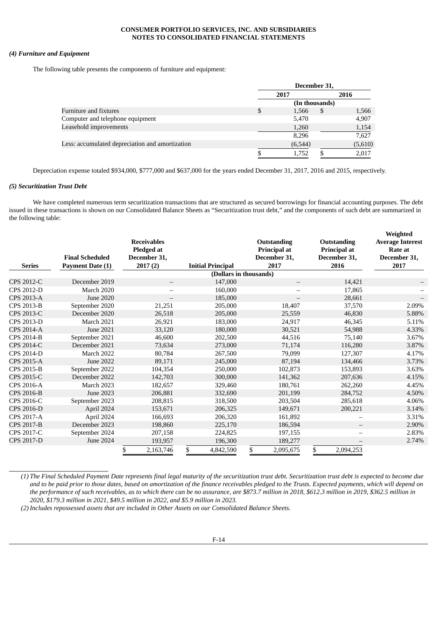## *(4) Furniture and Equipment*

The following table presents the components of furniture and equipment:

|                                                 |   | December 31,   |   |         |  |
|-------------------------------------------------|---|----------------|---|---------|--|
|                                                 |   | 2017           |   | 2016    |  |
|                                                 |   | (In thousands) |   |         |  |
| Furniture and fixtures                          | S | 1,566          | S | 1,566   |  |
| Computer and telephone equipment                |   | 5,470          |   | 4,907   |  |
| Leasehold improvements                          |   | 1,260          |   | 1,154   |  |
|                                                 |   | 8,296          |   | 7,627   |  |
| Less: accumulated depreciation and amortization |   | (6, 544)       |   | (5,610) |  |
|                                                 |   | 1.752          | S | 2.017   |  |

Depreciation expense totaled \$934,000, \$777,000 and \$637,000 for the years ended December 31, 2017, 2016 and 2015, respectively.

### *(5) Securitization Trust Debt*

\_\_\_\_\_\_\_\_\_\_\_\_\_\_\_\_\_\_\_\_\_\_\_\_\_

We have completed numerous term securitization transactions that are structured as secured borrowings for financial accounting purposes. The debt issued in these transactions is shown on our Consolidated Balance Sheets as "Securitization trust debt," and the components of such debt are summarized in the following table:

| <b>Series</b>     | <b>Final Scheduled</b><br><b>Payment Date (1)</b> | <b>Receivables</b><br>Pledged at<br>December 31,<br>2017(2) | <b>Initial Principal</b> | <b>Outstanding</b><br>Principal at<br>December 31,<br>2017 | <b>Outstanding</b><br>Principal at<br>December 31,<br>2016 | Weighted<br><b>Average Interest</b><br>Rate at<br>December 31,<br>2017 |
|-------------------|---------------------------------------------------|-------------------------------------------------------------|--------------------------|------------------------------------------------------------|------------------------------------------------------------|------------------------------------------------------------------------|
|                   |                                                   |                                                             |                          | (Dollars in thousands)                                     |                                                            |                                                                        |
| CPS 2012-C        | December 2019                                     |                                                             | 147,000                  |                                                            | 14,421                                                     |                                                                        |
| CPS 2012-D        | March 2020                                        |                                                             | 160,000                  |                                                            | 17,865                                                     |                                                                        |
| CPS 2013-A        | <b>June 2020</b>                                  |                                                             | 185,000                  |                                                            | 28,661                                                     |                                                                        |
| CPS 2013-B        | September 2020                                    | 21,251                                                      | 205,000                  | 18,407                                                     | 37,570                                                     | 2.09%                                                                  |
| CPS 2013-C        | December 2020                                     | 26,518                                                      | 205,000                  | 25,559                                                     | 46,830                                                     | 5.88%                                                                  |
| <b>CPS 2013-D</b> | March 2021                                        | 26,921                                                      | 183,000                  | 24,917                                                     | 46,345                                                     | 5.11%                                                                  |
| <b>CPS 2014-A</b> | <b>June 2021</b>                                  | 33,120                                                      | 180,000                  | 30,521                                                     | 54,988                                                     | 4.33%                                                                  |
| <b>CPS 2014-B</b> | September 2021                                    | 46,600                                                      | 202,500                  | 44,516                                                     | 75,140                                                     | 3.67%                                                                  |
| CPS 2014-C        | December 2021                                     | 73,634                                                      | 273,000                  | 71,174                                                     | 116,280                                                    | 3.87%                                                                  |
| CPS 2014-D        | March 2022                                        | 80,784                                                      | 267,500                  | 79,099                                                     | 127,307                                                    | 4.17%                                                                  |
| CPS 2015-A        | <b>June 2022</b>                                  | 89,171                                                      | 245,000                  | 87,194                                                     | 134,466                                                    | 3.73%                                                                  |
| CPS 2015-B        | September 2022                                    | 104,354                                                     | 250,000                  | 102,873                                                    | 153,893                                                    | 3.63%                                                                  |
| CPS 2015-C        | December 2022                                     | 142,703                                                     | 300,000                  | 141,362                                                    | 207.636                                                    | 4.15%                                                                  |
| <b>CPS 2016-A</b> | March 2023                                        | 182,657                                                     | 329,460                  | 180,761                                                    | 262,260                                                    | 4.45%                                                                  |
| CPS 2016-B        | <b>June 2023</b>                                  | 206,881                                                     | 332,690                  | 201,199                                                    | 284,752                                                    | 4.50%                                                                  |
| CPS 2016-C        | September 2023                                    | 208,815                                                     | 318,500                  | 203,504                                                    | 285,618                                                    | 4.06%                                                                  |
| <b>CPS 2016-D</b> | April 2024                                        | 153,671                                                     | 206,325                  | 149,671                                                    | 200,221                                                    | 3.14%                                                                  |
| CPS 2017-A        | April 2024                                        | 166,693                                                     | 206,320                  | 161,892                                                    | -                                                          | 3.31%                                                                  |
| CPS 2017-B        | December 2023                                     | 198,860                                                     | 225,170                  | 186,594                                                    |                                                            | 2.90%                                                                  |
| CPS 2017-C        | September 2024                                    | 207,158                                                     | 224,825                  | 197,155                                                    | $\overline{\phantom{0}}$                                   | 2.83%                                                                  |
| <b>CPS 2017-D</b> | <b>June 2024</b>                                  | 193,957                                                     | 196,300                  | 189,277                                                    | $\qquad \qquad -$                                          | 2.74%                                                                  |
|                   |                                                   | \$<br>2,163,746                                             | \$<br>4,842,590          | \$<br>2,095,675                                            | \$<br>2,094,253                                            |                                                                        |

(1) The Final Scheduled Payment Date represents final legal maturity of the securitization trust debt. Securitization trust debt is expected to become due and to be paid prior to those dates, based on amortization of the finance receivables pledged to the Trusts. Expected payments, which will depend on the performance of such receivables, as to which there can be no assurance, are \$873.7 million in 2018, \$612.3 million in 2019, \$362.5 million in *2020, \$179.3 million in 2021, \$49.5 million in 2022, and \$5.9 million in 2023.*

*(2) Includes repossessed assets that are included in Other Assets on our Consolidated Balance Sheets.*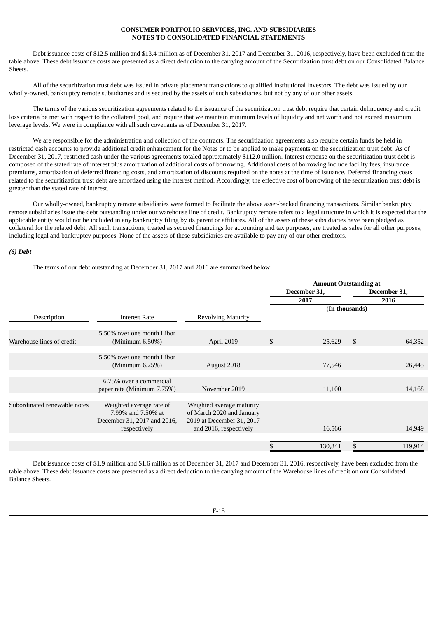Debt issuance costs of \$12.5 million and \$13.4 million as of December 31, 2017 and December 31, 2016, respectively, have been excluded from the table above. These debt issuance costs are presented as a direct deduction to the carrying amount of the Securitization trust debt on our Consolidated Balance Sheets.

All of the securitization trust debt was issued in private placement transactions to qualified institutional investors. The debt was issued by our wholly-owned, bankruptcy remote subsidiaries and is secured by the assets of such subsidiaries, but not by any of our other assets.

The terms of the various securitization agreements related to the issuance of the securitization trust debt require that certain delinquency and credit loss criteria be met with respect to the collateral pool, and require that we maintain minimum levels of liquidity and net worth and not exceed maximum leverage levels. We were in compliance with all such covenants as of December 31, 2017.

We are responsible for the administration and collection of the contracts. The securitization agreements also require certain funds be held in restricted cash accounts to provide additional credit enhancement for the Notes or to be applied to make payments on the securitization trust debt. As of December 31, 2017, restricted cash under the various agreements totaled approximately \$112.0 million. Interest expense on the securitization trust debt is composed of the stated rate of interest plus amortization of additional costs of borrowing. Additional costs of borrowing include facility fees, insurance premiums, amortization of deferred financing costs, and amortization of discounts required on the notes at the time of issuance. Deferred financing costs related to the securitization trust debt are amortized using the interest method. Accordingly, the effective cost of borrowing of the securitization trust debt is greater than the stated rate of interest.

Our wholly-owned, bankruptcy remote subsidiaries were formed to facilitate the above asset-backed financing transactions. Similar bankruptcy remote subsidiaries issue the debt outstanding under our warehouse line of credit. Bankruptcy remote refers to a legal structure in which it is expected that the applicable entity would not be included in any bankruptcy filing by its parent or affiliates. All of the assets of these subsidiaries have been pledged as collateral for the related debt. All such transactions, treated as secured financings for accounting and tax purposes, are treated as sales for all other purposes, including legal and bankruptcy purposes. None of the assets of these subsidiaries are available to pay any of our other creditors.

## *(6) Debt*

The terms of our debt outstanding at December 31, 2017 and 2016 are summarized below:

|                              |                                                                                               |                                                                                                               | <b>Amount Outstanding at</b> |                |              |              |
|------------------------------|-----------------------------------------------------------------------------------------------|---------------------------------------------------------------------------------------------------------------|------------------------------|----------------|--------------|--------------|
|                              |                                                                                               |                                                                                                               |                              | December 31,   |              | December 31, |
|                              |                                                                                               |                                                                                                               |                              | 2017           |              | 2016         |
| Description                  | <b>Interest Rate</b>                                                                          | <b>Revolving Maturity</b>                                                                                     |                              | (In thousands) |              |              |
| Warehouse lines of credit    | 5.50% over one month Libor<br>$(Minimum 6.50\%)$                                              | April 2019                                                                                                    | \$                           | 25,629         | $\mathbb{S}$ | 64,352       |
|                              | 5.50% over one month Libor<br>(Minimum 6.25%)                                                 | August 2018                                                                                                   |                              | 77,546         |              | 26,445       |
|                              | 6.75% over a commercial<br>paper rate (Minimum 7.75%)                                         | November 2019                                                                                                 |                              | 11,100         |              | 14,168       |
| Subordinated renewable notes | Weighted average rate of<br>7.99% and 7.50% at<br>December 31, 2017 and 2016,<br>respectively | Weighted average maturity<br>of March 2020 and January<br>2019 at December 31, 2017<br>and 2016, respectively |                              | 16,566         |              | 14,949       |
|                              |                                                                                               |                                                                                                               | S                            | 130,841        | \$           | 119,914      |

Debt issuance costs of \$1.9 million and \$1.6 million as of December 31, 2017 and December 31, 2016, respectively, have been excluded from the table above. These debt issuance costs are presented as a direct deduction to the carrying amount of the Warehouse lines of credit on our Consolidated Balance Sheets.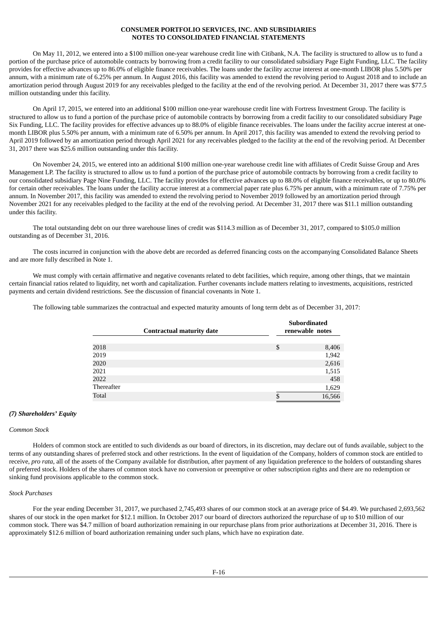On May 11, 2012, we entered into a \$100 million one-year warehouse credit line with Citibank, N.A. The facility is structured to allow us to fund a portion of the purchase price of automobile contracts by borrowing from a credit facility to our consolidated subsidiary Page Eight Funding, LLC. The facility provides for effective advances up to 86.0% of eligible finance receivables. The loans under the facility accrue interest at one-month LIBOR plus 5.50% per annum, with a minimum rate of 6.25% per annum. In August 2016, this facility was amended to extend the revolving period to August 2018 and to include an amortization period through August 2019 for any receivables pledged to the facility at the end of the revolving period. At December 31, 2017 there was \$77.5 million outstanding under this facility.

On April 17, 2015, we entered into an additional \$100 million one-year warehouse credit line with Fortress Investment Group. The facility is structured to allow us to fund a portion of the purchase price of automobile contracts by borrowing from a credit facility to our consolidated subsidiary Page Six Funding, LLC. The facility provides for effective advances up to 88.0% of eligible finance receivables. The loans under the facility accrue interest at onemonth LIBOR plus 5.50% per annum, with a minimum rate of 6.50% per annum. In April 2017, this facility was amended to extend the revolving period to April 2019 followed by an amortization period through April 2021 for any receivables pledged to the facility at the end of the revolving period. At December 31, 2017 there was \$25.6 million outstanding under this facility.

On November 24, 2015, we entered into an additional \$100 million one-year warehouse credit line with affiliates of Credit Suisse Group and Ares Management LP. The facility is structured to allow us to fund a portion of the purchase price of automobile contracts by borrowing from a credit facility to our consolidated subsidiary Page Nine Funding, LLC. The facility provides for effective advances up to 88.0% of eligible finance receivables, or up to 80.0% for certain other receivables. The loans under the facility accrue interest at a commercial paper rate plus 6.75% per annum, with a minimum rate of 7.75% per annum. In November 2017, this facility was amended to extend the revolving period to November 2019 followed by an amortization period through November 2021 for any receivables pledged to the facility at the end of the revolving period. At December 31, 2017 there was \$11.1 million outstanding under this facility.

The total outstanding debt on our three warehouse lines of credit was \$114.3 million as of December 31, 2017, compared to \$105.0 million outstanding as of December 31, 2016.

The costs incurred in conjunction with the above debt are recorded as deferred financing costs on the accompanying Consolidated Balance Sheets and are more fully described in Note 1.

We must comply with certain affirmative and negative covenants related to debt facilities, which require, among other things, that we maintain certain financial ratios related to liquidity, net worth and capitalization. Further covenants include matters relating to investments, acquisitions, restricted payments and certain dividend restrictions. See the discussion of financial covenants in Note 1.

The following table summarizes the contractual and expected maturity amounts of long term debt as of December 31, 2017:

| <b>Contractual maturity date</b> |  | <b>Subordinated</b><br>renewable notes |        |  |  |
|----------------------------------|--|----------------------------------------|--------|--|--|
| 2018                             |  | \$                                     | 8,406  |  |  |
| 2019                             |  |                                        | 1,942  |  |  |
| 2020                             |  |                                        | 2,616  |  |  |
| 2021                             |  |                                        | 1,515  |  |  |
| 2022                             |  |                                        | 458    |  |  |
| Thereafter                       |  |                                        | 1,629  |  |  |
| Total                            |  |                                        | 16,566 |  |  |

## *(7) Shareholders' Equity*

## *Common Stock*

Holders of common stock are entitled to such dividends as our board of directors, in its discretion, may declare out of funds available, subject to the terms of any outstanding shares of preferred stock and other restrictions. In the event of liquidation of the Company, holders of common stock are entitled to receive, *pro rata*, all of the assets of the Company available for distribution, after payment of any liquidation preference to the holders of outstanding shares of preferred stock. Holders of the shares of common stock have no conversion or preemptive or other subscription rights and there are no redemption or sinking fund provisions applicable to the common stock.

### *Stock Purchases*

For the year ending December 31, 2017, we purchased 2,745,493 shares of our common stock at an average price of \$4.49. We purchased 2,693,562 shares of our stock in the open market for \$12.1 million. In October 2017 our board of directors authorized the repurchase of up to \$10 million of our common stock. There was \$4.7 million of board authorization remaining in our repurchase plans from prior authorizations at December 31, 2016. There is approximately \$12.6 million of board authorization remaining under such plans, which have no expiration date.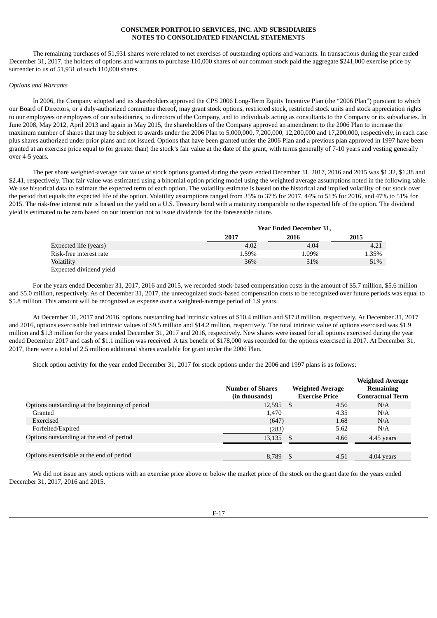The remaining purchases of 51,931 shares were related to net exercises of outstanding options and warrants. In transactions during the year ended December 31, 2017, the holders of options and warrants to purchase 110,000 shares of our common stock paid the aggregate \$241,000 exercise price by surrender to us of 51,931 of such 110,000 shares.

### *Options and Warrants*

In 2006, the Company adopted and its shareholders approved the CPS 2006 Long-Term Equity Incentive Plan (the "2006 Plan") pursuant to which our Board of Directors, or a duly-authorized committee thereof, may grant stock options, restricted stock, restricted stock units and stock appreciation rights to our employees or employees of our subsidiaries, to directors of the Company, and to individuals acting as consultants to the Company or its subsidiaries. In June 2008, May 2012, April 2013 and again in May 2015, the shareholders of the Company approved an amendment to the 2006 Plan to increase the maximum number of shares that may be subject to awards under the 2006 Plan to 5,000,000, 7,200,000, 12,200,000 and 17,200,000, respectively, in each case plus shares authorized under prior plans and not issued. Options that have been granted under the 2006 Plan and a previous plan approved in 1997 have been granted at an exercise price equal to (or greater than) the stock's fair value at the date of the grant, with terms generally of 7-10 years and vesting generally over 4-5 years.

The per share weighted-average fair value of stock options granted during the years ended December 31, 2017, 2016 and 2015 was \$1.32, \$1.38 and \$2.41, respectively. That fair value was estimated using a binomial option pricing model using the weighted average assumptions noted in the following table. We use historical data to estimate the expected term of each option. The volatility estimate is based on the historical and implied volatility of our stock over the period that equals the expected life of the option. Volatility assumptions ranged from 35% to 37% for 2017, 44% to 51% for 2016, and 47% to 51% for 2015. The risk-free interest rate is based on the yield on a U.S. Treasury bond with a maturity comparable to the expected life of the option. The dividend yield is estimated to be zero based on our intention not to issue dividends for the foreseeable future.

|                         |       | <b>Year Ended December 31,</b> |       |  |  |  |
|-------------------------|-------|--------------------------------|-------|--|--|--|
|                         | 2017  | 2016                           | 2015  |  |  |  |
| Expected life (years)   | 4.02  | 4.04                           | 4.21  |  |  |  |
| Risk-free interest rate | 1.59% | 1.09%                          | 1.35% |  |  |  |
| Volatility              | 36%   | 51%                            | 51%   |  |  |  |
| Expected dividend yield |       |                                |       |  |  |  |

For the years ended December 31, 2017, 2016 and 2015, we recorded stock-based compensation costs in the amount of \$5.7 million, \$5.6 million and \$5.0 million, respectively. As of December 31, 2017, the unrecognized stock-based compensation costs to be recognized over future periods was equal to \$5.8 million. This amount will be recognized as expense over a weighted-average period of 1.9 years.

At December 31, 2017 and 2016, options outstanding had intrinsic values of \$10.4 million and \$17.8 million, respectively. At December 31, 2017 and 2016, options exercisable had intrinsic values of \$9.5 million and \$14.2 million, respectively. The total intrinsic value of options exercised was \$1.9 million and \$1.3 million for the years ended December 31, 2017 and 2016, respectively. New shares were issued for all options exercised during the year ended December 2017 and cash of \$1.1 million was received. A tax benefit of \$178,000 was recorded for the options exercised in 2017. At December 31, 2017, there were a total of 2.5 million additional shares available for grant under the 2006 Plan.

Stock option activity for the year ended December 31, 2017 for stock options under the 2006 and 1997 plans is as follows:

|                                                | <b>Number of Shares</b><br>(in thousands) | <b>Weighted Average</b><br><b>Exercise Price</b> |      | <b>Weighted Average</b><br><b>Remaining</b><br><b>Contractual Term</b> |
|------------------------------------------------|-------------------------------------------|--------------------------------------------------|------|------------------------------------------------------------------------|
| Options outstanding at the beginning of period | 12,595                                    |                                                  | 4.56 | N/A                                                                    |
| Granted                                        | 1,470                                     |                                                  | 4.35 | N/A                                                                    |
| Exercised                                      | (647)                                     |                                                  | 1.68 | N/A                                                                    |
| Forfeited/Expired                              | (283)                                     |                                                  | 5.62 | N/A                                                                    |
| Options outstanding at the end of period       | 13,135                                    |                                                  | 4.66 | 4.45 years                                                             |
| Options exercisable at the end of period       | 8,789                                     |                                                  | 4.51 | 4.04 years                                                             |

We did not issue any stock options with an exercise price above or below the market price of the stock on the grant date for the years ended December 31, 2017, 2016 and 2015.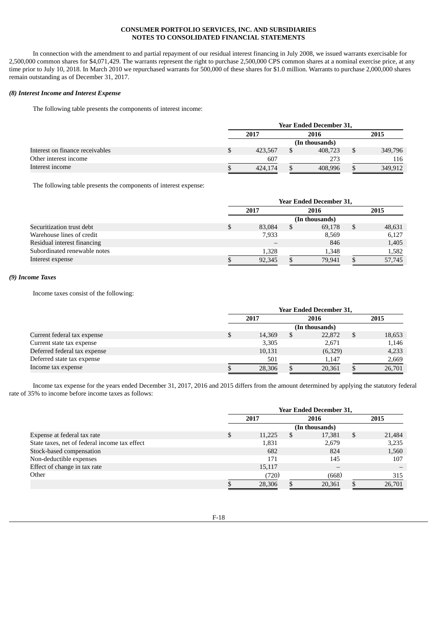In connection with the amendment to and partial repayment of our residual interest financing in July 2008, we issued warrants exercisable for 2,500,000 common shares for \$4,071,429. The warrants represent the right to purchase 2,500,000 CPS common shares at a nominal exercise price, at any time prior to July 10, 2018. In March 2010 we repurchased warrants for 500,000 of these shares for \$1.0 million. Warrants to purchase 2,000,000 shares remain outstanding as of December 31, 2017.

## *(8) Interest Income and Interest Expense*

The following table presents the components of interest income:

|                                 | <b>Year Ended December 31,</b> |   |         |  |         |  |
|---------------------------------|--------------------------------|---|---------|--|---------|--|
|                                 | 2017                           |   | 2016    |  | 2015    |  |
|                                 |                                |   |         |  |         |  |
| Interest on finance receivables | 423.567                        | S | 408,723 |  | 349,796 |  |
| Other interest income           | 607                            |   | 273     |  | 116     |  |
| Interest income                 | 424,174                        |   | 408,996 |  | 349,912 |  |

The following table presents the components of interest expense:

|                              | <b>Year Ended December 31,</b> |   |        |  |        |  |  |
|------------------------------|--------------------------------|---|--------|--|--------|--|--|
|                              | 2017                           |   | 2016   |  | 2015   |  |  |
|                              | (In thousands)                 |   |        |  |        |  |  |
| Securitization trust debt    | \$<br>83,084                   | S | 69,178 |  | 48,631 |  |  |
| Warehouse lines of credit    | 7,933                          |   | 8,569  |  | 6,127  |  |  |
| Residual interest financing  |                                |   | 846    |  | 1,405  |  |  |
| Subordinated renewable notes | 1,328                          |   | 1,348  |  | 1,582  |  |  |
| Interest expense             | 92,345                         |   | 79,941 |  | 57,745 |  |  |

### *(9) Income Taxes*

Income taxes consist of the following:

|                              |                | <b>Year Ended December 31,</b> |      |         |    |        |  |  |
|------------------------------|----------------|--------------------------------|------|---------|----|--------|--|--|
|                              | 2017           |                                | 2016 |         |    | 2015   |  |  |
|                              | (In thousands) |                                |      |         |    |        |  |  |
| Current federal tax expense  | S              | 14,369                         | S    | 22,872  | S  | 18,653 |  |  |
| Current state tax expense    |                | 3,305                          |      | 2,671   |    | 1,146  |  |  |
| Deferred federal tax expense |                | 10,131                         |      | (6,329) |    | 4,233  |  |  |
| Deferred state tax expense   |                | 501                            |      | 1.147   |    | 2,669  |  |  |
| Income tax expense           |                | 28,306                         |      | 20,361  | \$ | 26,701 |  |  |

Income tax expense for the years ended December 31, 2017, 2016 and 2015 differs from the amount determined by applying the statutory federal rate of 35% to income before income taxes as follows:

|                                               |    | <b>Year Ended December 31,</b> |     |        |   |        |  |  |
|-----------------------------------------------|----|--------------------------------|-----|--------|---|--------|--|--|
|                                               |    | 2017                           |     | 2016   |   | 2015   |  |  |
|                                               |    | (In thousands)                 |     |        |   |        |  |  |
| Expense at federal tax rate                   | \$ | 11,225                         | \$. | 17,381 | S | 21,484 |  |  |
| State taxes, net of federal income tax effect |    | 1,831                          |     | 2,679  |   | 3,235  |  |  |
| Stock-based compensation                      |    | 682                            |     | 824    |   | 1,560  |  |  |
| Non-deductible expenses                       |    | 171                            |     | 145    |   | 107    |  |  |
| Effect of change in tax rate                  |    | 15,117                         |     |        |   |        |  |  |
| Other                                         |    | (720)                          |     | (668)  |   | 315    |  |  |
|                                               |    | 28,306                         |     | 20,361 |   | 26,701 |  |  |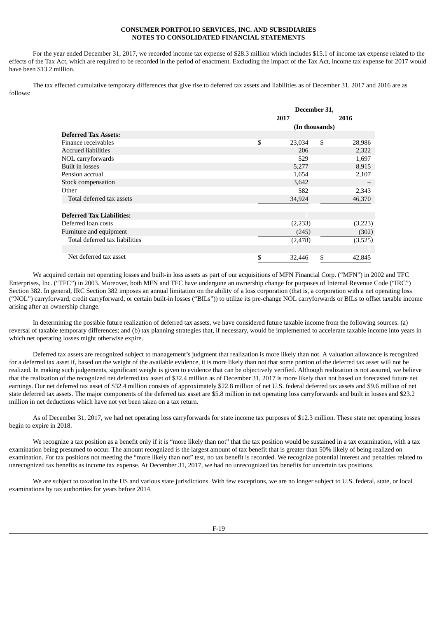For the year ended December 31, 2017, we recorded income tax expense of \$28.3 million which includes \$15.1 of income tax expense related to the effects of the Tax Act, which are required to be recorded in the period of enactment. Excluding the impact of the Tax Act, income tax expense for 2017 would have been \$13.2 million.

The tax effected cumulative temporary differences that give rise to deferred tax assets and liabilities as of December 31, 2017 and 2016 are as follows:

|                                  | December 31,   |      |         |  |  |
|----------------------------------|----------------|------|---------|--|--|
|                                  | 2017           | 2016 |         |  |  |
|                                  | (In thousands) |      |         |  |  |
| <b>Deferred Tax Assets:</b>      |                |      |         |  |  |
| Finance receivables              | \$<br>23,034   | \$   | 28,986  |  |  |
| <b>Accrued liabilities</b>       | 206            |      | 2,322   |  |  |
| <b>NOL</b> carryforwards         | 529            |      | 1,697   |  |  |
| <b>Built in losses</b>           | 5,277          |      | 8,915   |  |  |
| Pension accrual                  | 1,654          |      | 2,107   |  |  |
| Stock compensation               | 3,642          |      |         |  |  |
| Other                            | 582            |      | 2,343   |  |  |
| Total deferred tax assets        | 34,924         |      | 46,370  |  |  |
|                                  |                |      |         |  |  |
| <b>Deferred Tax Liabilities:</b> |                |      |         |  |  |
| Deferred loan costs              | (2,233)        |      | (3,223) |  |  |
| Furniture and equipment          | (245)          |      | (302)   |  |  |
| Total deferred tax liabilities   | (2, 478)       |      | (3,525) |  |  |
|                                  |                |      |         |  |  |
| Net deferred tax asset           | \$<br>32,446   | \$   | 42,845  |  |  |

We acquired certain net operating losses and built-in loss assets as part of our acquisitions of MFN Financial Corp. ("MFN") in 2002 and TFC Enterprises, Inc. ("TFC") in 2003. Moreover, both MFN and TFC have undergone an ownership change for purposes of Internal Revenue Code ("IRC") Section 382. In general, IRC Section 382 imposes an annual limitation on the ability of a loss corporation (that is, a corporation with a net operating loss ("NOL") carryforward, credit carryforward, or certain built-in losses ("BILs")) to utilize its pre-change NOL carryforwards or BILs to offset taxable income arising after an ownership change.

In determining the possible future realization of deferred tax assets, we have considered future taxable income from the following sources: (a) reversal of taxable temporary differences; and (b) tax planning strategies that, if necessary, would be implemented to accelerate taxable income into years in which net operating losses might otherwise expire.

Deferred tax assets are recognized subject to management's judgment that realization is more likely than not. A valuation allowance is recognized for a deferred tax asset if, based on the weight of the available evidence, it is more likely than not that some portion of the deferred tax asset will not be realized. In making such judgements, significant weight is given to evidence that can be objectively verified. Although realization is not assured, we believe that the realization of the recognized net deferred tax asset of \$32.4 million as of December 31, 2017 is more likely than not based on forecasted future net earnings. Our net deferred tax asset of \$32.4 million consists of approximately \$22.8 million of net U.S. federal deferred tax assets and \$9.6 million of net state deferred tax assets. The major components of the deferred tax asset are \$5.8 million in net operating loss carryforwards and built in losses and \$23.2 million in net deductions which have not yet been taken on a tax return.

As of December 31, 2017, we had net operating loss carryforwards for state income tax purposes of \$12.3 million. These state net operating losses begin to expire in 2018.

We recognize a tax position as a benefit only if it is "more likely than not" that the tax position would be sustained in a tax examination, with a tax examination being presumed to occur. The amount recognized is the largest amount of tax benefit that is greater than 50% likely of being realized on examination. For tax positions not meeting the "more likely than not" test, no tax benefit is recorded. We recognize potential interest and penalties related to unrecognized tax benefits as income tax expense. At December 31, 2017, we had no unrecognized tax benefits for uncertain tax positions.

We are subject to taxation in the US and various state jurisdictions. With few exceptions, we are no longer subject to U.S. federal, state, or local examinations by tax authorities for years before 2014.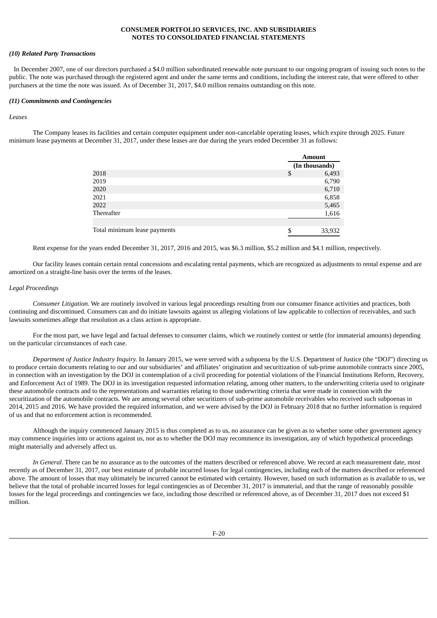### *(10) Related Party Transactions*

In December 2007, one of our directors purchased a \$4.0 million subordinated renewable note pursuant to our ongoing program of issuing such notes to the public. The note was purchased through the registered agent and under the same terms and conditions, including the interest rate, that were offered to other purchasers at the time the note was issued. As of December 31, 2017, \$4.0 million remains outstanding on this note.

### *(11) Commitments and Contingencies*

### *Leases*

The Company leases its facilities and certain computer equipment under non-cancelable operating leases, which expire through 2025. Future minimum lease payments at December 31, 2017, under these leases are due during the years ended December 31 as follows:

|                              | <b>Amount</b>  |
|------------------------------|----------------|
|                              | (In thousands) |
| 2018                         | \$<br>6,493    |
| 2019                         | 6,790          |
| 2020                         | 6,710          |
| 2021                         | 6,858          |
| 2022                         | 5,465          |
| Thereafter                   | 1,616          |
|                              |                |
| Total minimum lease payments | \$<br>33,932   |

Rent expense for the years ended December 31, 2017, 2016 and 2015, was \$6.3 million, \$5.2 million and \$4.1 million, respectively.

Our facility leases contain certain rental concessions and escalating rental payments, which are recognized as adjustments to rental expense and are amortized on a straight-line basis over the terms of the leases.

### *Legal Proceedings*

*Consumer Litigation.* We are routinely involved in various legal proceedings resulting from our consumer finance activities and practices, both continuing and discontinued. Consumers can and do initiate lawsuits against us alleging violations of law applicable to collection of receivables, and such lawsuits sometimes allege that resolution as a class action is appropriate.

For the most part, we have legal and factual defenses to consumer claims, which we routinely contest or settle (for immaterial amounts) depending on the particular circumstances of each case.

*Department of Justice Industry Inquiry.* In January 2015, we were served with a subpoena by the U.S. Department of Justice (the "DOJ") directing us to produce certain documents relating to our and our subsidiaries' and affiliates' origination and securitization of sub-prime automobile contracts since 2005, in connection with an investigation by the DOJ in contemplation of a civil proceeding for potential violations of the Financial Institutions Reform, Recovery, and Enforcement Act of 1989. The DOJ in its investigation requested information relating, among other matters, to the underwriting criteria used to originate these automobile contracts and to the representations and warranties relating to those underwriting criteria that were made in connection with the securitization of the automobile contracts. We are among several other securitizers of sub-prime automobile receivables who received such subpoenas in 2014, 2015 and 2016. We have provided the required information, and we were advised by the DOJ in February 2018 that no further information is required of us and that no enforcement action is recommended.

Although the inquiry commenced January 2015 is thus completed as to us, no assurance can be given as to whether some other government agency may commence inquiries into or actions against us, nor as to whether the DOJ may recommence its investigation, any of which hypothetical proceedings might materially and adversely affect us.

*In General*. There can be no assurance as to the outcomes of the matters described or referenced above. We record at each measurement date, most recently as of December 31, 2017, our best estimate of probable incurred losses for legal contingencies, including each of the matters described or referenced above. The amount of losses that may ultimately be incurred cannot be estimated with certainty. However, based on such information as is available to us, we believe that the total of probable incurred losses for legal contingencies as of December 31, 2017 is immaterial, and that the range of reasonably possible losses for the legal proceedings and contingencies we face, including those described or referenced above, as of December 31, 2017 does not exceed \$1 million.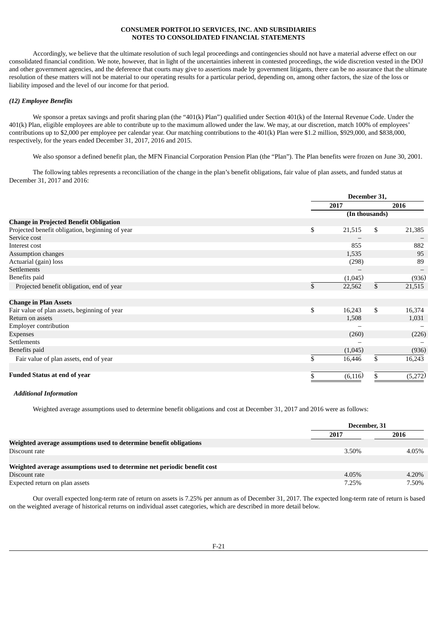Accordingly, we believe that the ultimate resolution of such legal proceedings and contingencies should not have a material adverse effect on our consolidated financial condition. We note, however, that in light of the uncertainties inherent in contested proceedings, the wide discretion vested in the DOJ and other government agencies, and the deference that courts may give to assertions made by government litigants, there can be no assurance that the ultimate resolution of these matters will not be material to our operating results for a particular period, depending on, among other factors, the size of the loss or liability imposed and the level of our income for that period.

# *(12) Employee Benefits*

We sponsor a pretax savings and profit sharing plan (the "401(k) Plan") qualified under Section 401(k) of the Internal Revenue Code. Under the 401(k) Plan, eligible employees are able to contribute up to the maximum allowed under the law. We may, at our discretion, match 100% of employees' contributions up to \$2,000 per employee per calendar year. Our matching contributions to the 401(k) Plan were \$1.2 million, \$929,000, and \$838,000, respectively, for the years ended December 31, 2017, 2016 and 2015.

We also sponsor a defined benefit plan, the MFN Financial Corporation Pension Plan (the "Plan"). The Plan benefits were frozen on June 30, 2001.

The following tables represents a reconciliation of the change in the plan's benefit obligations, fair value of plan assets, and funded status at December 31, 2017 and 2016:

|                                                 | December 31, |                |    |                   |
|-------------------------------------------------|--------------|----------------|----|-------------------|
|                                                 |              | 2017           |    | 2016              |
|                                                 |              | (In thousands) |    |                   |
| <b>Change in Projected Benefit Obligation</b>   |              |                |    |                   |
| Projected benefit obligation, beginning of year | \$           | 21,515         | \$ | 21,385            |
| Service cost                                    |              |                |    |                   |
| Interest cost                                   |              | 855            |    | 882               |
| Assumption changes                              |              | 1,535          |    | 95                |
| Actuarial (gain) loss                           |              | (298)          |    | 89                |
| <b>Settlements</b>                              |              |                |    | $\qquad \qquad -$ |
| Benefits paid                                   |              | (1,045)        |    | (936)             |
| Projected benefit obligation, end of year       | \$           | 22,562         | \$ | 21,515            |
| <b>Change in Plan Assets</b>                    |              |                |    |                   |
| Fair value of plan assets, beginning of year    | \$           | 16,243         | \$ | 16,374            |
| Return on assets                                |              | 1,508          |    | 1,031             |
| <b>Employer contribution</b>                    |              |                |    |                   |
| <b>Expenses</b>                                 |              | (260)          |    | (226)             |
| <b>Settlements</b>                              |              |                |    |                   |
| Benefits paid                                   |              | (1,045)        |    | (936)             |
| Fair value of plan assets, end of year          | \$           | 16,446         | \$ | 16,243            |
| <b>Funded Status at end of year</b>             | \$           | (6, 116)       | \$ | (5,272)           |

## *Additional Information*

Weighted average assumptions used to determine benefit obligations and cost at December 31, 2017 and 2016 were as follows:

|                                                                          | December, 31 |       |  |
|--------------------------------------------------------------------------|--------------|-------|--|
|                                                                          | 2017         | 2016  |  |
| Weighted average assumptions used to determine benefit obligations       |              |       |  |
| Discount rate                                                            | 3.50%        | 4.05% |  |
|                                                                          |              |       |  |
| Weighted average assumptions used to determine net periodic benefit cost |              |       |  |
| Discount rate                                                            | 4.05%        | 4.20% |  |
| Expected return on plan assets                                           | 7.25%        | 7.50% |  |

Our overall expected long-term rate of return on assets is 7.25% per annum as of December 31, 2017. The expected long-term rate of return is based on the weighted average of historical returns on individual asset categories, which are described in more detail below.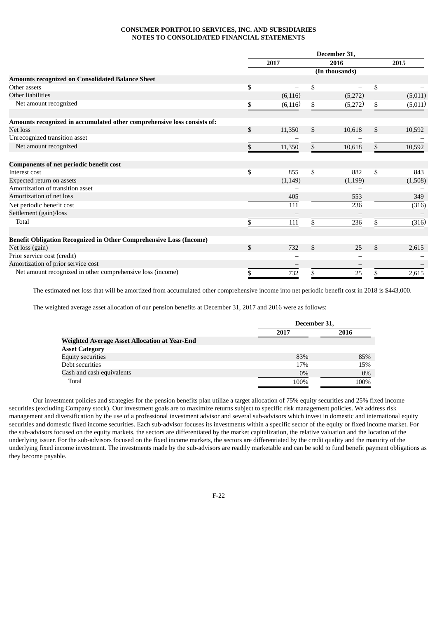|                                                                           | December 31, |                          |    |                          |    |         |  |
|---------------------------------------------------------------------------|--------------|--------------------------|----|--------------------------|----|---------|--|
|                                                                           |              | 2017                     |    | 2016                     |    | 2015    |  |
|                                                                           |              |                          |    | (In thousands)           |    |         |  |
| <b>Amounts recognized on Consolidated Balance Sheet</b>                   |              |                          |    |                          |    |         |  |
| Other assets                                                              | \$           | $\overline{\phantom{0}}$ | \$ | $\overline{\phantom{0}}$ | \$ |         |  |
| Other liabilities                                                         |              | (6, 116)                 |    | (5,272)                  |    | (5,011) |  |
| Net amount recognized                                                     | \$           | (6, 116)                 | \$ | (5,272)                  | \$ | (5,011) |  |
| Amounts recognized in accumulated other comprehensive loss consists of:   |              |                          |    |                          |    |         |  |
| Net loss                                                                  | \$           | 11,350                   | \$ | 10,618                   | \$ | 10,592  |  |
| Unrecognized transition asset                                             |              |                          |    |                          |    |         |  |
| Net amount recognized                                                     | \$           | 11,350                   | \$ | 10,618                   | \$ | 10,592  |  |
| <b>Components of net periodic benefit cost</b>                            |              |                          |    |                          |    |         |  |
| Interest cost                                                             | \$           | 855                      | \$ | 882                      | \$ | 843     |  |
| Expected return on assets                                                 |              | (1, 149)                 |    | (1,199)                  |    | (1,508) |  |
| Amortization of transition asset                                          |              |                          |    |                          |    |         |  |
| Amortization of net loss                                                  |              | 405                      |    | 553                      |    | 349     |  |
| Net periodic benefit cost                                                 |              | 111                      |    | 236                      |    | (316)   |  |
| Settlement (gain)/loss                                                    |              |                          |    |                          |    |         |  |
| Total                                                                     |              | 111                      | \$ | 236                      |    | (316)   |  |
| <b>Benefit Obligation Recognized in Other Comprehensive Loss (Income)</b> |              |                          |    |                          |    |         |  |
| Net loss (gain)                                                           | \$           | 732                      | \$ | 25                       | \$ | 2,615   |  |
| Prior service cost (credit)                                               |              |                          |    |                          |    |         |  |
| Amortization of prior service cost                                        |              |                          |    |                          |    |         |  |
| Net amount recognized in other comprehensive loss (income)                | \$           | 732                      | \$ | 25                       | \$ | 2,615   |  |

The estimated net loss that will be amortized from accumulated other comprehensive income into net periodic benefit cost in 2018 is \$443,000.

The weighted average asset allocation of our pension benefits at December 31, 2017 and 2016 were as follows:

|                                                      | December 31, |       |  |  |  |
|------------------------------------------------------|--------------|-------|--|--|--|
|                                                      | 2017         | 2016  |  |  |  |
| <b>Weighted Average Asset Allocation at Year-End</b> |              |       |  |  |  |
| <b>Asset Category</b>                                |              |       |  |  |  |
| <b>Equity securities</b>                             | 83%          | 85%   |  |  |  |
| Debt securities                                      | 17%          | 15%   |  |  |  |
| Cash and cash equivalents                            | $0\%$        | $0\%$ |  |  |  |
| Total                                                | 100%         | 100%  |  |  |  |

Our investment policies and strategies for the pension benefits plan utilize a target allocation of 75% equity securities and 25% fixed income securities (excluding Company stock). Our investment goals are to maximize returns subject to specific risk management policies. We address risk management and diversification by the use of a professional investment advisor and several sub-advisors which invest in domestic and international equity securities and domestic fixed income securities. Each sub-advisor focuses its investments within a specific sector of the equity or fixed income market. For the sub-advisors focused on the equity markets, the sectors are differentiated by the market capitalization, the relative valuation and the location of the underlying issuer. For the sub-advisors focused on the fixed income markets, the sectors are differentiated by the credit quality and the maturity of the underlying fixed income investment. The investments made by the sub-advisors are readily marketable and can be sold to fund benefit payment obligations as they become payable.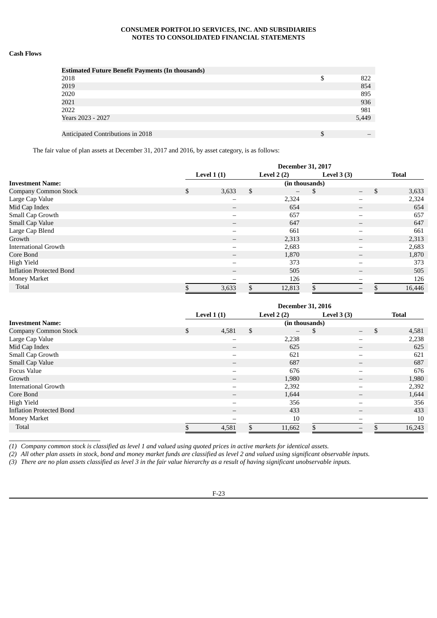## **Cash Flows**

| <b>Estimated Future Benefit Payments (In thousands)</b> |   |       |
|---------------------------------------------------------|---|-------|
| 2018                                                    | S | 822   |
| 2019                                                    |   | 854   |
| 2020                                                    |   | 895   |
| 2021                                                    |   | 936   |
| 2022                                                    |   | 981   |
| Years 2023 - 2027                                       |   | 5,449 |
|                                                         |   |       |
| Anticipated Contributions in 2018                       | S |       |

The fair value of plan assets at December 31, 2017 and 2016, by asset category, is as follows:

|                                 | <b>December 31, 2017</b> |                          |    |                |          |                                 |    |              |
|---------------------------------|--------------------------|--------------------------|----|----------------|----------|---------------------------------|----|--------------|
|                                 |                          | Level $1(1)$             |    | Level $2(2)$   |          | Level $3(3)$                    |    | <b>Total</b> |
| <b>Investment Name:</b>         |                          |                          |    | (in thousands) |          |                                 |    |              |
| <b>Company Common Stock</b>     | \$                       | 3,633                    | \$ |                | <b>S</b> | $\overline{\phantom{0}}$        | \$ | 3,633        |
| Large Cap Value                 |                          |                          |    | 2,324          |          |                                 |    | 2,324        |
| Mid Cap Index                   |                          | $\overline{\phantom{m}}$ |    | 654            |          | $\hspace{0.1mm}-\hspace{0.1mm}$ |    | 654          |
| Small Cap Growth                |                          |                          |    | 657            |          | $\overline{\phantom{0}}$        |    | 657          |
| Small Cap Value                 |                          | $\overline{\phantom{m}}$ |    | 647            |          |                                 |    | 647          |
| Large Cap Blend                 |                          |                          |    | 661            |          |                                 |    | 661          |
| Growth                          |                          | $\overline{\phantom{m}}$ |    | 2,313          |          |                                 |    | 2,313        |
| <b>International Growth</b>     |                          |                          |    | 2,683          |          |                                 |    | 2,683        |
| Core Bond                       |                          | $\overline{\phantom{m}}$ |    | 1,870          |          |                                 |    | 1,870        |
| High Yield                      |                          |                          |    | 373            |          |                                 |    | 373          |
| <b>Inflation Protected Bond</b> |                          | $\overline{\phantom{m}}$ |    | 505            |          | $\qquad \qquad -$               |    | 505          |
| <b>Money Market</b>             |                          |                          |    | 126            |          |                                 |    | 126          |
| Total                           |                          | 3,633                    | \$ | 12,813         |          |                                 |    | 16,446       |

|                                 | <b>December 31, 2016</b>        |    |                |     |                                 |    |              |
|---------------------------------|---------------------------------|----|----------------|-----|---------------------------------|----|--------------|
|                                 | Level $1(1)$                    |    | Level $2(2)$   |     | Level $3(3)$                    |    | <b>Total</b> |
| <b>Investment Name:</b>         |                                 |    | (in thousands) |     |                                 |    |              |
| <b>Company Common Stock</b>     | \$<br>4,581                     | \$ |                | \$. | $\qquad \qquad -$               | \$ | 4,581        |
| Large Cap Value                 |                                 |    | 2,238          |     |                                 |    | 2,238        |
| Mid Cap Index                   |                                 |    | 625            |     |                                 |    | 625          |
| Small Cap Growth                |                                 |    | 621            |     |                                 |    | 621          |
| Small Cap Value                 | $\hspace{0.1mm}-\hspace{0.1mm}$ |    | 687            |     | $\hspace{0.1mm}-\hspace{0.1mm}$ |    | 687          |
| Focus Value                     |                                 |    | 676            |     | —                               |    | 676          |
| Growth                          | $\overline{\phantom{m}}$        |    | 1,980          |     | $\qquad \qquad \qquad$          |    | 1,980        |
| <b>International Growth</b>     |                                 |    | 2,392          |     |                                 |    | 2,392        |
| Core Bond                       |                                 |    | 1,644          |     |                                 |    | 1,644        |
| High Yield                      |                                 |    | 356            |     |                                 |    | 356          |
| <b>Inflation Protected Bond</b> | $\overline{\phantom{m}}$        |    | 433            |     | $\qquad \qquad \qquad$          |    | 433          |
| Money Market                    |                                 |    | 10             |     |                                 |    | 10           |
| Total                           | 4,581                           | ፍ  | 11,662         |     |                                 |    | 16,243       |
|                                 |                                 |    |                |     |                                 |    |              |

(1) Company common stock is classified as level 1 and valued using quoted prices in active markets for identical assets.

(2) All other plan assets in stock, bond and money market funds are classified as level 2 and valued using significant observable inputs.

(3) There are no plan assets classified as level 3 in the fair value hierarchy as a result of having significant unobservable inputs.

F-23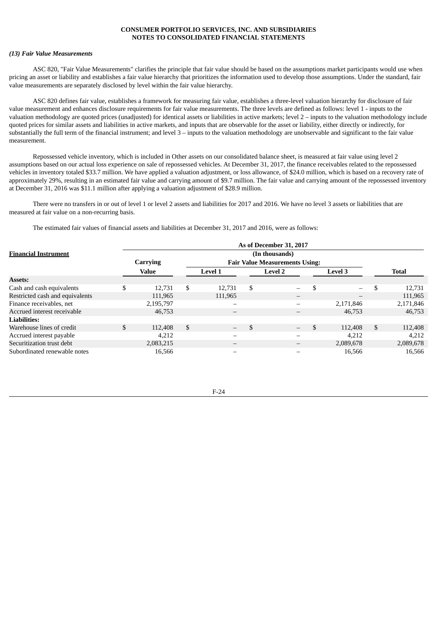### *(13) Fair Value Measurements*

ASC 820, "Fair Value Measurements" clarifies the principle that fair value should be based on the assumptions market participants would use when pricing an asset or liability and establishes a fair value hierarchy that prioritizes the information used to develop those assumptions. Under the standard, fair value measurements are separately disclosed by level within the fair value hierarchy.

ASC 820 defines fair value, establishes a framework for measuring fair value, establishes a three-level valuation hierarchy for disclosure of fair value measurement and enhances disclosure requirements for fair value measurements. The three levels are defined as follows: level 1 - inputs to the valuation methodology are quoted prices (unadjusted) for identical assets or liabilities in active markets; level 2 – inputs to the valuation methodology include quoted prices for similar assets and liabilities in active markets, and inputs that are observable for the asset or liability, either directly or indirectly, for substantially the full term of the financial instrument; and level 3 – inputs to the valuation methodology are unobservable and significant to the fair value measurement.

Repossessed vehicle inventory, which is included in Other assets on our consolidated balance sheet, is measured at fair value using level 2 assumptions based on our actual loss experience on sale of repossessed vehicles. At December 31, 2017, the finance receivables related to the repossessed vehicles in inventory totaled \$33.7 million. We have applied a valuation adjustment, or loss allowance, of \$24.0 million, which is based on a recovery rate of approximately 29%, resulting in an estimated fair value and carrying amount of \$9.7 million. The fair value and carrying amount of the repossessed inventory at December 31, 2016 was \$11.1 million after applying a valuation adjustment of \$28.9 million.

There were no transfers in or out of level 1 or level 2 assets and liabilities for 2017 and 2016. We have no level 3 assets or liabilities that are measured at fair value on a non-recurring basis.

The estimated fair values of financial assets and liabilities at December 31, 2017 and 2016, were as follows:

|                                 |          |                |    |                                       |    | As of December 31, 2017  |     |                |    |              |
|---------------------------------|----------|----------------|----|---------------------------------------|----|--------------------------|-----|----------------|----|--------------|
| <b>Financial Instrument</b>     |          | (In thousands) |    |                                       |    |                          |     |                |    |              |
|                                 | Carrying |                |    | <b>Fair Value Measurements Using:</b> |    |                          |     |                |    |              |
|                                 |          | <b>Value</b>   |    | <b>Level 1</b>                        |    | <b>Level 2</b>           |     | <b>Level 3</b> |    | <b>Total</b> |
| <b>Assets:</b>                  |          |                |    |                                       |    |                          |     |                |    |              |
| Cash and cash equivalents       | \$       | 12,731         | \$ | 12,731                                | \$ | $\overline{\phantom{0}}$ |     | -              | \$ | 12,731       |
| Restricted cash and equivalents |          | 111,965        |    | 111,965                               |    | $\qquad \qquad$          |     | —              |    | 111,965      |
| Finance receivables, net        |          | 2,195,797      |    |                                       |    |                          |     | 2,171,846      |    | 2,171,846    |
| Accrued interest receivable     |          | 46,753         |    | $\qquad \qquad$                       |    |                          |     | 46.753         |    | 46.753       |
| <b>Liabilities:</b>             |          |                |    |                                       |    |                          |     |                |    |              |
| Warehouse lines of credit       | \$       | 112,408        | \$ | $\overline{\phantom{m}}$              | \$ |                          | \$. | 112,408        | \$ | 112,408      |
| Accrued interest payable        |          | 4.212          |    | $\overline{\phantom{m}}$              |    |                          |     | 4.212          |    | 4.212        |
| Securitization trust debt       |          | 2,083,215      |    | $\hspace{0.1mm}-\hspace{0.1mm}$       |    |                          |     | 2,089,678      |    | 2,089,678    |
| Subordinated renewable notes    |          | 16,566         |    |                                       |    |                          |     | 16,566         |    | 16,566       |

## F-24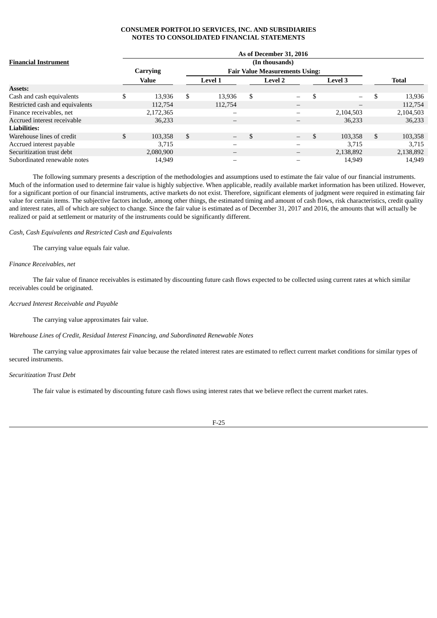|                                 | As of December 31, 2016 |                |    |                                       |    |                          |                |           |              |           |
|---------------------------------|-------------------------|----------------|----|---------------------------------------|----|--------------------------|----------------|-----------|--------------|-----------|
| <b>Financial Instrument</b>     |                         | (In thousands) |    |                                       |    |                          |                |           |              |           |
|                                 | <b>Carrying</b>         |                |    | <b>Fair Value Measurements Using:</b> |    |                          |                |           |              |           |
|                                 |                         | <b>Value</b>   |    | <b>Level 1</b>                        |    | <b>Level 2</b>           | <b>Level 3</b> |           |              | Total     |
| <b>Assets:</b>                  |                         |                |    |                                       |    |                          |                |           |              |           |
| Cash and cash equivalents       | \$                      | 13.936         | \$ | 13,936                                | \$ |                          |                |           |              | 13,936    |
| Restricted cash and equivalents |                         | 112,754        |    | 112,754                               |    | $\overline{\phantom{0}}$ |                |           |              | 112,754   |
| Finance receivables, net        |                         | 2,172,365      |    | $\overline{\phantom{a}}$              |    |                          |                | 2,104,503 |              | 2,104,503 |
| Accrued interest receivable     |                         | 36,233         |    | $\hspace{0.1mm}-\hspace{0.1mm}$       |    |                          |                | 36.233    |              | 36.233    |
| <b>Liabilities:</b>             |                         |                |    |                                       |    |                          |                |           |              |           |
| Warehouse lines of credit       | \$.                     | 103.358        | \$ | $\qquad \qquad -$                     | \$ |                          |                | 103,358   | $\mathbb{S}$ | 103,358   |
| Accrued interest payable        |                         | 3,715          |    | $\overline{\phantom{0}}$              |    |                          |                | 3,715     |              | 3,715     |
| Securitization trust debt       |                         | 2,080,900      |    | $\qquad \qquad -$                     |    |                          |                | 2,138,892 |              | 2,138,892 |
| Subordinated renewable notes    |                         | 14,949         |    |                                       |    |                          |                | 14.949    |              | 14.949    |

The following summary presents a description of the methodologies and assumptions used to estimate the fair value of our financial instruments. Much of the information used to determine fair value is highly subjective. When applicable, readily available market information has been utilized. However, for a significant portion of our financial instruments, active markets do not exist. Therefore, significant elements of judgment were required in estimating fair value for certain items. The subjective factors include, among other things, the estimated timing and amount of cash flows, risk characteristics, credit quality and interest rates, all of which are subject to change. Since the fair value is estimated as of December 31, 2017 and 2016, the amounts that will actually be realized or paid at settlement or maturity of the instruments could be significantly different.

*Cash, Cash Equivalents and Restricted Cash and Equivalents*

The carrying value equals fair value.

### *Finance Receivables, net*

The fair value of finance receivables is estimated by discounting future cash flows expected to be collected using current rates at which similar receivables could be originated.

### *Accrued Interest Receivable and Payable*

The carrying value approximates fair value.

### *Warehouse Lines of Credit, Residual Interest Financing, and Subordinated Renewable Notes*

The carrying value approximates fair value because the related interest rates are estimated to reflect current market conditions for similar types of secured instruments.

## *Securitization Trust Debt*

The fair value is estimated by discounting future cash flows using interest rates that we believe reflect the current market rates.

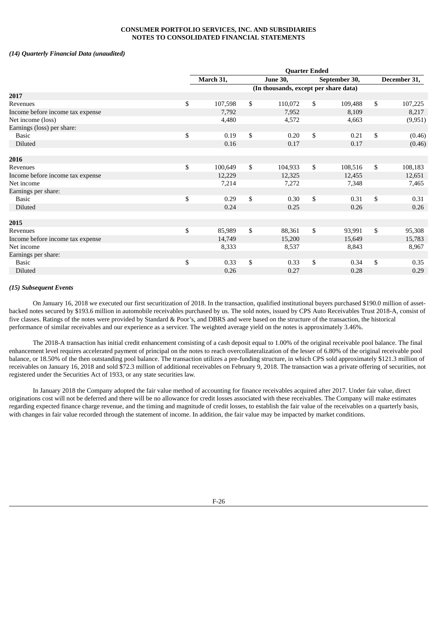## **CONSUMER PORTFOLIO SERVICES, INC. AND SUBSIDIARIES NOTES TO CONSOLIDATED FINANCIAL STATEMENTS**

## *(14) Quarterly Financial Data (unaudited)*

|                                  | <b>Quarter Ended</b> |                 |                                       |               |         |              |         |
|----------------------------------|----------------------|-----------------|---------------------------------------|---------------|---------|--------------|---------|
|                                  | March 31,            | <b>June 30,</b> |                                       | September 30, |         | December 31, |         |
|                                  |                      |                 | (In thousands, except per share data) |               |         |              |         |
| 2017                             |                      |                 |                                       |               |         |              |         |
| Revenues                         | \$<br>107,598        | \$              | 110,072                               | \$            | 109,488 | \$           | 107,225 |
| Income before income tax expense | 7,792                |                 | 7,952                                 |               | 8,109   |              | 8,217   |
| Net income (loss)                | 4,480                |                 | 4,572                                 |               | 4,663   |              | (9,951) |
| Earnings (loss) per share:       |                      |                 |                                       |               |         |              |         |
| <b>Basic</b>                     | \$<br>0.19           | \$              | 0.20                                  | \$            | 0.21    | \$           | (0.46)  |
| Diluted                          | 0.16                 |                 | 0.17                                  |               | 0.17    |              | (0.46)  |
| 2016                             |                      |                 |                                       |               |         |              |         |
| Revenues                         | \$<br>100,649        | \$              | 104,933                               | \$            | 108,516 | \$           | 108,183 |
| Income before income tax expense | 12,229               |                 | 12,325                                |               | 12,455  |              | 12,651  |
| Net income                       | 7,214                |                 | 7,272                                 |               | 7,348   |              | 7,465   |
| Earnings per share:              |                      |                 |                                       |               |         |              |         |
| <b>Basic</b>                     | \$<br>0.29           | \$              | 0.30                                  | \$            | 0.31    | \$           | 0.31    |
| Diluted                          | 0.24                 |                 | 0.25                                  |               | 0.26    |              | 0.26    |
|                                  |                      |                 |                                       |               |         |              |         |
| 2015<br>Revenues                 | \$<br>85,989         | \$              | 88,361                                | \$            | 93,991  | \$           | 95,308  |
| Income before income tax expense | 14,749               |                 | 15,200                                |               | 15,649  |              | 15,783  |
| Net income                       |                      |                 |                                       |               |         |              |         |
|                                  | 8,333                |                 | 8,537                                 |               | 8,843   |              | 8,967   |
| Earnings per share:              |                      |                 |                                       |               |         |              |         |
| <b>Basic</b>                     | \$<br>0.33           | \$              | 0.33                                  | \$            | 0.34    | \$           | 0.35    |
| Diluted                          | 0.26                 |                 | 0.27                                  |               | 0.28    |              | 0.29    |

#### *(15) Subsequent Events*

On January 16, 2018 we executed our first securitization of 2018. In the transaction, qualified institutional buyers purchased \$190.0 million of assetbacked notes secured by \$193.6 million in automobile receivables purchased by us. The sold notes, issued by CPS Auto Receivables Trust 2018-A, consist of five classes. Ratings of the notes were provided by Standard & Poor's, and DBRS and were based on the structure of the transaction, the historical performance of similar receivables and our experience as a servicer. The weighted average yield on the notes is approximately 3.46%.

The 2018-A transaction has initial credit enhancement consisting of a cash deposit equal to 1.00% of the original receivable pool balance. The final enhancement level requires accelerated payment of principal on the notes to reach overcollateralization of the lesser of 6.80% of the original receivable pool balance, or 18.50% of the then outstanding pool balance. The transaction utilizes a pre-funding structure, in which CPS sold approximately \$121.3 million of receivables on January 16, 2018 and sold \$72.3 million of additional receivables on February 9, 2018. The transaction was a private offering of securities, not registered under the Securities Act of 1933, or any state securities law.

In January 2018 the Company adopted the fair value method of accounting for finance receivables acquired after 2017. Under fair value, direct originations cost will not be deferred and there will be no allowance for credit losses associated with these receivables. The Company will make estimates regarding expected finance charge revenue, and the timing and magnitude of credit losses, to establish the fair value of the receivables on a quarterly basis, with changes in fair value recorded through the statement of income. In addition, the fair value may be impacted by market conditions.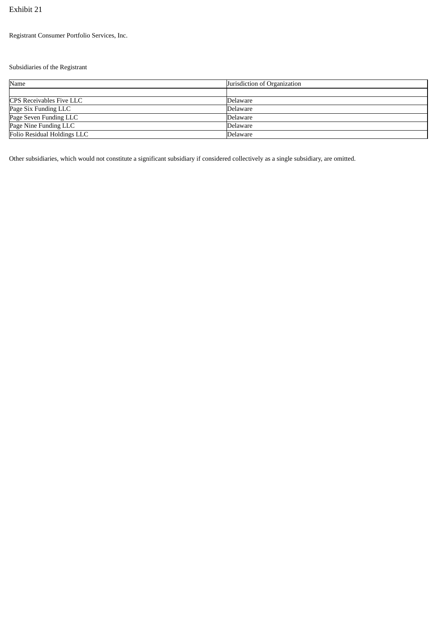# Exhibit 21

Registrant Consumer Portfolio Services, Inc.

Subsidiaries of the Registrant

| Name                        | Jurisdiction of Organization |
|-----------------------------|------------------------------|
|                             |                              |
| CPS Receivables Five LLC    | Delaware                     |
| Page Six Funding LLC        | Delaware                     |
| Page Seven Funding LLC      | Delaware                     |
| Page Nine Funding LLC       | Delaware                     |
| Folio Residual Holdings LLC | Delaware                     |

Other subsidiaries, which would not constitute a significant subsidiary if considered collectively as a single subsidiary, are omitted.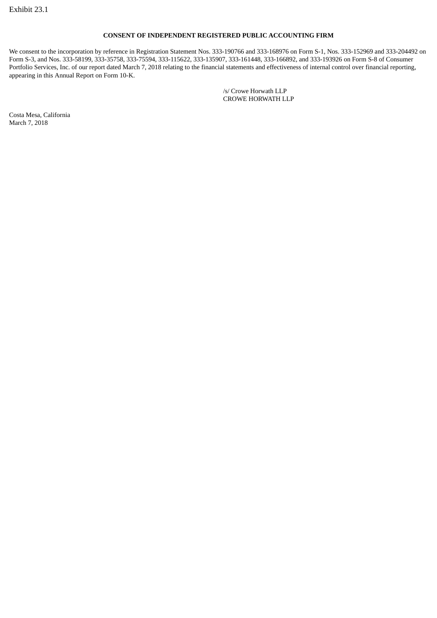## **CONSENT OF INDEPENDENT REGISTERED PUBLIC ACCOUNTING FIRM**

We consent to the incorporation by reference in Registration Statement Nos. 333-190766 and 333-168976 on Form S-1, Nos. 333-152969 and 333-204492 on Form S-3, and Nos. 333-58199, 333-35758, 333-75594, 333-115622, 333-135907, 333-161448, 333-166892, and 333-193926 on Form S-8 of Consumer Portfolio Services, Inc. of our report dated March 7, 2018 relating to the financial statements and effectiveness of internal control over financial reporting, appearing in this Annual Report on Form 10-K.

> /s/ Crowe Horwath LLP CROWE HORWATH LLP

Costa Mesa, California March 7, 2018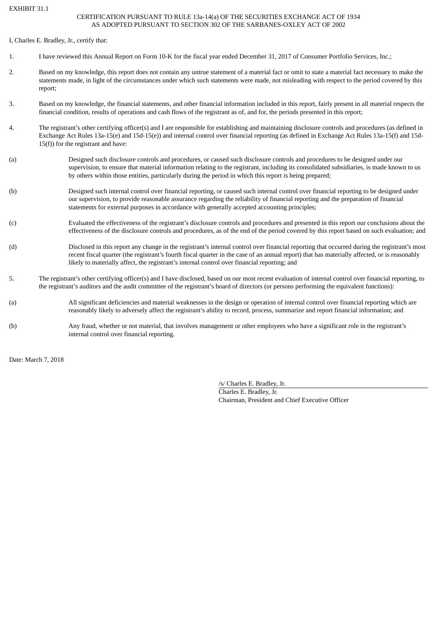#### EXHIBIT 31.1

## CERTIFICATION PURSUANT TO RULE 13a-14(a) OF THE SECURITIES EXCHANGE ACT OF 1934 AS ADOPTED PURSUANT TO SECTION 302 OF THE SARBANES-OXLEY ACT OF 2002

I, Charles E. Bradley, Jr., certify that:

- 1. I have reviewed this Annual Report on Form 10-K for the fiscal year ended December 31, 2017 of Consumer Portfolio Services, Inc.;
- 2. Based on my knowledge, this report does not contain any untrue statement of a material fact or omit to state a material fact necessary to make the statements made, in light of the circumstances under which such statements were made, not misleading with respect to the period covered by this report;
- 3. Based on my knowledge, the financial statements, and other financial information included in this report, fairly present in all material respects the financial condition, results of operations and cash flows of the registrant as of, and for, the periods presented in this report;
- 4. The registrant's other certifying officer(s) and I are responsible for establishing and maintaining disclosure controls and procedures (as defined in Exchange Act Rules 13a-15(e) and 15d-15(e)) and internal control over financial reporting (as defined in Exchange Act Rules 13a-15(f) and 15d-15(f)) for the registrant and have:
- (a) Designed such disclosure controls and procedures, or caused such disclosure controls and procedures to be designed under our supervision, to ensure that material information relating to the registrant, including its consolidated subsidiaries, is made known to us by others within those entities, particularly during the period in which this report is being prepared;
- (b) Designed such internal control over financial reporting, or caused such internal control over financial reporting to be designed under our supervision, to provide reasonable assurance regarding the reliability of financial reporting and the preparation of financial statements for external purposes in accordance with generally accepted accounting principles;
- (c) Evaluated the effectiveness of the registrant's disclosure controls and procedures and presented in this report our conclusions about the effectiveness of the disclosure controls and procedures, as of the end of the period covered by this report based on such evaluation; and
- (d) Disclosed in this report any change in the registrant's internal control over financial reporting that occurred during the registrant's most recent fiscal quarter (the registrant's fourth fiscal quarter in the case of an annual report) that has materially affected, or is reasonably likely to materially affect, the registrant's internal control over financial reporting; and
- 5. The registrant's other certifying officer(s) and I have disclosed, based on our most recent evaluation of internal control over financial reporting, to the registrant's auditors and the audit committee of the registrant's board of directors (or persons performing the equivalent functions):
- (a) All significant deficiencies and material weaknesses in the design or operation of internal control over financial reporting which are reasonably likely to adversely affect the registrant's ability to record, process, summarize and report financial information; and
- (b) Any fraud, whether or not material, that involves management or other employees who have a significant role in the registrant's internal control over financial reporting.

Date: March 7, 2018

/s/ Charles E. Bradley, Jr.

Charles E. Bradley, Jr. Chairman, President and Chief Executive Officer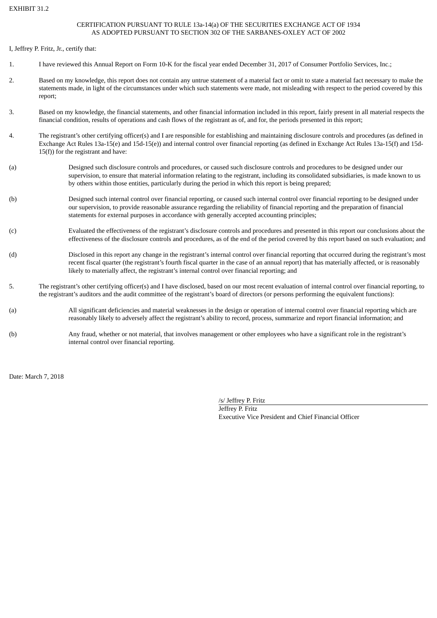## EXHIBIT 31.2

### CERTIFICATION PURSUANT TO RULE 13a-14(a) OF THE SECURITIES EXCHANGE ACT OF 1934 AS ADOPTED PURSUANT TO SECTION 302 OF THE SARBANES-OXLEY ACT OF 2002

I, Jeffrey P. Fritz, Jr., certify that:

- 1. I have reviewed this Annual Report on Form 10-K for the fiscal year ended December 31, 2017 of Consumer Portfolio Services, Inc.;
- 2. Based on my knowledge, this report does not contain any untrue statement of a material fact or omit to state a material fact necessary to make the statements made, in light of the circumstances under which such statements were made, not misleading with respect to the period covered by this report;
- 3. Based on my knowledge, the financial statements, and other financial information included in this report, fairly present in all material respects the financial condition, results of operations and cash flows of the registrant as of, and for, the periods presented in this report;
- 4. The registrant's other certifying officer(s) and I are responsible for establishing and maintaining disclosure controls and procedures (as defined in Exchange Act Rules 13a-15(e) and 15d-15(e)) and internal control over financial reporting (as defined in Exchange Act Rules 13a-15(f) and 15d-15(f)) for the registrant and have:
- (a) Designed such disclosure controls and procedures, or caused such disclosure controls and procedures to be designed under our supervision, to ensure that material information relating to the registrant, including its consolidated subsidiaries, is made known to us by others within those entities, particularly during the period in which this report is being prepared;
- (b) Designed such internal control over financial reporting, or caused such internal control over financial reporting to be designed under our supervision, to provide reasonable assurance regarding the reliability of financial reporting and the preparation of financial statements for external purposes in accordance with generally accepted accounting principles;
- (c) Evaluated the effectiveness of the registrant's disclosure controls and procedures and presented in this report our conclusions about the effectiveness of the disclosure controls and procedures, as of the end of the period covered by this report based on such evaluation; and
- (d) Disclosed in this report any change in the registrant's internal control over financial reporting that occurred during the registrant's most recent fiscal quarter (the registrant's fourth fiscal quarter in the case of an annual report) that has materially affected, or is reasonably likely to materially affect, the registrant's internal control over financial reporting; and
- 5. The registrant's other certifying officer(s) and I have disclosed, based on our most recent evaluation of internal control over financial reporting, to the registrant's auditors and the audit committee of the registrant's board of directors (or persons performing the equivalent functions):
- (a) All significant deficiencies and material weaknesses in the design or operation of internal control over financial reporting which are reasonably likely to adversely affect the registrant's ability to record, process, summarize and report financial information; and
- (b) Any fraud, whether or not material, that involves management or other employees who have a significant role in the registrant's internal control over financial reporting.

Date: March 7, 2018

/s/ Jeffrey P. Fritz Jeffrey P. Fritz Executive Vice President and Chief Financial Officer